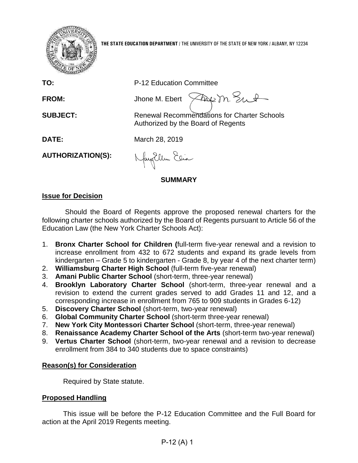

**THE STATE EDUCATION DEPARTMENT** / THE UNIVERSITY OF THE STATE OF NEW YORK / ALBANY, NY 12234

**TO:** P-12 Education Committee

FROM: Jhone M. Ebert  $\sqrt{2\omega}$  m. Sunt

**SUBJECT:** Renewal Recommendations for Charter Schools Authorized by the Board of Regents

**DATE:** March 28, 2019

**AUTHORIZATION(S):**

Nagillem Elia

# **SUMMARY**

# **Issue for Decision**

Should the Board of Regents approve the proposed renewal charters for the following charter schools authorized by the Board of Regents pursuant to Article 56 of the Education Law (the New York Charter Schools Act):

- 1. **Bronx Charter School for Children (**full-term five-year renewal and a revision to increase enrollment from 432 to 672 students and expand its grade levels from kindergarten – Grade 5 to kindergarten - Grade 8, by year 4 of the next charter term)
- 2. **Williamsburg Charter High School** (full-term five-year renewal)
- 3. **Amani Public Charter School** (short-term, three-year renewal)
- 4. **Brooklyn Laboratory Charter School** (short-term, three-year renewal and a revision to extend the current grades served to add Grades 11 and 12, and a corresponding increase in enrollment from 765 to 909 students in Grades 6-12)
- 5. **Discovery Charter School** (short-term, two-year renewal)
- 6. **Global Community Charter School** (short-term three-year renewal)
- 7. **New York City Montessori Charter School** (short-term, three-year renewal)
- 8. **Renaissance Academy Charter School of the Arts** (short-term two-year renewal)
- 9. **Vertus Charter School** (short-term, two-year renewal and a revision to decrease enrollment from 384 to 340 students due to space constraints)

# **Reason(s) for Consideration**

Required by State statute.

# **Proposed Handling**

This issue will be before the P-12 Education Committee and the Full Board for action at the April 2019 Regents meeting.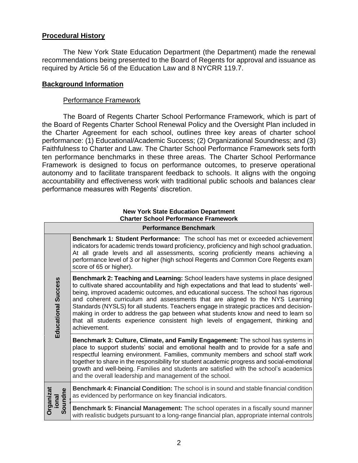# **Procedural History**

The New York State Education Department (the Department) made the renewal recommendations being presented to the Board of Regents for approval and issuance as required by Article 56 of the Education Law and 8 NYCRR 119.7.

# **Background Information**

## Performance Framework

The Board of Regents Charter School Performance Framework, which is part of the Board of Regents Charter School Renewal Policy and the Oversight Plan included in the Charter Agreement for each school, outlines three key areas of charter school performance: (1) Educational/Academic Success; (2) Organizational Soundness; and (3) Faithfulness to Charter and Law. The Charter School Performance Framework sets forth ten performance benchmarks in these three areas*.* The Charter School Performance Framework is designed to focus on performance outcomes, to preserve operational autonomy and to facilitate transparent feedback to schools. It aligns with the ongoing accountability and effectiveness work with traditional public schools and balances clear performance measures with Regents' discretion.

#### **New York State Education Department Charter School Performance Framework**

|                              | <b>Performance Benchmark</b>                                                                                                                                                                                                                                                                                                                                                                                                                                                                                                                                                                                                               |
|------------------------------|--------------------------------------------------------------------------------------------------------------------------------------------------------------------------------------------------------------------------------------------------------------------------------------------------------------------------------------------------------------------------------------------------------------------------------------------------------------------------------------------------------------------------------------------------------------------------------------------------------------------------------------------|
|                              | <b>Benchmark 1: Student Performance:</b> The school has met or exceeded achievement<br>indicators for academic trends toward proficiency, proficiency and high school graduation.<br>At all grade levels and all assessments, scoring proficiently means achieving a<br>performance level of 3 or higher (high school Regents and Common Core Regents exam<br>score of 65 or higher).                                                                                                                                                                                                                                                      |
| <b>Educational Success</b>   | Benchmark 2: Teaching and Learning: School leaders have systems in place designed<br>to cultivate shared accountability and high expectations and that lead to students' well-<br>being, improved academic outcomes, and educational success. The school has rigorous<br>and coherent curriculum and assessments that are aligned to the NYS Learning<br>Standards (NYSLS) for all students. Teachers engage in strategic practices and decision-<br>making in order to address the gap between what students know and need to learn so<br>that all students experience consistent high levels of engagement, thinking and<br>achievement. |
|                              | Benchmark 3: Culture, Climate, and Family Engagement: The school has systems in<br>place to support students' social and emotional health and to provide for a safe and<br>respectful learning environment. Families, community members and school staff work<br>together to share in the responsibility for student academic progress and social-emotional<br>growth and well-being. Families and students are satisfied with the school's academics<br>and the overall leadership and management of the school.                                                                                                                          |
| Organizat<br>oundne<br>ional | <b>Benchmark 4: Financial Condition:</b> The school is in sound and stable financial condition<br>as evidenced by performance on key financial indicators.                                                                                                                                                                                                                                                                                                                                                                                                                                                                                 |
| ທ                            | Benchmark 5: Financial Management: The school operates in a fiscally sound manner<br>with realistic budgets pursuant to a long-range financial plan, appropriate internal controls                                                                                                                                                                                                                                                                                                                                                                                                                                                         |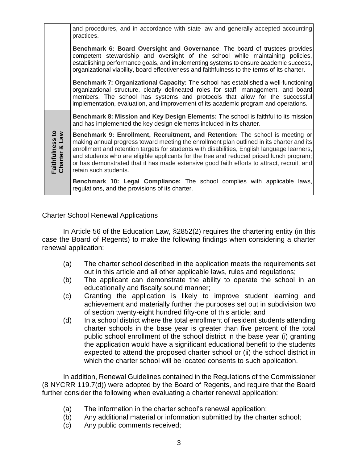and procedures, and in accordance with state law and generally accepted accounting practices.

**Benchmark 6: Board Oversight and Governance**: The board of trustees provides competent stewardship and oversight of the school while maintaining policies, establishing performance goals, and implementing systems to ensure academic success, organizational viability, board effectiveness and faithfulness to the terms of its charter.

**Benchmark 7: Organizational Capacity:** The school has established a well-functioning organizational structure, clearly delineated roles for staff, management, and board members. The school has systems and protocols that allow for the successful implementation, evaluation, and improvement of its academic program and operations.

**Benchmark 8: Mission and Key Design Elements:** The school is faithful to its mission and has implemented the key design elements included in its charter.

**Charter & Law Benchmark 9: Enrollment, Recruitment, and Retention:** The school is meeting or making annual progress toward meeting the enrollment plan outlined in its charter and its enrollment and retention targets for students with disabilities, English language learners, and students who are eligible applicants for the free and reduced priced lunch program; or has demonstrated that it has made extensive good faith efforts to attract, recruit, and retain such students.

**Benchmark 10: Legal Compliance:** The school complies with applicable laws, regulations, and the provisions of its charter.

## Charter School Renewal Applications

**Faithfulness to** 

In Article 56 of the Education Law, §2852(2) requires the chartering entity (in this case the Board of Regents) to make the following findings when considering a charter renewal application:

- (a) The charter school described in the application meets the requirements set out in this article and all other applicable laws, rules and regulations;
- (b) The applicant can demonstrate the ability to operate the school in an educationally and fiscally sound manner;
- (c) Granting the application is likely to improve student learning and achievement and materially further the purposes set out in subdivision two of section twenty-eight hundred fifty-one of this article; and
- (d) In a school district where the total enrollment of resident students attending charter schools in the base year is greater than five percent of the total public school enrollment of the school district in the base year (i) granting the application would have a significant educational benefit to the students expected to attend the proposed charter school or (ii) the school district in which the charter school will be located consents to such application.

In addition, Renewal Guidelines contained in the Regulations of the Commissioner (8 NYCRR 119.7(d)) were adopted by the Board of Regents, and require that the Board further consider the following when evaluating a charter renewal application:

- (a) The information in the charter school's renewal application;
- (b) Any additional material or information submitted by the charter school;
- (c) Any public comments received;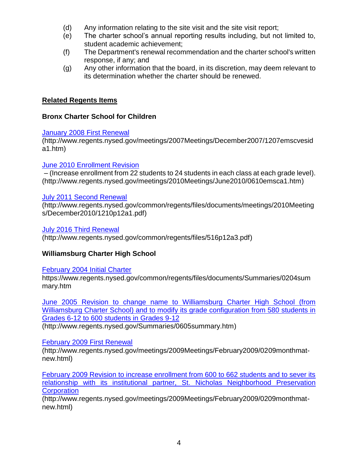- (d) Any information relating to the site visit and the site visit report;
- (e) The charter school's annual reporting results including, but not limited to, student academic achievement;
- (f) The Department's renewal recommendation and the charter school's written response, if any; and
- (g) Any other information that the board, in its discretion, may deem relevant to its determination whether the charter should be renewed.

# **Related Regents Items**

# **Bronx Charter School for Children**

# **[January 2008 First Renewal](http://www.regents.nysed.gov/meetings/2007Meetings/December2007/1207emscvesida1.htm)**

(http://www.regents.nysed.gov/meetings/2007Meetings/December2007/1207emscvesid a1.htm)

# [June 2010 Enrollment Revision](http://www.regents.nysed.gov/meetings/2010Meetings/June2010/0610emsca1.htm)

– (Increase enrollment from 22 students to 24 students in each class at each grade level). (http://www.regents.nysed.gov/meetings/2010Meetings/June2010/0610emsca1.htm)

# [July 2011 Second Renewal](http://www.regents.nysed.gov/common/regents/files/documents/meetings/2010Meetings/December2010/1210p12a1.pdf)

(http://www.regents.nysed.gov/common/regents/files/documents/meetings/2010Meeting s/December2010/1210p12a1.pdf)

# [July 2016 Third Renewal](http://www.regents.nysed.gov/common/regents/files/516p12a3.pdf)

(http://www.regents.nysed.gov/common/regents/files/516p12a3.pdf)

# **Williamsburg Charter High School**

# [February 2004 Initial Charter](https://www.regents.nysed.gov/common/regents/files/documents/Summaries/0204summary.htm)

https://www.regents.nysed.gov/common/regents/files/documents/Summaries/0204sum mary.htm

[June 2005 Revision to change name to Williamsburg Charter High School \(from](http://www.regents.nysed.gov/Summaries/0605summary.htm)  [Williamsburg Charter School\) and to modify its grade configuration from 580 students in](http://www.regents.nysed.gov/Summaries/0605summary.htm)  [Grades 6-12 to 600 students in Grades 9-12](http://www.regents.nysed.gov/Summaries/0605summary.htm)

(http://www.regents.nysed.gov/Summaries/0605summary.htm)

# [February 2009 First Renewal](http://www.regents.nysed.gov/meetings/2009Meetings/February2009/0209monthmat-new.html)

(http://www.regents.nysed.gov/meetings/2009Meetings/February2009/0209monthmatnew.html)

[February 2009 Revision to increase enrollment from 600 to 662 students and to sever its](http://www.regents.nysed.gov/meetings/2009Meetings/February2009/0209monthmat-new.html)  relationship with its institutional partner, [St. Nicholas Neighborhood Preservation](http://www.regents.nysed.gov/meetings/2009Meetings/February2009/0209monthmat-new.html)  **[Corporation](http://www.regents.nysed.gov/meetings/2009Meetings/February2009/0209monthmat-new.html)** 

(http://www.regents.nysed.gov/meetings/2009Meetings/February2009/0209monthmatnew.html)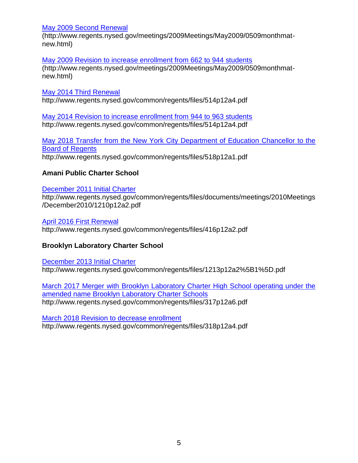## [May 2009 Second Renewal](http://www.regents.nysed.gov/meetings/2009Meetings/May2009/0509monthmat-new.html)

(http://www.regents.nysed.gov/meetings/2009Meetings/May2009/0509monthmatnew.html)

## [May 2009 Revision to increase enrollment from 662 to 944 students](http://www.regents.nysed.gov/meetings/2009Meetings/May2009/0509monthmat-new.html)

(http://www.regents.nysed.gov/meetings/2009Meetings/May2009/0509monthmatnew.html)

# [May 2014 Third Renewal](http://www.regents.nysed.gov/common/regents/files/514p12a4.pdf)

http://www.regents.nysed.gov/common/regents/files/514p12a4.pdf

[May 2014 Revision to increase enrollment from 944 to 963 students](http://www.regents.nysed.gov/common/regents/files/514p12a4.pdf) http://www.regents.nysed.gov/common/regents/files/514p12a4.pdf

[May 2018 Transfer from the New York City Department of Education Chancellor to the](http://www.regents.nysed.gov/common/regents/files/518p12a1.pdf)  [Board of Regents](http://www.regents.nysed.gov/common/regents/files/518p12a1.pdf)

http://www.regents.nysed.gov/common/regents/files/518p12a1.pdf

# **Amani Public Charter School**

# [December 2011 Initial Charter](http://www.regents.nysed.gov/common/regents/files/documents/meetings/2010Meetings/December2010/1210p12a2.pdf)

http://www.regents.nysed.gov/common/regents/files/documents/meetings/2010Meetings /December2010/1210p12a2.pdf

[April 2016 First Renewal](http://www.regents.nysed.gov/common/regents/files/416p12a2.pdf)  http://www.regents.nysed.gov/common/regents/files/416p12a2.pdf

# **Brooklyn Laboratory Charter School**

[December 2013 Initial Charter](http://www.regents.nysed.gov/common/regents/files/1213p12a2%5B1%5D.pdf) http://www.regents.nysed.gov/common/regents/files/1213p12a2%5B1%5D.pdf

[March 2017 Merger with Brooklyn Laboratory Charter High School operating under the](http://www.regents.nysed.gov/common/regents/files/317p12a6.pdf)  [amended name Brooklyn Laboratory Charter Schools](http://www.regents.nysed.gov/common/regents/files/317p12a6.pdf) http://www.regents.nysed.gov/common/regents/files/317p12a6.pdf

[March 2018 Revision to decrease enrollment](http://www.regents.nysed.gov/common/regents/files/318p12a4.pdf)  http://www.regents.nysed.gov/common/regents/files/318p12a4.pdf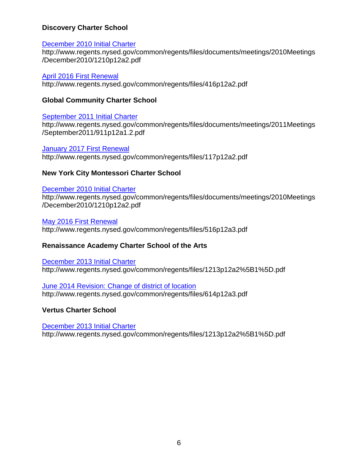# **Discovery Charter School**

## [December 2010 Initial Charter](http://www.regents.nysed.gov/common/regents/files/documents/meetings/2010Meetings/December2010/1210p12a2.pdf)

http://www.regents.nysed.gov/common/regents/files/documents/meetings/2010Meetings /December2010/1210p12a2.pdf

[April 2016 First Renewal](http://www.regents.nysed.gov/common/regents/files/416p12a2.pdf) 

http://www.regents.nysed.gov/common/regents/files/416p12a2.pdf

## **Global Community Charter School**

## [September 2011 Initial Charter](http://www.regents.nysed.gov/common/regents/files/documents/meetings/2011Meetings/September2011/911p12a1.2.pdf)

http://www.regents.nysed.gov/common/regents/files/documents/meetings/2011Meetings /September2011/911p12a1.2.pdf

# **January 2017 First Renewal**

http://www.regents.nysed.gov/common/regents/files/117p12a2.pdf

## **New York City Montessori Charter School**

## [December 2010 Initial Charter](http://www.regents.nysed.gov/common/regents/files/documents/meetings/2010Meetings/December2010/1210p12a2.pdf)

http://www.regents.nysed.gov/common/regents/files/documents/meetings/2010Meetings /December2010/1210p12a2.pdf

[May 2016 First Renewal](http://www.regents.nysed.gov/common/regents/files/516p12a3.pdf) 

http://www.regents.nysed.gov/common/regents/files/516p12a3.pdf

# **Renaissance Academy Charter School of the Arts**

[December 2013 Initial Charter](http://www.regents.nysed.gov/common/regents/files/1213p12a2%5B1%5D.pdf) http://www.regents.nysed.gov/common/regents/files/1213p12a2%5B1%5D.pdf

[June 2014 Revision: Change of district of location](http://www.regents.nysed.gov/common/regents/files/614p12a3.pdf) http://www.regents.nysed.gov/common/regents/files/614p12a3.pdf

**Vertus Charter School**

[December 2013 Initial](http://www.regents.nysed.gov/common/regents/files/1213p12a2%5B1%5D.pdf) Charter http://www.regents.nysed.gov/common/regents/files/1213p12a2%5B1%5D.pdf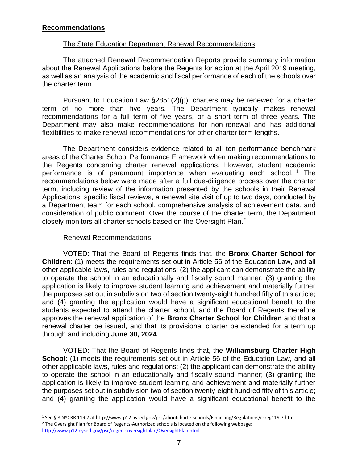# **Recommendations**

## The State Education Department Renewal Recommendations

The attached Renewal Recommendation Reports provide summary information about the Renewal Applications before the Regents for action at the April 2019 meeting, as well as an analysis of the academic and fiscal performance of each of the schools over the charter term.

Pursuant to Education Law §2851(2)(p), charters may be renewed for a charter term of no more than five years. The Department typically makes renewal recommendations for a full term of five years, or a short term of three years. The Department may also make recommendations for non-renewal and has additional flexibilities to make renewal recommendations for other charter term lengths.

The Department considers evidence related to all ten performance benchmark areas of the Charter School Performance Framework when making recommendations to the Regents concerning charter renewal applications. However, student academic performance is of paramount importance when evaluating each school.<sup>1</sup> The recommendations below were made after a full due-diligence process over the charter term, including review of the information presented by the schools in their Renewal Applications, specific fiscal reviews, a renewal site visit of up to two days, conducted by a Department team for each school, comprehensive analysis of achievement data, and consideration of public comment. Over the course of the charter term, the Department closely monitors all charter schools based on the Oversight Plan.<sup>2</sup>

# Renewal Recommendations

 $\overline{a}$ 

VOTED: That the Board of Regents finds that, the **Bronx Charter School for Children**: (1) meets the requirements set out in Article 56 of the Education Law, and all other applicable laws, rules and regulations; (2) the applicant can demonstrate the ability to operate the school in an educationally and fiscally sound manner; (3) granting the application is likely to improve student learning and achievement and materially further the purposes set out in subdivision two of section twenty-eight hundred fifty of this article; and (4) granting the application would have a significant educational benefit to the students expected to attend the charter school, and the Board of Regents therefore approves the renewal application of the **Bronx Charter School for Children** and that a renewal charter be issued, and that its provisional charter be extended for a term up through and including **June 30, 2024**.

VOTED: That the Board of Regents finds that, the **Williamsburg Charter High School:** (1) meets the requirements set out in Article 56 of the Education Law, and all other applicable laws, rules and regulations; (2) the applicant can demonstrate the ability to operate the school in an educationally and fiscally sound manner; (3) granting the application is likely to improve student learning and achievement and materially further the purposes set out in subdivision two of section twenty-eight hundred fifty of this article; and (4) granting the application would have a significant educational benefit to the

<sup>1</sup> See § 8 NYCRR 119.7 at http://www.p12.nysed.gov/psc/aboutcharterschools/Financing/Regulations/csreg119.7.html <sup>2</sup> The Oversight Plan for Board of Regents-Authorized schools is located on the following webpage: <http://www.p12.nysed.gov/psc/regentsoversightplan/OversightPlan.html>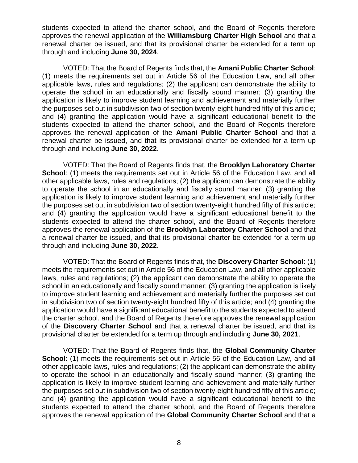students expected to attend the charter school, and the Board of Regents therefore approves the renewal application of the **Williamsburg Charter High School** and that a renewal charter be issued, and that its provisional charter be extended for a term up through and including **June 30, 2024**.

VOTED: That the Board of Regents finds that, the **Amani Public Charter School**: (1) meets the requirements set out in Article 56 of the Education Law, and all other applicable laws, rules and regulations; (2) the applicant can demonstrate the ability to operate the school in an educationally and fiscally sound manner; (3) granting the application is likely to improve student learning and achievement and materially further the purposes set out in subdivision two of section twenty-eight hundred fifty of this article; and (4) granting the application would have a significant educational benefit to the students expected to attend the charter school, and the Board of Regents therefore approves the renewal application of the **Amani Public Charter School** and that a renewal charter be issued, and that its provisional charter be extended for a term up through and including **June 30, 2022**.

VOTED: That the Board of Regents finds that, the **Brooklyn Laboratory Charter School:** (1) meets the requirements set out in Article 56 of the Education Law, and all other applicable laws, rules and regulations; (2) the applicant can demonstrate the ability to operate the school in an educationally and fiscally sound manner; (3) granting the application is likely to improve student learning and achievement and materially further the purposes set out in subdivision two of section twenty-eight hundred fifty of this article; and (4) granting the application would have a significant educational benefit to the students expected to attend the charter school, and the Board of Regents therefore approves the renewal application of the **Brooklyn Laboratory Charter School** and that a renewal charter be issued, and that its provisional charter be extended for a term up through and including **June 30, 2022**.

VOTED: That the Board of Regents finds that, the **Discovery Charter School**: (1) meets the requirements set out in Article 56 of the Education Law, and all other applicable laws, rules and regulations; (2) the applicant can demonstrate the ability to operate the school in an educationally and fiscally sound manner; (3) granting the application is likely to improve student learning and achievement and materially further the purposes set out in subdivision two of section twenty-eight hundred fifty of this article; and (4) granting the application would have a significant educational benefit to the students expected to attend the charter school, and the Board of Regents therefore approves the renewal application of the **Discovery Charter School** and that a renewal charter be issued, and that its provisional charter be extended for a term up through and including **June 30, 2021**.

VOTED: That the Board of Regents finds that, the **Global Community Charter School**: (1) meets the requirements set out in Article 56 of the Education Law, and all other applicable laws, rules and regulations; (2) the applicant can demonstrate the ability to operate the school in an educationally and fiscally sound manner; (3) granting the application is likely to improve student learning and achievement and materially further the purposes set out in subdivision two of section twenty-eight hundred fifty of this article; and (4) granting the application would have a significant educational benefit to the students expected to attend the charter school, and the Board of Regents therefore approves the renewal application of the **Global Community Charter School** and that a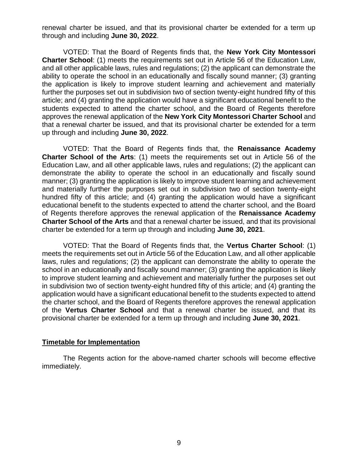renewal charter be issued, and that its provisional charter be extended for a term up through and including **June 30, 2022**.

VOTED: That the Board of Regents finds that, the **New York City Montessori Charter School**: (1) meets the requirements set out in Article 56 of the Education Law, and all other applicable laws, rules and regulations; (2) the applicant can demonstrate the ability to operate the school in an educationally and fiscally sound manner; (3) granting the application is likely to improve student learning and achievement and materially further the purposes set out in subdivision two of section twenty-eight hundred fifty of this article; and (4) granting the application would have a significant educational benefit to the students expected to attend the charter school, and the Board of Regents therefore approves the renewal application of the **New York City Montessori Charter School** and that a renewal charter be issued, and that its provisional charter be extended for a term up through and including **June 30, 2022**.

VOTED: That the Board of Regents finds that, the **Renaissance Academy Charter School of the Arts**: (1) meets the requirements set out in Article 56 of the Education Law, and all other applicable laws, rules and regulations; (2) the applicant can demonstrate the ability to operate the school in an educationally and fiscally sound manner; (3) granting the application is likely to improve student learning and achievement and materially further the purposes set out in subdivision two of section twenty-eight hundred fifty of this article; and (4) granting the application would have a significant educational benefit to the students expected to attend the charter school, and the Board of Regents therefore approves the renewal application of the **Renaissance Academy Charter School of the Arts** and that a renewal charter be issued, and that its provisional charter be extended for a term up through and including **June 30, 2021**.

VOTED: That the Board of Regents finds that, the **Vertus Charter School**: (1) meets the requirements set out in Article 56 of the Education Law, and all other applicable laws, rules and regulations; (2) the applicant can demonstrate the ability to operate the school in an educationally and fiscally sound manner; (3) granting the application is likely to improve student learning and achievement and materially further the purposes set out in subdivision two of section twenty-eight hundred fifty of this article; and (4) granting the application would have a significant educational benefit to the students expected to attend the charter school, and the Board of Regents therefore approves the renewal application of the **Vertus Charter School** and that a renewal charter be issued, and that its provisional charter be extended for a term up through and including **June 30, 2021**.

## **Timetable for Implementation**

The Regents action for the above-named charter schools will become effective immediately.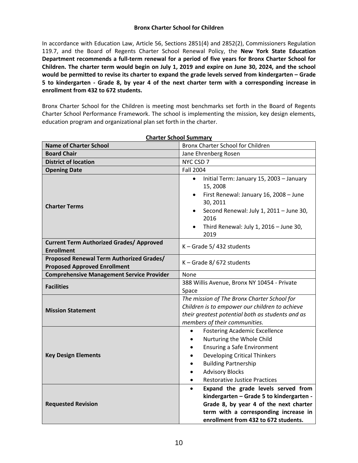#### **Bronx Charter School for Children**

In accordance with Education Law, Article 56, Sections 2851(4) and 2852(2), Commissioners Regulation 119.7, and the Board of Regents Charter School Renewal Policy, the **New York State Education Department recommends a full-term renewal for a period of five years for Bronx Charter School for Children. The charter term would begin on July 1, 2019 and expire on June 30, 2024, and the school would be permitted to revise its charter to expand the grade levels served from kindergarten – Grade 5 to kindergarten - Grade 8, by year 4 of the next charter term with a corresponding increase in enrollment from 432 to 672 students.**

Bronx Charter School for the Children is meeting most benchmarks set forth in the Board of Regents Charter School Performance Framework. The school is implementing the mission, key design elements, education program and organizational plan set forth in the charter.

| <b>Name of Charter School</b>                                                   | <u>Charler School Summary</u><br>Bronx Charter School for Children                                                                                                                                                                                                        |  |  |  |
|---------------------------------------------------------------------------------|---------------------------------------------------------------------------------------------------------------------------------------------------------------------------------------------------------------------------------------------------------------------------|--|--|--|
| <b>Board Chair</b>                                                              | Jane Ehrenberg Rosen                                                                                                                                                                                                                                                      |  |  |  |
| <b>District of location</b>                                                     | NYC CSD 7                                                                                                                                                                                                                                                                 |  |  |  |
| <b>Opening Date</b>                                                             | <b>Fall 2004</b>                                                                                                                                                                                                                                                          |  |  |  |
| <b>Charter Terms</b>                                                            | Initial Term: January 15, 2003 - January<br>$\bullet$<br>15, 2008<br>First Renewal: January 16, 2008 - June<br>$\bullet$<br>30, 2011<br>Second Renewal: July 1, 2011 - June 30,<br>2016<br>Third Renewal: July 1, $2016 -$ June 30,<br>2019                               |  |  |  |
| <b>Current Term Authorized Grades/ Approved</b><br><b>Enrollment</b>            | K - Grade 5/432 students                                                                                                                                                                                                                                                  |  |  |  |
| Proposed Renewal Term Authorized Grades/<br><b>Proposed Approved Enrollment</b> | $K -$ Grade 8/672 students                                                                                                                                                                                                                                                |  |  |  |
| <b>Comprehensive Management Service Provider</b>                                | None                                                                                                                                                                                                                                                                      |  |  |  |
| <b>Facilities</b>                                                               | 388 Willis Avenue, Bronx NY 10454 - Private<br>Space                                                                                                                                                                                                                      |  |  |  |
| <b>Mission Statement</b>                                                        | The mission of The Bronx Charter School for<br>Children is to empower our children to achieve<br>their greatest potential both as students and as<br>members of their communities.                                                                                        |  |  |  |
| <b>Key Design Elements</b>                                                      | <b>Fostering Academic Excellence</b><br>$\bullet$<br>Nurturing the Whole Child<br><b>Ensuring a Safe Environment</b><br>$\bullet$<br><b>Developing Critical Thinkers</b><br><b>Building Partnership</b><br><b>Advisory Blocks</b><br><b>Restorative Justice Practices</b> |  |  |  |
| <b>Requested Revision</b>                                                       | Expand the grade levels served from<br>$\bullet$<br>kindergarten - Grade 5 to kindergarten -<br>Grade 8, by year 4 of the next charter<br>term with a corresponding increase in<br>enrollment from 432 to 672 students.                                                   |  |  |  |

**Charter School Summary**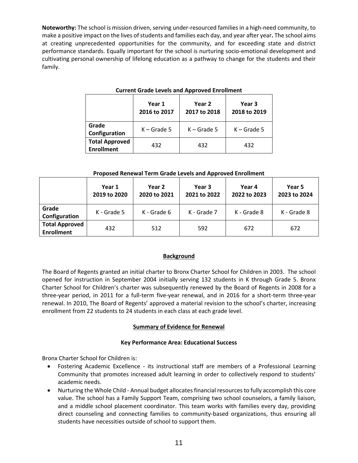**Noteworthy:** The school is mission driven, serving under-resourced families in a high-need community, to make a positive impact on the lives of students and families each day, and year after year**.** The school aims at creating unprecedented opportunities for the community, and for exceeding state and district performance standards. Equally important for the school is nurturing socio-emotional development and cultivating personal ownership of lifelong education as a pathway to change for the students and their family.

|                                            | Year 1<br>2016 to 2017 | Year 2<br>2017 to 2018 | Year 3<br>2018 to 2019 |  |  |  |  |
|--------------------------------------------|------------------------|------------------------|------------------------|--|--|--|--|
| Grade<br>Configuration                     | $K -$ Grade 5          | $K -$ Grade 5          | $K -$ Grade 5          |  |  |  |  |
| <b>Total Approved</b><br><b>Enrollment</b> | 432                    | 432                    | 432                    |  |  |  |  |

#### **Current Grade Levels and Approved Enrollment**

#### **Proposed Renewal Term Grade Levels and Approved Enrollment**

|                                            | Year 1<br>2019 to 2020 | Year 2<br>2020 to 2021 | Year 3<br>2021 to 2022 | Year 4<br>2022 to 2023 | Year 5<br>2023 to 2024 |
|--------------------------------------------|------------------------|------------------------|------------------------|------------------------|------------------------|
| Grade<br>Configuration                     | K - Grade 5            | K - Grade 6            | K - Grade 7            | K - Grade 8            | K - Grade 8            |
| <b>Total Approved</b><br><b>Enrollment</b> | 432                    | 512                    | 592                    | 672                    | 672                    |

#### **Background**

The Board of Regents granted an initial charter to Bronx Charter School for Children in 2003. The school opened for instruction in September 2004 initially serving 132 students in K through Grade 5. Bronx Charter School for Children's charter was subsequently renewed by the Board of Regents in 2008 for a three-year period, in 2011 for a full-term five-year renewal, and in 2016 for a short-term three-year renewal. In 2010, The Board of Regents' approved a material revision to the school's charter, increasing enrollment from 22 students to 24 students in each class at each grade level.

#### **Summary of Evidence for Renewal**

#### **Key Performance Area: Educational Success**

Bronx Charter School for Children is:

- Fostering Academic Excellence its instructional staff are members of a Professional Learning Community that promotes increased adult learning in order to collectively respond to students' academic needs.
- Nurturing the Whole Child Annual budget allocates financial resources to fully accomplish this core value. The school has a Family Support Team, comprising two school counselors, a family liaison, and a middle school placement coordinator. This team works with families every day, providing direct counseling and connecting families to community-based organizations, thus ensuring all students have necessities outside of school to support them.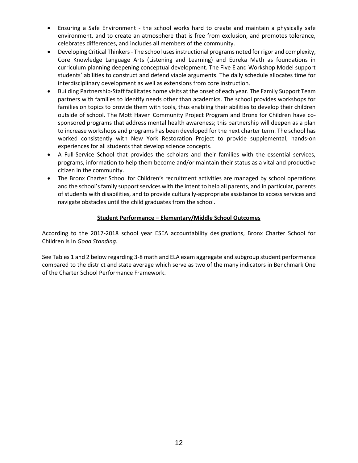- Ensuring a Safe Environment the school works hard to create and maintain a physically safe environment, and to create an atmosphere that is free from exclusion, and promotes tolerance, celebrates differences, and includes all members of the community.
- Developing Critical Thinkers- The school uses instructional programs noted for rigor and complexity, Core Knowledge Language Arts (Listening and Learning) and Eureka Math as foundations in curriculum planning deepening conceptual development. The Five E and Workshop Model support students' abilities to construct and defend viable arguments. The daily schedule allocates time for interdisciplinary development as well as extensions from core instruction.
- Building Partnership-Staff facilitates home visits at the onset of each year. The Family Support Team partners with families to identify needs other than academics. The school provides workshops for families on topics to provide them with tools, thus enabling their abilities to develop their children outside of school. The Mott Haven Community Project Program and Bronx for Children have cosponsored programs that address mental health awareness; this partnership will deepen as a plan to increase workshops and programs has been developed for the next charter term. The school has worked consistently with New York Restoration Project to provide supplemental, hands-on experiences for all students that develop science concepts.
- A Full-Service School that provides the scholars and their families with the essential services, programs, information to help them become and/or maintain their status as a vital and productive citizen in the community.
- The Bronx Charter School for Children's recruitment activities are managed by school operations and the school's family support services with the intent to help all parents, and in particular, parents of students with disabilities, and to provide culturally-appropriate assistance to access services and navigate obstacles until the child graduates from the school.

## **Student Performance – Elementary/Middle School Outcomes**

According to the 2017-2018 school year ESEA accountability designations, Bronx Charter School for Children is In *Good Standing*.

See Tables 1 and 2 below regarding 3-8 math and ELA exam aggregate and subgroup student performance compared to the district and state average which serve as two of the many indicators in Benchmark One of the Charter School Performance Framework.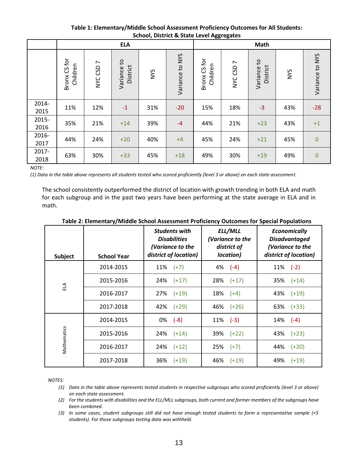|               | School, District & State Level Aggregates |                           |                                        |            |                 |                          |                               |                                        |            |                 |
|---------------|-------------------------------------------|---------------------------|----------------------------------------|------------|-----------------|--------------------------|-------------------------------|----------------------------------------|------------|-----------------|
|               | <b>ELA</b>                                |                           |                                        |            |                 |                          | Math                          |                                        |            |                 |
|               | CS <sub>for</sub><br>Children<br>Bronx    | $\overline{ }$<br>NYC CSD | $\mathsf{c}_1$<br>District<br>Variance | <b>NYS</b> | Variance to NYS | Bronx CS for<br>Children | $\overline{ }$<br>CSD<br>NYC. | $\mathsf{c}_1$<br>District<br>Variance | <b>NYS</b> | Variance to NYS |
| 2014-<br>2015 | 11%                                       | 12%                       | $-1$                                   | 31%        | $-20$           | 15%                      | 18%                           | $-3$                                   | 43%        | $-28$           |
| 2015-<br>2016 | 35%                                       | 21%                       | $+14$                                  | 39%        | $-4$            | 44%                      | 21%                           | $+23$                                  | 43%        | $+1$            |
| 2016-<br>2017 | 44%                                       | 24%                       | $+20$                                  | 40%        | $+4$            | 45%                      | 24%                           | $+21$                                  | 45%        | $\mathbf 0$     |
| 2017-<br>2018 | 63%                                       | 30%                       | $+33$                                  | 45%        | $+18$           | 49%                      | 30%                           | $+19$                                  | 49%        | $\overline{0}$  |

### **Table 1: Elementary/Middle School Assessment Proficiency Outcomes for All Students: School, District & State Level Aggregates**

*NOTE:*

*(1) Data in the table above represents all students tested who scored proficiently (level 3 or above) on each state assessment.*

The school consistently outperformed the district of location with growth trending in both ELA and math for each subgroup and in the past two years have been performing at the state average in ELA and in math.

| Subject      | <b>School Year</b> | <b>Students with</b><br><b>Disabilities</b><br>(Variance to the<br>district of location) | ELL/MLL<br>(Variance to the<br>district of<br>location) | <b>Economically</b><br><b>Disadvantaged</b><br>(Variance to the<br>district of location) |
|--------------|--------------------|------------------------------------------------------------------------------------------|---------------------------------------------------------|------------------------------------------------------------------------------------------|
|              | 2014-2015          | $11\%$ (+7)                                                                              | $4\%$ $(-4)$                                            | 11%<br>$(-2)$                                                                            |
| $\mathbb{E}$ | 2015-2016          | 24%<br>$(+17)$                                                                           | $28\%$ (+17)                                            | 35%<br>$(+14)$                                                                           |
|              | 2016-2017          | 27%<br>$(+19)$                                                                           | $18\%$ (+4)                                             | 43%<br>$(+19)$                                                                           |
|              | 2017-2018          | 42%<br>$(+29)$                                                                           | $46\%$ $(+26)$                                          | 63%<br>$(+33)$                                                                           |
|              | 2014-2015          | 0%<br>$(-8)$                                                                             | $11\%$ (-3)                                             | 14%<br>$(-4)$                                                                            |
| Mathematics  | 2015-2016          | 24%<br>$(+14)$                                                                           | 39% (+22)                                               | 43%<br>$(+23)$                                                                           |
|              | 2016-2017          | 24%<br>$(+12)$                                                                           | $25\%$ (+7)                                             | 44%<br>$(+20)$                                                                           |
|              | 2017-2018          | 36%<br>$(+19)$                                                                           | 46% (+19)                                               | 49%<br>$(+19)$                                                                           |

#### **Table 2: Elementary/Middle School Assessment Proficiency Outcomes for Special Populations**

*NOTES:*

*(1) Data in the table above represents tested students in respective subgroups who scored proficiently (level 3 or above) on each state assessment.*

*(2) For the students with disabilities and the ELL/MLL subgroups, both current and former members of the subgroups have been combined.*

*(3) In some cases, student subgroups still did not have enough tested students to form a representative sample (<5 students). For those subgroups testing data was withheld.*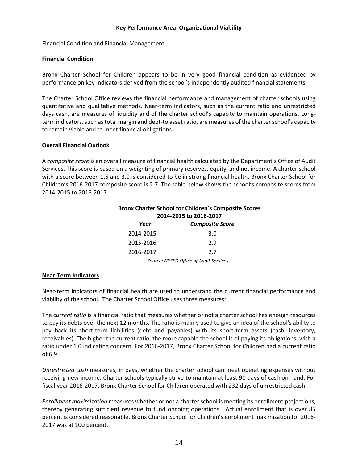#### **Key Performance Area: Organizational Viability**

Financial Condition and Financial Management

#### **Financial Condition**

Bronx Charter School for Children appears to be in very good financial condition as evidenced by performance on key indicators derived from the school's independently audited financial statements.

The Charter School Office reviews the financial performance and management of charter schools using quantitative and qualitative methods. Near‐term indicators, such as the current ratio and unrestricted days cash, are measures of liquidity and of the charter school's capacity to maintain operations. Long‐ term indicators, such as total margin and debt‐to asset ratio, are measures of the charter school's capacity to remain viable and to meet financial obligations.

#### **Overall Financial Outlook**

A *composite score* is an overall measure of financial health calculated by the Department's Office of Audit Services. This score is based on a weighting of primary reserves, equity, and net income. A charter school with a score between 1.5 and 3.0 is considered to be in strong financial health. Bronx Charter School for Children's 2016-2017 composite score is 2.7. The table below shows the school's composite scores from 2014-2015 to 2016-2017.

| 2014-2015 to 2016-2017 |                        |  |  |  |  |  |
|------------------------|------------------------|--|--|--|--|--|
| Year                   | <b>Composite Score</b> |  |  |  |  |  |
| 2014-2015              | 3.0                    |  |  |  |  |  |
| 2015-2016              | 2.9                    |  |  |  |  |  |
| 2016-2017              | 27                     |  |  |  |  |  |

# **Bronx Charter School for Children's Composite Scores**

*Source: NYSED Office of Audit Services*

#### **Near-Term Indicators**

Near-term indicators of financial health are used to understand the current financial performance and viability of the school. The Charter School Office uses three measures:

The *current ratio* is a financial ratio that measures whether or not a charter school has enough resources to pay its debts over the next 12 months. The ratio is mainly used to give an idea of the school's ability to pay back its short-term liabilities (debt and payables) with its short-term assets (cash, inventory, receivables). The higher the current ratio, the more capable the school is of paying its obligations, with a ratio under 1.0 indicating concern. For 2016-2017, Bronx Charter School for Children had a current ratio of 6.9.

*Unrestricted cash* measures, in days, whether the charter school can meet operating expenses without receiving new income. Charter schools typically strive to maintain at least 90 days of cash on hand. For fiscal year 2016-2017, Bronx Charter School for Children operated with 232 days of unrestricted cash.

*Enrollment maximization* measures whether or not a charter school is meeting its enrollment projections, thereby generating sufficient revenue to fund ongoing operations. Actual enrollment that is over 85 percent is considered reasonable. Bronx Charter School for Children's enrollment maximization for 2016- 2017 was at 100 percent.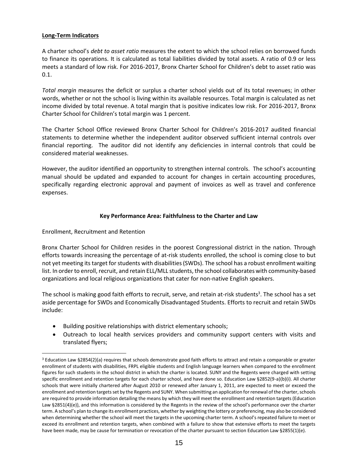#### **Long-Term Indicators**

A charter school's *debt to asset ratio* measures the extent to which the school relies on borrowed funds to finance its operations. It is calculated as total liabilities divided by total assets. A ratio of 0.9 or less meets a standard of low risk. For 2016-2017, Bronx Charter School for Children's debt to asset ratio was 0.1.

*Total margin* measures the deficit or surplus a charter school yields out of its total revenues; in other words, whether or not the school is living within its available resources. Total margin is calculated as net income divided by total revenue. A total margin that is positive indicates low risk. For 2016-2017, Bronx Charter School for Children's total margin was 1 percent.

The Charter School Office reviewed Bronx Charter School for Children's 2016-2017 audited financial statements to determine whether the independent auditor observed sufficient internal controls over financial reporting. The auditor did not identify any deficiencies in internal controls that could be considered material weaknesses.

However, the auditor identified an opportunity to strengthen internal controls. The school's accounting manual should be updated and expanded to account for changes in certain accounting procedures, specifically regarding electronic approval and payment of invoices as well as travel and conference expenses.

#### **Key Performance Area: Faithfulness to the Charter and Law**

Enrollment, Recruitment and Retention

 $\overline{a}$ 

Bronx Charter School for Children resides in the poorest Congressional district in the nation. Through efforts towards increasing the percentage of at-risk students enrolled, the school is coming close to but not yet meeting its target for students with disabilities (SWDs). The school has a robust enrollment waiting list. In order to enroll, recruit, and retain ELL/MLL students, the school collaborates with community-based organizations and local religious organizations that cater for non-native English speakers.

The school is making good faith efforts to recruit, serve, and retain at-risk students<sup>3</sup>. The school has a set aside percentage for SWDs and Economically Disadvantaged Students. Efforts to recruit and retain SWDs include:

- Building positive relationships with district elementary schools;
- Outreach to local health services providers and community support centers with visits and translated flyers;

<sup>3</sup> Education Law §2854(2)(a) requires that schools demonstrate good faith efforts to attract and retain a comparable or greater enrollment of students with disabilities, FRPL eligible students and English language learners when compared to the enrollment figures for such students in the school district in which the charter is located. SUNY and the Regents were charged with setting specific enrollment and retention targets for each charter school, and have done so. Education Law §2852(9-a)(b)(i). All charter schools that were initially chartered after August 2010 or renewed after January 1, 2011, are expected to meet or exceed the enrollment and retention targets set by the Regents and SUNY. When submitting an application for renewal of the charter, schools are required to provide information detailing the means by which they will meet the enrollment and retention targets (Education Law §2851(4)(e)), and this information is considered by the Regents in the review of the school's performance over the charter term. A school's plan to change its enrollment practices, whether by weighting the lottery or preferencing, may also be considered when determining whether the school will meet the targets in the upcoming charter term. A school's repeated failure to meet or exceed its enrollment and retention targets, when combined with a failure to show that extensive efforts to meet the targets have been made, may be cause for termination or revocation of the charter pursuant to section Education Law §2855(1)(e).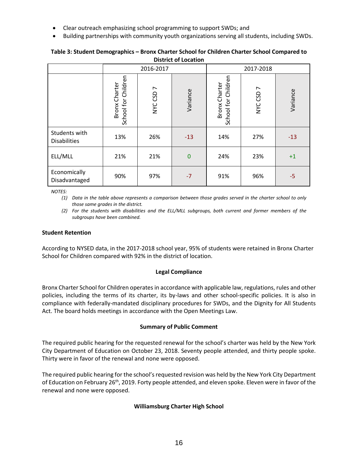- Clear outreach emphasizing school programming to support SWDs; and
- Building partnerships with community youth organizations serving all students, including SWDs.

| DISTRICT OF LOCATION                 |                                             |           |             |                                             |           |          |  |
|--------------------------------------|---------------------------------------------|-----------|-------------|---------------------------------------------|-----------|----------|--|
|                                      |                                             | 2016-2017 |             | 2017-2018                                   |           |          |  |
|                                      | School for Children<br><b>Bronx Charter</b> | NYC CSD 7 | Variance    | School for Children<br><b>Bronx Charter</b> | NYC CSD 7 | Variance |  |
| Students with<br><b>Disabilities</b> | 13%                                         | 26%       | $-13$       | 14%                                         | 27%       | $-13$    |  |
| ELL/MLL                              | 21%                                         | 21%       | $\mathbf 0$ | 24%                                         | 23%       | $+1$     |  |
| Economically<br>Disadvantaged        | 90%                                         | 97%       | $-7$        | 91%                                         | 96%       | $-5$     |  |

#### **Table 3: Student Demographics – Bronx Charter School for Children Charter School Compared to District of Location**

*NOTES:*

*(1) Data in the table above represents a comparison between those grades served in the charter school to only those same grades in the district.*

*(2) For the students with disabilities and the ELL/MLL subgroups, both current and former members of the subgroups have been combined.*

## **Student Retention**

According to NYSED data, in the 2017-2018 school year, 95% of students were retained in Bronx Charter School for Children compared with 92% in the district of location.

## **Legal Compliance**

Bronx Charter School for Children operatesin accordance with applicable law, regulations, rules and other policies, including the terms of its charter, its by-laws and other school-specific policies. It is also in compliance with federally-mandated disciplinary procedures for SWDs, and the Dignity for All Students Act. The board holds meetings in accordance with the Open Meetings Law.

## **Summary of Public Comment**

The required public hearing for the requested renewal for the school's charter was held by the New York City Department of Education on October 23, 2018. Seventy people attended, and thirty people spoke. Thirty were in favor of the renewal and none were opposed.

The required public hearing for the school's requested revision was held by the New York City Department of Education on February 26<sup>th</sup>, 2019. Forty people attended, and eleven spoke. Eleven were in favor of the renewal and none were opposed.

## **Williamsburg Charter High School**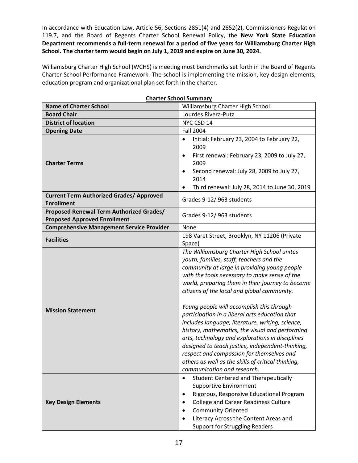In accordance with Education Law, Article 56, Sections 2851(4) and 2852(2), Commissioners Regulation 119.7, and the Board of Regents Charter School Renewal Policy, the **New York State Education Department recommends a full-term renewal for a period of five years for Williamsburg Charter High School. The charter term would begin on July 1, 2019 and expire on June 30, 2024.**

Williamsburg Charter High School (WCHS) is meeting most benchmarks set forth in the Board of Regents Charter School Performance Framework. The school is implementing the mission, key design elements, education program and organizational plan set forth in the charter.

| <b>Charter School Summary</b>                                                          |                                                                                                                                                                                                                                                                                                                                                                                                                                                                                                                                                                                                                                                                                                                                             |  |  |  |
|----------------------------------------------------------------------------------------|---------------------------------------------------------------------------------------------------------------------------------------------------------------------------------------------------------------------------------------------------------------------------------------------------------------------------------------------------------------------------------------------------------------------------------------------------------------------------------------------------------------------------------------------------------------------------------------------------------------------------------------------------------------------------------------------------------------------------------------------|--|--|--|
| <b>Name of Charter School</b>                                                          | Williamsburg Charter High School                                                                                                                                                                                                                                                                                                                                                                                                                                                                                                                                                                                                                                                                                                            |  |  |  |
| <b>Board Chair</b>                                                                     | Lourdes Rivera-Putz                                                                                                                                                                                                                                                                                                                                                                                                                                                                                                                                                                                                                                                                                                                         |  |  |  |
| <b>District of location</b>                                                            | NYC CSD 14                                                                                                                                                                                                                                                                                                                                                                                                                                                                                                                                                                                                                                                                                                                                  |  |  |  |
| <b>Opening Date</b>                                                                    | <b>Fall 2004</b>                                                                                                                                                                                                                                                                                                                                                                                                                                                                                                                                                                                                                                                                                                                            |  |  |  |
| <b>Charter Terms</b>                                                                   | Initial: February 23, 2004 to February 22,<br>$\bullet$<br>2009<br>First renewal: February 23, 2009 to July 27,<br>$\bullet$<br>2009<br>Second renewal: July 28, 2009 to July 27,<br>$\bullet$<br>2014<br>Third renewal: July 28, 2014 to June 30, 2019<br>$\bullet$                                                                                                                                                                                                                                                                                                                                                                                                                                                                        |  |  |  |
| <b>Current Term Authorized Grades/ Approved</b><br><b>Enrollment</b>                   | Grades 9-12/963 students                                                                                                                                                                                                                                                                                                                                                                                                                                                                                                                                                                                                                                                                                                                    |  |  |  |
| <b>Proposed Renewal Term Authorized Grades/</b><br><b>Proposed Approved Enrollment</b> | Grades 9-12/963 students                                                                                                                                                                                                                                                                                                                                                                                                                                                                                                                                                                                                                                                                                                                    |  |  |  |
| <b>Comprehensive Management Service Provider</b>                                       | None                                                                                                                                                                                                                                                                                                                                                                                                                                                                                                                                                                                                                                                                                                                                        |  |  |  |
| <b>Facilities</b>                                                                      | 198 Varet Street, Brooklyn, NY 11206 (Private<br>Space)                                                                                                                                                                                                                                                                                                                                                                                                                                                                                                                                                                                                                                                                                     |  |  |  |
| <b>Mission Statement</b>                                                               | The Williamsburg Charter High School unites<br>youth, families, staff, teachers and the<br>community at large in providing young people<br>with the tools necessary to make sense of the<br>world, preparing them in their journey to become<br>citizens of the local and global community.<br>Young people will accomplish this through<br>participation in a liberal arts education that<br>includes language, literature, writing, science,<br>history, mathematics, the visual and performing<br>arts, technology and explorations in disciplines<br>designed to teach justice, independent-thinking,<br>respect and compassion for themselves and<br>others as well as the skills of critical thinking,<br>communication and research. |  |  |  |
| <b>Key Design Elements</b>                                                             | <b>Student Centered and Therapeutically</b><br>$\bullet$<br><b>Supportive Environment</b><br>Rigorous, Responsive Educational Program<br>$\bullet$<br><b>College and Career Readiness Culture</b><br>$\bullet$<br><b>Community Oriented</b><br>Literacy Across the Content Areas and<br><b>Support for Struggling Readers</b>                                                                                                                                                                                                                                                                                                                                                                                                               |  |  |  |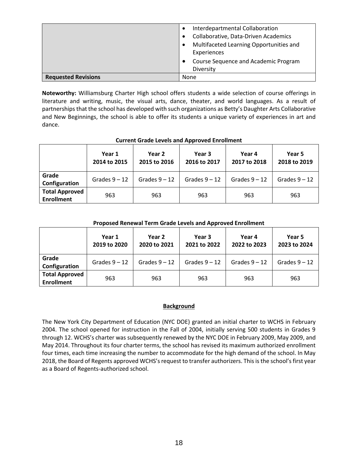|                            | Interdepartmental Collaboration              |
|----------------------------|----------------------------------------------|
|                            | Collaborative, Data-Driven Academics         |
|                            | Multifaceted Learning Opportunities and<br>٠ |
|                            | Experiences                                  |
|                            | Course Sequence and Academic Program         |
|                            | Diversity                                    |
| <b>Requested Revisions</b> | None                                         |

**Noteworthy:** Williamsburg Charter High school offers students a wide selection of course offerings in literature and writing, music, the visual arts, dance, theater, and world languages. As a result of partnerships that the school has developed with such organizations as Betty's Daughter Arts Collaborative and New Beginnings, the school is able to offer its students a unique variety of experiences in art and dance.

|                                            | Year 1<br>2014 to 2015 | Year 2<br>2015 to 2016 | Year 3<br>2016 to 2017 | Year 4<br>2017 to 2018 | Year 5<br>2018 to 2019 |  |  |
|--------------------------------------------|------------------------|------------------------|------------------------|------------------------|------------------------|--|--|
| Grade<br>Configuration                     | Grades $9 - 12$        | Grades $9 - 12$        | Grades $9 - 12$        | Grades $9 - 12$        | Grades $9 - 12$        |  |  |
| <b>Total Approved</b><br><b>Enrollment</b> | 963                    | 963                    | 963                    | 963                    | 963                    |  |  |

#### **Current Grade Levels and Approved Enrollment**

#### **Proposed Renewal Term Grade Levels and Approved Enrollment**

|                                            | Year 1<br>2019 to 2020 | Year 2<br>2020 to 2021 | Year 3<br>2021 to 2022 | Year 4<br>2022 to 2023 | Year 5<br>2023 to 2024 |
|--------------------------------------------|------------------------|------------------------|------------------------|------------------------|------------------------|
| Grade<br>Configuration                     | Grades $9 - 12$        | Grades $9 - 12$        | Grades $9 - 12$        | Grades $9 - 12$        | Grades $9 - 12$        |
| <b>Total Approved</b><br><b>Enrollment</b> | 963                    | 963                    | 963                    | 963                    | 963                    |

#### **Background**

The New York City Department of Education (NYC DOE) granted an initial charter to WCHS in February 2004. The school opened for instruction in the Fall of 2004, initially serving 500 students in Grades 9 through 12. WCHS's charter was subsequently renewed by the NYC DOE in February 2009, May 2009, and May 2014. Throughout its four charter terms, the school has revised its maximum authorized enrollment four times, each time increasing the number to accommodate for the high demand of the school. In May 2018, the Board of Regents approved WCHS's request to transfer authorizers. This is the school's first year as a Board of Regents-authorized school.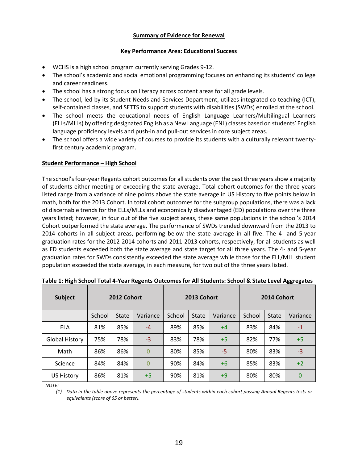#### **Summary of Evidence for Renewal**

#### **Key Performance Area: Educational Success**

- WCHS is a high school program currently serving Grades 9-12.
- The school's academic and social emotional programming focuses on enhancing its students' college and career readiness.
- The school has a strong focus on literacy across content areas for all grade levels.
- The school, led by its Student Needs and Services Department, utilizes integrated co-teaching (ICT), self-contained classes, and SETTS to support students with disabilities (SWDs) enrolled at the school.
- The school meets the educational needs of English Language Learners/Multilingual Learners (ELLs/MLLs) by offering designated English as a New Language (ENL) classes based on students' English language proficiency levels and push-in and pull-out services in core subject areas.
- The school offers a wide variety of courses to provide its students with a culturally relevant twentyfirst century academic program.

#### **Student Performance – High School**

The school's four-year Regents cohort outcomes for all students over the past three years show a majority of students either meeting or exceeding the state average. Total cohort outcomes for the three years listed range from a variance of nine points above the state average in US History to five points below in math, both for the 2013 Cohort. In total cohort outcomes for the subgroup populations, there was a lack of discernable trends for the ELLs/MLLs and economically disadvantaged (ED) populations over the three years listed; however, in four out of the five subject areas, these same populations in the school's 2014 Cohort outperformed the state average. The performance of SWDs trended downward from the 2013 to 2014 cohorts in all subject areas, performing below the state average in all five. The 4- and 5-year graduation rates for the 2012-2014 cohorts and 2011-2013 cohorts, respectively, for all students as well as ED students exceeded both the state average and state target for all three years. The 4- and 5-year graduation rates for SWDs consistently exceeded the state average while those for the ELL/MLL student population exceeded the state average, in each measure, for two out of the three years listed.

| <b>Subject</b>        |        | 2012 Cohort |                |        | 2013 Cohort |          |        | 2014 Cohort |          |
|-----------------------|--------|-------------|----------------|--------|-------------|----------|--------|-------------|----------|
|                       | School | State       | Variance       | School | State       | Variance | School | State       | Variance |
| ELA                   | 81%    | 85%         | $-4$           | 89%    | 85%         | $+4$     | 83%    | 84%         | $-1$     |
| <b>Global History</b> | 75%    | 78%         | $-3$           | 83%    | 78%         | $+5$     | 82%    | 77%         | $+5$     |
| Math                  | 86%    | 86%         | $\overline{0}$ | 80%    | 85%         | -5       | 80%    | 83%         | $-3$     |
| Science               | 84%    | 84%         | 0              | 90%    | 84%         | $+6$     | 85%    | 83%         | $+2$     |
| <b>US History</b>     | 86%    | 81%         | $+5$           | 90%    | 81%         | +9       | 80%    | 80%         | 0        |

**Table 1: High School Total 4-Year Regents Outcomes for All Students: School & State Level Aggregates**

*NOTE:*

*(1) Data in the table above represents the percentage of students within each cohort passing Annual Regents tests or equivalents (score of 65 or better).*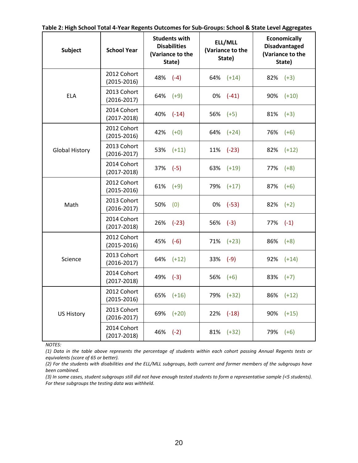|  |  | Table 2: High School Total 4-Year Regents Outcomes for Sub-Groups: School & State Level Aggregates |  |
|--|--|----------------------------------------------------------------------------------------------------|--|
|--|--|----------------------------------------------------------------------------------------------------|--|

| <b>Subject</b>        | <b>School Year</b>             | <b>Students with</b><br><b>Disabilities</b><br>(Variance to the<br>State) | ELL/MLL<br>(Variance to the<br>State) | <b>Economically</b><br><b>Disadvantaged</b><br>(Variance to the<br>State) |
|-----------------------|--------------------------------|---------------------------------------------------------------------------|---------------------------------------|---------------------------------------------------------------------------|
|                       | 2012 Cohort<br>$(2015 - 2016)$ | 48%<br>$(-4)$                                                             | $64\%$ $(+14)$                        | 82%<br>$(+3)$                                                             |
| <b>ELA</b>            | 2013 Cohort                    | 64%                                                                       | $(-41)$                               | $(+10)$                                                                   |
|                       | $(2016 - 2017)$                | $(+9)$                                                                    | 0%                                    | 90%                                                                       |
|                       | 2014 Cohort                    | 40%                                                                       | 56%                                   | 81%                                                                       |
|                       | $(2017 - 2018)$                | $(-14)$                                                                   | $(+5)$                                | $(+3)$                                                                    |
|                       | 2012 Cohort                    | 42%                                                                       | 64%                                   | 76%                                                                       |
|                       | $(2015 - 2016)$                | $(+0)$                                                                    | $(+24)$                               | $(+6)$                                                                    |
| <b>Global History</b> | 2013 Cohort                    | 53%                                                                       | 11%                                   | $(+12)$                                                                   |
|                       | $(2016 - 2017)$                | $(+11)$                                                                   | $(-23)$                               | 82%                                                                       |
|                       | 2014 Cohort                    | 37%                                                                       | 63%                                   | 77%                                                                       |
|                       | $(2017 - 2018)$                | $(-5)$                                                                    | $(+19)$                               | $(+8)$                                                                    |
|                       | 2012 Cohort                    | 61%                                                                       | 79%                                   | 87%                                                                       |
|                       | $(2015 - 2016)$                | $(+9)$                                                                    | $(+17)$                               | $(+6)$                                                                    |
| Math                  | 2013 Cohort                    | 50%                                                                       | 0%                                    | 82%                                                                       |
|                       | $(2016 - 2017)$                | (0)                                                                       | $(-53)$                               | $(+2)$                                                                    |
|                       | 2014 Cohort<br>$(2017 - 2018)$ | 26%<br>$(-23)$                                                            | 56%<br>$(-3)$                         | $77\%$ $(-1)$                                                             |
|                       | 2012 Cohort                    | 45%                                                                       | 71%                                   | 86%                                                                       |
|                       | $(2015 - 2016)$                | $(-6)$                                                                    | $(+23)$                               | $(+8)$                                                                    |
| Science               | 2013 Cohort                    | 64%                                                                       | 33%                                   | 92%                                                                       |
|                       | $(2016 - 2017)$                | $(+12)$                                                                   | $(-9)$                                | $(+14)$                                                                   |
|                       | 2014 Cohort                    | 49%                                                                       | 56%                                   | 83%                                                                       |
|                       | $(2017 - 2018)$                | $(-3)$                                                                    | $(+6)$                                | $(+7)$                                                                    |
|                       | 2012 Cohort<br>$(2015 - 2016)$ | 65% (+16)                                                                 | 79% (+32)                             | 86% (+12)                                                                 |
| <b>US History</b>     | 2013 Cohort<br>$(2016 - 2017)$ | $(+20)$<br>69%                                                            | $22\%$ (-18)                          | 90%<br>$(+15)$                                                            |
|                       | 2014 Cohort<br>$(2017 - 2018)$ | $46\%$ $(-2)$                                                             | $81\%$ (+32)                          | $79\%$ $(+6)$                                                             |

*NOTES:*

*(1) Data in the table above represents the percentage of students within each cohort passing Annual Regents tests or equivalents (score of 65 or better).*

*(2) For the students with disabilities and the ELL/MLL subgroups, both current and former members of the subgroups have been combined.*

*(3) In some cases, student subgroups still did not have enough tested students to form a representative sample (<5 students). For these subgroups the testing data was withheld.*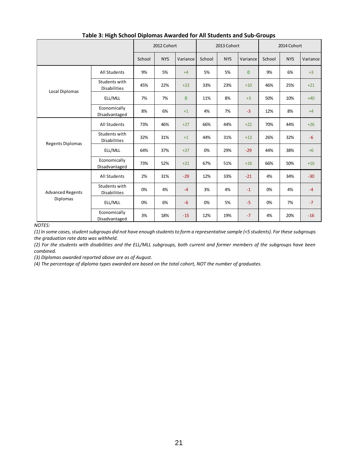|                         |                                      | 2012 Cohort |            | 2013 Cohort  |        |            | 2014 Cohort  |        |            |          |
|-------------------------|--------------------------------------|-------------|------------|--------------|--------|------------|--------------|--------|------------|----------|
|                         |                                      | School      | <b>NYS</b> | Variance     | School | <b>NYS</b> | Variance     | School | <b>NYS</b> | Variance |
|                         | All Students                         | 9%          | 5%         | $+4$         | 5%     | 5%         | $\mathbf{0}$ | 9%     | 6%         | $+3$     |
| Local Diplomas          | Students with<br>Disabilities        | 45%         | 22%        | $+23$        | 33%    | 23%        | $+10$        | 46%    | 25%        | $+21$    |
|                         | ELL/MLL                              | 7%          | 7%         | $\mathbf{0}$ | 11%    | 8%         | $+3$         | 50%    | 10%        | $+40$    |
|                         | Economically<br>Disadvantaged        | 8%          | 6%         | $+1$         | 4%     | 7%         | $-3$         | 12%    | 8%         | $+4$     |
|                         | All Students                         | 73%         | 46%        | $+27$        | 66%    | 44%        | $+22$        | 70%    | 44%        | $+26$    |
| <b>Regents Diplomas</b> | Students with<br><b>Disabilities</b> | 32%         | 31%        | $+1$         | 44%    | 31%        | $+13$        | 26%    | 32%        | $-6$     |
|                         | ELL/MLL                              | 64%         | 37%        | $+27$        | 0%     | 29%        | $-29$        | 44%    | 38%        | $+6$     |
|                         | Economically<br>Disadvantaged        | 73%         | 52%        | $+21$        | 67%    | 51%        | $+16$        | 66%    | 50%        | $+16$    |
|                         | <b>All Students</b>                  | 2%          | 31%        | $-29$        | 12%    | 33%        | $-21$        | 4%     | 34%        | $-30$    |
| <b>Advanced Regents</b> | Students with<br><b>Disabilities</b> | 0%          | 4%         | $-4$         | 3%     | 4%         | $-1$         | 0%     | 4%         | $-4$     |
| <b>Diplomas</b>         | ELL/MLL                              | 0%          | 6%         | $-6$         | 0%     | 5%         | $-5$         | 0%     | 7%<br>20%  | $-7$     |
| <b>VOTES:</b>           | Economically<br>Disadvantaged        | 3%          | 18%        | $-15$        | 12%    | 19%        | $-7$         | 4%     |            | $-16$    |

#### **Table 3: High School Diplomas Awarded for All Students and Sub-Groups**

*NOTES:*

*(1) In some cases, student subgroups did not have enough students to form a representative sample (<5 students). For these subgroups the graduation rate data was withheld.*

*(2) For the students with disabilities and the ELL/MLL subgroups, both current and former members of the subgroups have been combined.*

*(3) Diplomas awarded reported above are as of August.*

*(4) The percentage of diploma types awarded are based on the total cohort, NOT the number of graduates.*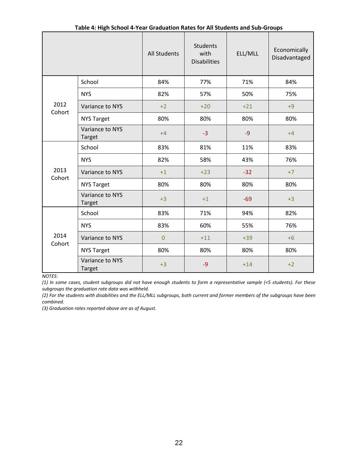|                |                                  | <b>All Students</b> | <b>Students</b><br>with<br><b>Disabilities</b> | ELL/MLL | Economically<br>Disadvantaged |
|----------------|----------------------------------|---------------------|------------------------------------------------|---------|-------------------------------|
|                | School                           | 84%                 | 77%                                            | 71%     | 84%                           |
|                | <b>NYS</b>                       | 82%                 | 57%                                            | 50%     | 75%                           |
| 2012<br>Cohort | Variance to NYS                  | $+2$                | $+20$                                          | $+21$   | $+9$                          |
|                | <b>NYS Target</b>                | 80%                 | 80%                                            | 80%     | 80%                           |
|                | Variance to NYS<br><b>Target</b> | $+4$                | $-3$                                           | $-9$    | $+4$                          |
|                | School                           | 83%                 | 81%                                            | 11%     | 83%                           |
|                | <b>NYS</b>                       | 82%                 | 58%                                            | 43%     | 76%                           |
| 2013<br>Cohort | Variance to NYS                  | $+1$                | $+23$                                          | $-32$   | $+7$                          |
|                | <b>NYS Target</b>                | 80%                 | 80%                                            | 80%     | 80%                           |
|                | Variance to NYS<br><b>Target</b> | $+3$                | $+1$                                           | $-69$   | $+3$                          |
|                | School                           | 83%                 | 71%                                            | 94%     | 82%                           |
|                | <b>NYS</b>                       | 83%                 | 60%                                            | 55%     | 76%                           |
| 2014<br>Cohort | Variance to NYS                  | $\overline{0}$      | $+11$                                          | $+39$   | $+6$                          |
|                | <b>NYS Target</b>                | 80%                 | 80%                                            | 80%     | 80%                           |
|                | Variance to NYS<br><b>Target</b> | $+3$                | $-9$                                           | $+14$   | $+2$                          |

**Table 4: High School 4-Year Graduation Rates for All Students and Sub-Groups**

*NOTES:*

*(1) In some cases, student subgroups did not have enough students to form a representative sample (<5 students). For these subgroups the graduation rate data was withheld.*

*(2) For the students with disabilities and the ELL/MLL subgroups, both current and former members of the subgroups have been combined.*

*(3) Graduation rates reported above are as of August.*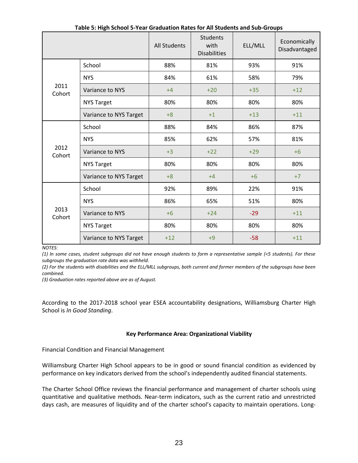|                |                        | <b>All Students</b> | <b>Students</b><br>with<br><b>Disabilities</b> | ELL/MLL | Economically<br>Disadvantaged                                                     |
|----------------|------------------------|---------------------|------------------------------------------------|---------|-----------------------------------------------------------------------------------|
|                | School                 | 88%                 | 81%                                            | 93%     | 91%                                                                               |
|                | <b>NYS</b>             | 84%                 | 61%                                            | 58%     | 79%                                                                               |
| 2011<br>Cohort | Variance to NYS        | $+4$                | $+20$                                          | $+35$   | $+12$                                                                             |
|                | <b>NYS Target</b>      | 80%                 | 80%                                            | 80%     | 80%                                                                               |
|                | Variance to NYS Target | $+8$                | $+1$                                           | $+13$   | $+11$<br>87%<br>81%<br>$+6$<br>80%<br>$+7$<br>91%<br>80%<br>$+11$<br>80%<br>$+11$ |
|                | School                 | 88%                 | 84%                                            | 86%     |                                                                                   |
|                | <b>NYS</b>             | 85%                 | 62%                                            | 57%     |                                                                                   |
| 2012<br>Cohort | Variance to NYS        | $+3$                | $+22$                                          | $+29$   |                                                                                   |
|                | <b>NYS Target</b>      | 80%                 | 80%                                            | 80%     |                                                                                   |
|                | Variance to NYS Target | $+8$                | $+4$                                           | $+6$    |                                                                                   |
|                | School                 | 92%                 | 89%                                            | 22%     |                                                                                   |
|                | <b>NYS</b>             | 86%                 | 65%                                            | 51%     |                                                                                   |
| 2013<br>Cohort | Variance to NYS        | $+6$                | $+24$                                          | $-29$   |                                                                                   |
|                | <b>NYS Target</b>      | 80%                 | 80%                                            | 80%     |                                                                                   |
|                | Variance to NYS Target | $+12$               | $+9$                                           | $-58$   |                                                                                   |

**Table 5: High School 5-Year Graduation Rates for All Students and Sub-Groups**

*NOTES:*

*(1) In some cases, student subgroups did not have enough students to form a representative sample (<5 students). For these subgroups the graduation rate data was withheld.*

*(2) For the students with disabilities and the ELL/MLL subgroups, both current and former members of the subgroups have been combined.*

*(3) Graduation rates reported above are as of August.*

According to the 2017-2018 school year ESEA accountability designations, Williamsburg Charter High School is *In Good Standing*.

#### **Key Performance Area: Organizational Viability**

Financial Condition and Financial Management

Williamsburg Charter High School appears to be in good or sound financial condition as evidenced by performance on key indicators derived from the school's independently audited financial statements.

The Charter School Office reviews the financial performance and management of charter schools using quantitative and qualitative methods. Near‐term indicators, such as the current ratio and unrestricted days cash, are measures of liquidity and of the charter school's capacity to maintain operations. Long‐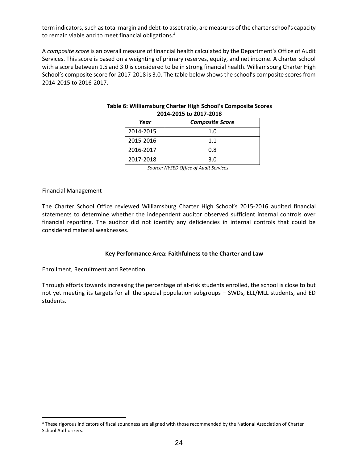term indicators, such as total margin and debt‐to asset ratio, are measures of the charter school's capacity to remain viable and to meet financial obligations.<sup>4</sup>

A *composite score* is an overall measure of financial health calculated by the Department's Office of Audit Services. This score is based on a weighting of primary reserves, equity, and net income. A charter school with a score between 1.5 and 3.0 is considered to be in strong financial health. Williamsburg Charter High School's composite score for 2017-2018 is 3.0. The table below shows the school's composite scores from 2014-2015 to 2016-2017.

| LUI4-LUIJ LU LUI1-LUIO |                        |  |  |  |  |  |
|------------------------|------------------------|--|--|--|--|--|
| Year                   | <b>Composite Score</b> |  |  |  |  |  |
| 2014-2015              | 1.0                    |  |  |  |  |  |
| 2015-2016              | 1.1                    |  |  |  |  |  |
| 2016-2017              | 0.8                    |  |  |  |  |  |
| 2017-2018              | 3.0                    |  |  |  |  |  |

#### **Table 6: Williamsburg Charter High School's Composite Scores 2014-2015 to 2017-2018**

*Source: NYSED Office of Audit Services*

#### Financial Management

 $\overline{a}$ 

The Charter School Office reviewed Williamsburg Charter High School's 2015-2016 audited financial statements to determine whether the independent auditor observed sufficient internal controls over financial reporting. The auditor did not identify any deficiencies in internal controls that could be considered material weaknesses.

#### **Key Performance Area: Faithfulness to the Charter and Law**

Enrollment, Recruitment and Retention

Through efforts towards increasing the percentage of at-risk students enrolled, the school is close to but not yet meeting its targets for all the special population subgroups – SWDs, ELL/MLL students, and ED students.

<sup>4</sup> These rigorous indicators of fiscal soundness are aligned with those recommended by the National Association of Charter School Authorizers.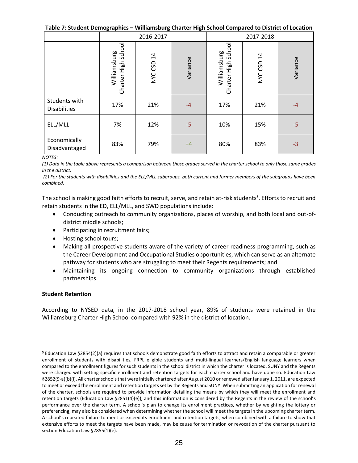**Table 7: Student Demographics – Williamsburg Charter High School Compared to District of Location**

|                                      |                                        | 2016-2017  |          | 2017-2018<br>Charter High School<br>Williamsburg<br>NYC CSD 14<br>Variance<br>17%<br>21%<br>$-4$ |     |      |  |
|--------------------------------------|----------------------------------------|------------|----------|--------------------------------------------------------------------------------------------------|-----|------|--|
|                                      | School<br>Williamsburg<br>Charter High | NYC CSD 14 | Variance |                                                                                                  |     |      |  |
| Students with<br><b>Disabilities</b> | 17%                                    | 21%        | $-4$     |                                                                                                  |     |      |  |
| ELL/MLL                              | 7%                                     | 12%        | $-5$     | 10%                                                                                              | 15% | $-5$ |  |
| Economically<br>Disadvantaged        | 83%                                    | 79%        | $+4$     | 80%                                                                                              | 83% | $-3$ |  |

#### *NOTES:*

*(1) Data in the table above represents a comparison between those grades served in the charter school to only those same grades in the district.*

*(2) For the students with disabilities and the ELL/MLL subgroups, both current and former members of the subgroups have been combined.*

The school is making good faith efforts to recruit, serve, and retain at-risk students<sup>5</sup>. Efforts to recruit and retain students in the ED, ELL/MLL, and SWD populations include:

- Conducting outreach to community organizations, places of worship, and both local and out-ofdistrict middle schools;
- Participating in recruitment fairs;
- Hosting school tours;
- Making all prospective students aware of the variety of career readiness programming, such as the Career Development and Occupational Studies opportunities, which can serve as an alternate pathway for students who are struggling to meet their Regents requirements; and
- Maintaining its ongoing connection to community organizations through established partnerships.

#### **Student Retention**

 $\overline{a}$ 

According to NYSED data, in the 2017-2018 school year, 89% of students were retained in the Williamsburg Charter High School compared with 92% in the district of location.

<sup>5</sup> Education Law §2854(2)(a) requires that schools demonstrate good faith efforts to attract and retain a comparable or greater enrollment of students with disabilities, FRPL eligible students and multi-lingual learners/English language learners when compared to the enrollment figures for such students in the school district in which the charter is located. SUNY and the Regents were charged with setting specific enrollment and retention targets for each charter school and have done so. Education Law §2852(9-a)(b)(i). All charter schools that were initially chartered after August 2010 or renewed after January 1, 2011, are expected to meet or exceed the enrollment and retention targets set by the Regents and SUNY. When submitting an application for renewal of the charter, schools are required to provide information detailing the means by which they will meet the enrollment and retention targets (Education Law §2851(4)(e)), and this information is considered by the Regents in the review of the school's performance over the charter term. A school's plan to change its enrollment practices, whether by weighting the lottery or preferencing, may also be considered when determining whether the school will meet the targets in the upcoming charter term. A school's repeated failure to meet or exceed its enrollment and retention targets, when combined with a failure to show that extensive efforts to meet the targets have been made, may be cause for termination or revocation of the charter pursuant to section Education Law §2855(1)(e).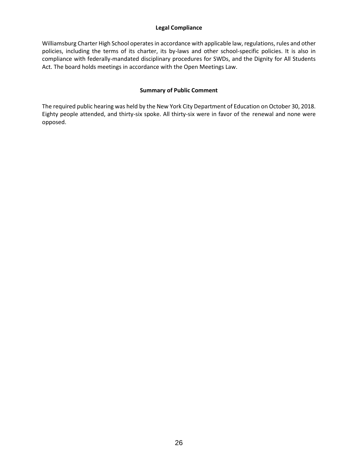#### **Legal Compliance**

Williamsburg Charter High School operates in accordance with applicable law, regulations, rules and other policies, including the terms of its charter, its by-laws and other school-specific policies. It is also in compliance with federally-mandated disciplinary procedures for SWDs, and the Dignity for All Students Act. The board holds meetings in accordance with the Open Meetings Law.

#### **Summary of Public Comment**

The required public hearing was held by the New York City Department of Education on October 30, 2018. Eighty people attended, and thirty-six spoke. All thirty-six were in favor of the renewal and none were opposed.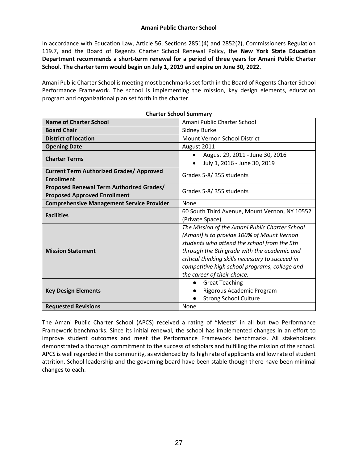#### **Amani Public Charter School**

In accordance with Education Law, Article 56, Sections 2851(4) and 2852(2), Commissioners Regulation 119.7, and the Board of Regents Charter School Renewal Policy, the **New York State Education Department recommends a short-term renewal for a period of three years for Amani Public Charter School. The charter term would begin on July 1, 2019 and expire on June 30, 2022.** 

Amani Public Charter School is meeting most benchmarks set forth in the Board of Regents Charter School Performance Framework. The school is implementing the mission, key design elements, education program and organizational plan set forth in the charter.

| Charter School Summary                                                          |                                                                                                                                                                                                                                                                                                                                |  |  |  |  |
|---------------------------------------------------------------------------------|--------------------------------------------------------------------------------------------------------------------------------------------------------------------------------------------------------------------------------------------------------------------------------------------------------------------------------|--|--|--|--|
| <b>Name of Charter School</b>                                                   | Amani Public Charter School                                                                                                                                                                                                                                                                                                    |  |  |  |  |
| <b>Board Chair</b>                                                              | Sidney Burke                                                                                                                                                                                                                                                                                                                   |  |  |  |  |
| <b>District of location</b>                                                     | Mount Vernon School District                                                                                                                                                                                                                                                                                                   |  |  |  |  |
| <b>Opening Date</b>                                                             | August 2011                                                                                                                                                                                                                                                                                                                    |  |  |  |  |
| <b>Charter Terms</b>                                                            | August 29, 2011 - June 30, 2016<br>July 1, 2016 - June 30, 2019                                                                                                                                                                                                                                                                |  |  |  |  |
| <b>Current Term Authorized Grades/ Approved</b><br><b>Enrollment</b>            | Grades 5-8/355 students                                                                                                                                                                                                                                                                                                        |  |  |  |  |
| Proposed Renewal Term Authorized Grades/<br><b>Proposed Approved Enrollment</b> | Grades 5-8/355 students                                                                                                                                                                                                                                                                                                        |  |  |  |  |
| <b>Comprehensive Management Service Provider</b>                                | None                                                                                                                                                                                                                                                                                                                           |  |  |  |  |
| <b>Facilities</b>                                                               | 60 South Third Avenue, Mount Vernon, NY 10552<br>(Private Space)                                                                                                                                                                                                                                                               |  |  |  |  |
| <b>Mission Statement</b>                                                        | The Mission of the Amani Public Charter School<br>(Amani) is to provide 100% of Mount Vernon<br>students who attend the school from the 5th<br>through the 8th grade with the academic and<br>critical thinking skills necessary to succeed in<br>competitive high school programs, college and<br>the career of their choice. |  |  |  |  |
| <b>Key Design Elements</b>                                                      | <b>Great Teaching</b><br>Rigorous Academic Program<br><b>Strong School Culture</b>                                                                                                                                                                                                                                             |  |  |  |  |
| <b>Requested Revisions</b>                                                      | <b>None</b>                                                                                                                                                                                                                                                                                                                    |  |  |  |  |

**Charter School Summary**

The Amani Public Charter School (APCS) received a rating of "Meets" in all but two Performance Framework benchmarks. Since its initial renewal, the school has implemented changes in an effort to improve student outcomes and meet the Performance Framework benchmarks. All stakeholders demonstrated a thorough commitment to the success of scholars and fulfilling the mission of the school. APCS is well regarded in the community, as evidenced by its high rate of applicants and low rate of student attrition. School leadership and the governing board have been stable though there have been minimal changes to each.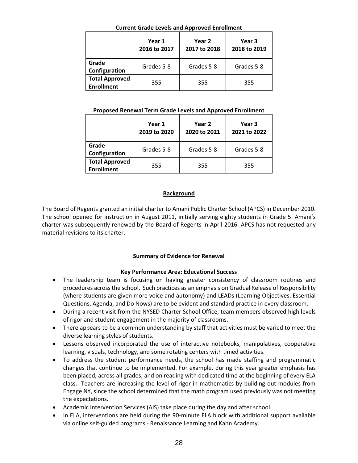#### **Current Grade Levels and Approved Enrollment**

|                                            | Year 1<br>2016 to 2017 | Year 2<br>2017 to 2018 | Year 3<br>2018 to 2019 |  |
|--------------------------------------------|------------------------|------------------------|------------------------|--|
| Grade<br>Configuration                     | Grades 5-8             | Grades 5-8             | Grades 5-8             |  |
| <b>Total Approved</b><br><b>Enrollment</b> | 355                    | 355                    | 355                    |  |

#### **Proposed Renewal Term Grade Levels and Approved Enrollment**

|                                            | Year 1<br>2019 to 2020 | Year 2<br>2020 to 2021 | Year 3<br>2021 to 2022 |  |  |
|--------------------------------------------|------------------------|------------------------|------------------------|--|--|
| Grade<br>Configuration                     | Grades 5-8             | Grades 5-8             | Grades 5-8             |  |  |
| <b>Total Approved</b><br><b>Enrollment</b> | 355                    | 355                    | 355                    |  |  |

## **Background**

The Board of Regents granted an initial charter to Amani Public Charter School (APCS) in December 2010. The school opened for instruction in August 2011, initially serving eighty students in Grade 5. Amani's charter was subsequently renewed by the Board of Regents in April 2016. APCS has not requested any material revisions to its charter.

## **Summary of Evidence for Renewal**

## **Key Performance Area: Educational Success**

- The leadership team is focusing on having greater consistency of classroom routines and procedures across the school. Such practices as an emphasis on Gradual Release of Responsibility (where students are given more voice and autonomy) and LEADs (Learning Objectives, Essential Questions, Agenda, and Do Nows) are to be evident and standard practice in every classroom.
- During a recent visit from the NYSED Charter School Office, team members observed high levels of rigor and student engagement in the majority of classrooms.
- There appears to be a common understanding by staff that activities must be varied to meet the diverse learning styles of students.
- Lessons observed incorporated the use of interactive notebooks, manipulatives, cooperative learning, visuals, technology, and some rotating centers with timed activities.
- To address the student performance needs, the school has made staffing and programmatic changes that continue to be implemented. For example, during this year greater emphasis has been placed, across all grades, and on reading with dedicated time at the beginning of every ELA class. Teachers are increasing the level of rigor in mathematics by building out modules from Engage NY, since the school determined that the math program used previously was not meeting the expectations.
- Academic Intervention Services (AIS) take place during the day and after school.
- In ELA, interventions are held during the 90-minute ELA block with additional support available via online self-guided programs - Renaissance Learning and Kahn Academy.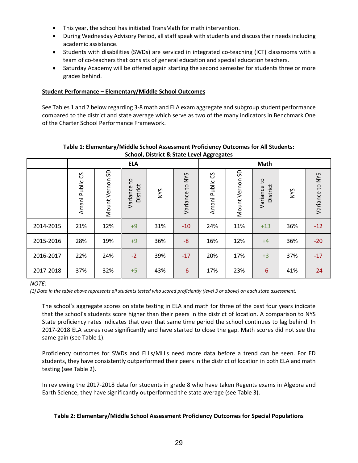- This year, the school has initiated TransMath for math intervention.
- During Wednesday Advisory Period, all staff speak with students and discuss their needs including academic assistance.
- Students with disabilities (SWDs) are serviced in integrated co-teaching (ICT) classrooms with a team of co-teachers that consists of general education and special education teachers.
- Saturday Academy will be offered again starting the second semester for students three or more grades behind.

#### **Student Performance – Elementary/Middle School Outcomes**

See Tables 1 and 2 below regarding 3-8 math and ELA exam aggregate and subgroup student performance compared to the district and state average which serve as two of the many indicators in Benchmark One of the Charter School Performance Framework.

|           |                      |                 | <b>ELA</b>                             |            |                 | <b>Math</b>          |                 |                                      |     |                 |
|-----------|----------------------|-----------------|----------------------------------------|------------|-----------------|----------------------|-----------------|--------------------------------------|-----|-----------------|
|           | უ<br>Public<br>Amani | Mount Vernon SD | $\mathtt{c}_1$<br>District<br>Variance | <b>NYS</b> | Variance to NYS | უ<br>Public<br>Amani | Mount Vernon SD | $\mathsf{c}$<br>District<br>Variance | NYS | Variance to NYS |
| 2014-2015 | 21%                  | 12%             | $+9$                                   | 31%        | $-10$           | 24%                  | 11%             | $+13$                                | 36% | $-12$           |
| 2015-2016 | 28%                  | 19%             | $+9$                                   | 36%        | $-8$            | 16%                  | 12%             | $+4$                                 | 36% | $-20$           |
| 2016-2017 | 22%                  | 24%             | $-2$                                   | 39%        | $-17$           | 20%                  | 17%             | $+3$                                 | 37% | $-17$           |
| 2017-2018 | 37%                  | 32%             | $+5$                                   | 43%        | $-6$            | 17%                  | 23%             | $-6$                                 | 41% | $-24$           |

#### **Table 1: Elementary/Middle School Assessment Proficiency Outcomes for All Students: School, District & State Level Aggregates**

#### *NOTE:*

*(1) Data in the table above represents all students tested who scored proficiently (level 3 or above) on each state assessment.*

The school's aggregate scores on state testing in ELA and math for three of the past four years indicate that the school's students score higher than their peers in the district of location. A comparison to NYS State proficiency rates indicates that over that same time period the school continues to lag behind. In 2017-2018 ELA scores rose significantly and have started to close the gap. Math scores did not see the same gain (see Table 1).

Proficiency outcomes for SWDs and ELLs/MLLs need more data before a trend can be seen. For ED students, they have consistently outperformed their peers in the district of location in both ELA and math testing (see Table 2).

In reviewing the 2017-2018 data for students in grade 8 who have taken Regents exams in Algebra and Earth Science, they have significantly outperformed the state average (see Table 3).

#### **Table 2: Elementary/Middle School Assessment Proficiency Outcomes for Special Populations**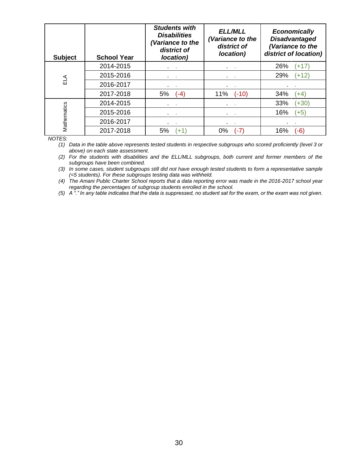| <b>Subject</b> | <b>School Year</b> | <b>Students with</b><br><b>Disabilities</b><br>(Variance to the<br>district of<br>location) | <b>ELL/MLL</b><br>Variance to the<br>district of<br><i>location</i> ) | <b>Economically</b><br><b>Disadvantaged</b><br>(Variance to the<br>district of location) |
|----------------|--------------------|---------------------------------------------------------------------------------------------|-----------------------------------------------------------------------|------------------------------------------------------------------------------------------|
|                | 2014-2015          | <b>COL</b>                                                                                  | ×<br>٠.                                                               | 26%<br>(+17                                                                              |
| ≦⊿             | 2015-2016          | ×                                                                                           | ×.<br>٠.                                                              | 29%<br>$(+12)$                                                                           |
|                | 2016-2017          | ×                                                                                           | $\sim$                                                                |                                                                                          |
|                | 2017-2018          | 5%<br>$(-4)$                                                                                | 11%<br>$(-10)$                                                        | 34%<br>(+4)                                                                              |
|                | 2014-2015          | ×                                                                                           | ×                                                                     | 33%<br>$(+30)$                                                                           |
| Mathematics    | 2015-2016          | <b>COL</b>                                                                                  | <b>Contract</b><br>$\blacksquare$                                     | 16%<br>$(+5)$                                                                            |
|                | 2016-2017          | ×                                                                                           | $\sim$<br>٠                                                           | п.<br>٠.                                                                                 |
|                | 2017-2018          | 5%<br>$+1$                                                                                  | $0\%$<br>$(-7)$                                                       | $(-6)$<br>16%                                                                            |

*NOTES:*

*(1) Data in the table above represents tested students in respective subgroups who scored proficiently (level 3 or above) on each state assessment.*

*(2) For the students with disabilities and the ELL/MLL subgroups, both current and former members of the subgroups have been combined.*

*(3) In some cases, student subgroups still did not have enough tested students to form a representative sample (<5 students). For these subgroups testing data was withheld.*

*(4) The Amani Public Charter School reports that a data reporting error was made in the 2016-2017 school year regarding the percentages of subgroup students enrolled in the school.*

*(5) A "." In any table indicates that the data is suppressed, no student sat for the exam, or the exam was not given.*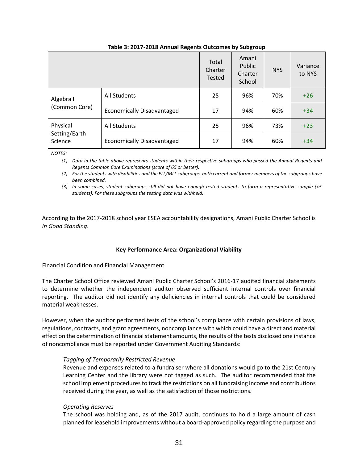|                                      |                                   | Total<br>Charter<br><b>Tested</b> | Amani<br>Public<br>Charter<br>School | <b>NYS</b> | Variance<br>to NYS |
|--------------------------------------|-----------------------------------|-----------------------------------|--------------------------------------|------------|--------------------|
| Algebra I<br>(Common Core)           | <b>All Students</b>               | 25                                | 96%                                  | 70%        | $+26$              |
|                                      | <b>Economically Disadvantaged</b> | 17                                | 94%                                  | 60%        | $+34$              |
| Physical<br>Setting/Earth<br>Science | All Students                      | 25                                | 96%                                  | 73%        | $+23$              |
|                                      | <b>Economically Disadvantaged</b> | 17                                | 94%                                  | 60%        | $+34$              |

#### **Table 3: 2017-2018 Annual Regents Outcomes by Subgroup**

*NOTES:*

*(1) Data in the table above represents students within their respective subgroups who passed the Annual Regents and Regents Common Core Examinations (score of 65 or better).*

*(2) For the students with disabilities and the ELL/MLL subgroups, both current and former members of the subgroups have been combined.*

*(3) In some cases, student subgroups still did not have enough tested students to form a representative sample (<5 students). For these subgroups the testing data was withheld.*

According to the 2017-2018 school year ESEA accountability designations, Amani Public Charter School is *In Good Standing*.

#### **Key Performance Area: Organizational Viability**

Financial Condition and Financial Management

The Charter School Office reviewed Amani Public Charter School's 2016-17 audited financial statements to determine whether the independent auditor observed sufficient internal controls over financial reporting. The auditor did not identify any deficiencies in internal controls that could be considered material weaknesses.

However, when the auditor performed tests of the school's compliance with certain provisions of laws, regulations, contracts, and grant agreements, noncompliance with which could have a direct and material effect on the determination of financial statement amounts, the results of the tests disclosed one instance of noncompliance must be reported under Government Auditing Standards:

#### *Tagging of Temporarily Restricted Revenue*

Revenue and expenses related to a fundraiser where all donations would go to the 21st Century Learning Center and the library were not tagged as such. The auditor recommended that the school implement procedures to track the restrictions on all fundraising income and contributions received during the year, as well as the satisfaction of those restrictions.

#### *Operating Reserves*

The school was holding and, as of the 2017 audit, continues to hold a large amount of cash planned for leasehold improvements without a board-approved policy regarding the purpose and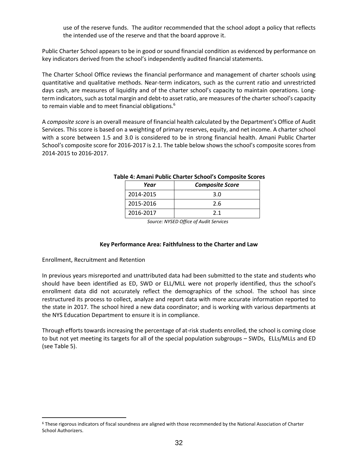use of the reserve funds. The auditor recommended that the school adopt a policy that reflects the intended use of the reserve and that the board approve it.

Public Charter School appears to be in good or sound financial condition as evidenced by performance on key indicators derived from the school's independently audited financial statements.

The Charter School Office reviews the financial performance and management of charter schools using quantitative and qualitative methods. Near‐term indicators, such as the current ratio and unrestricted days cash, are measures of liquidity and of the charter school's capacity to maintain operations. Long‐ term indicators, such as total margin and debt‐to asset ratio, are measures of the charter school's capacity to remain viable and to meet financial obligations.<sup>6</sup>

A *composite score* is an overall measure of financial health calculated by the Department's Office of Audit Services. This score is based on a weighting of primary reserves, equity, and net income. A charter school with a score between 1.5 and 3.0 is considered to be in strong financial health. Amani Public Charter School's composite score for 2016-2017 is 2.1. The table below shows the school's composite scores from 2014-2015 to 2016-2017.

| Year      | <b>Composite Score</b> |  |  |  |  |
|-----------|------------------------|--|--|--|--|
| 2014-2015 | 3.0                    |  |  |  |  |
| 2015-2016 | 2.6                    |  |  |  |  |
| 2016-2017 | 21                     |  |  |  |  |

#### **Table 4: Amani Public Charter School's Composite Scores**

*Source: NYSED Office of Audit Services*

#### **Key Performance Area: Faithfulness to the Charter and Law**

Enrollment, Recruitment and Retention

 $\overline{a}$ 

In previous years misreported and unattributed data had been submitted to the state and students who should have been identified as ED, SWD or ELL/MLL were not properly identified, thus the school's enrollment data did not accurately reflect the demographics of the school. The school has since restructured its process to collect, analyze and report data with more accurate information reported to the state in 2017. The school hired a new data coordinator; and is working with various departments at the NYS Education Department to ensure it is in compliance.

Through efforts towards increasing the percentage of at-risk students enrolled, the school is coming close to but not yet meeting its targets for all of the special population subgroups – SWDs, ELLs/MLLs and ED (see Table 5).

<sup>6</sup> These rigorous indicators of fiscal soundness are aligned with those recommended by the National Association of Charter School Authorizers.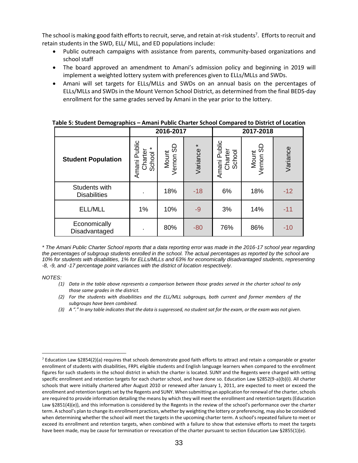The school is making good faith efforts to recruit, serve, and retain at-risk students<sup>7</sup>. Efforts to recruit and retain students in the SWD, ELL/ MLL, and ED populations include:

- Public outreach campaigns with assistance from parents, community-based organizations and school staff
- The board approved an amendment to Amani's admission policy and beginning in 2019 will implement a weighted lottery system with preferences given to ELLs/MLLs and SWDs.
- Amani will set targets for ELLs/MLLs and SWDs on an annual basis on the percentages of ELLs/MLLs and SWDs in the Mount Vernon School District, as determined from the final BEDS-day enrollment for the same grades served by Amani in the year prior to the lottery.

|                                      | 2016-2017                                    |                        |                     | 2017-2018                            |                    |          |
|--------------------------------------|----------------------------------------------|------------------------|---------------------|--------------------------------------|--------------------|----------|
| <b>Student Population</b>            | Amani Public<br>Charter<br>$\star$<br>School | 9<br>Mount<br>Vernon S | $\star$<br>Variance | Public<br>Charter<br>School<br>Amani | Mount<br>Vernon SE | Variance |
| Students with<br><b>Disabilities</b> |                                              | 18%                    | $-18$               | 6%                                   | 18%                | $-12$    |
| ELL/MLL                              | 1%                                           | 10%                    | $-9$                | 3%                                   | 14%                | $-11$    |
| Economically<br>Disadvantaged        | $\blacksquare$                               | 80%                    | $-80$               | 76%                                  | 86%                | $-10$    |

|  | Table 5: Student Demographics – Amani Public Charter School Compared to District of Location |  |
|--|----------------------------------------------------------------------------------------------|--|
|  |                                                                                              |  |

*\* The Amani Public Charter School reports that a data reporting error was made in the 2016-17 school year regarding the percentages of subgroup students enrolled in the school. The actual percentages as reported by the school are 10% for students with disabilities, 1% for ELLs/MLLs and 63% for economically disadvantaged students, representing -8, -9, and -17 percentage point variances with the district of location respectively.*

*NOTES:*

- *(1) Data in the table above represents a comparison between those grades served in the charter school to only those same grades in the district.*
- *(2) For the students with disabilities and the ELL/MLL subgroups, both current and former members of the subgroups have been combined.*
- *(3) A "." In any table indicates that the data is suppressed, no student sat for the exam, or the exam was not given.*

 $\overline{a}$ <sup>7</sup> Education Law §2854(2)(a) requires that schools demonstrate good faith efforts to attract and retain a comparable or greater enrollment of students with disabilities, FRPL eligible students and English language learners when compared to the enrollment figures for such students in the school district in which the charter is located. SUNY and the Regents were charged with setting specific enrollment and retention targets for each charter school, and have done so. Education Law §2852(9-a)(b)(i). All charter schools that were initially chartered after August 2010 or renewed after January 1, 2011, are expected to meet or exceed the enrollment and retention targets set by the Regents and SUNY. When submitting an application for renewal of the charter, schools are required to provide information detailing the means by which they will meet the enrollment and retention targets (Education Law §2851(4)(e)), and this information is considered by the Regents in the review of the school's performance over the charter term. A school's plan to change its enrollment practices, whether by weighting the lottery or preferencing, may also be considered when determining whether the school will meet the targets in the upcoming charter term. A school's repeated failure to meet or exceed its enrollment and retention targets, when combined with a failure to show that extensive efforts to meet the targets have been made, may be cause for termination or revocation of the charter pursuant to section Education Law §2855(1)(e).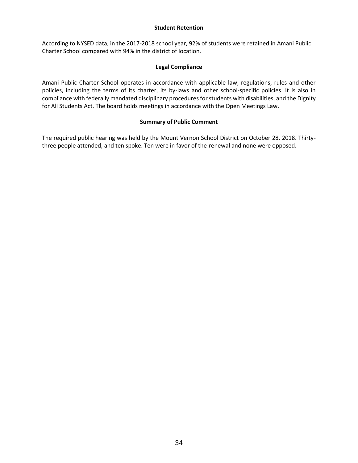#### **Student Retention**

According to NYSED data, in the 2017-2018 school year, 92% of students were retained in Amani Public Charter School compared with 94% in the district of location.

#### **Legal Compliance**

Amani Public Charter School operates in accordance with applicable law, regulations, rules and other policies, including the terms of its charter, its by-laws and other school-specific policies. It is also in compliance with federally mandated disciplinary procedures for students with disabilities, and the Dignity for All Students Act. The board holds meetings in accordance with the Open Meetings Law.

#### **Summary of Public Comment**

The required public hearing was held by the Mount Vernon School District on October 28, 2018. Thirtythree people attended, and ten spoke. Ten were in favor of the renewal and none were opposed.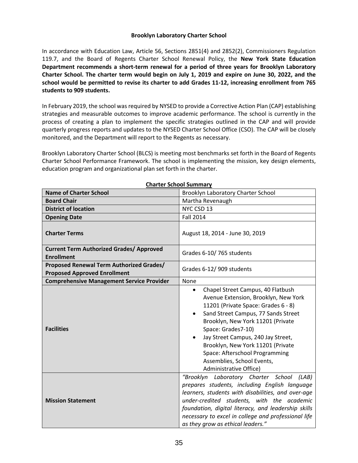#### **Brooklyn Laboratory Charter School**

In accordance with Education Law, Article 56, Sections 2851(4) and 2852(2), Commissioners Regulation 119.7, and the Board of Regents Charter School Renewal Policy, the **New York State Education Department recommends a short-term renewal for a period of three years for Brooklyn Laboratory Charter School. The charter term would begin on July 1, 2019 and expire on June 30, 2022, and the school would be permitted to revise its charter to add Grades 11-12, increasing enrollment from 765 students to 909 students.** 

In February 2019, the school was required by NYSED to provide a Corrective Action Plan (CAP) establishing strategies and measurable outcomes to improve academic performance. The school is currently in the process of creating a plan to implement the specific strategies outlined in the CAP and will provide quarterly progress reports and updates to the NYSED Charter School Office (CSO). The CAP will be closely monitored, and the Department will report to the Regents as necessary.

Brooklyn Laboratory Charter School (BLCS) is meeting most benchmarks set forth in the Board of Regents Charter School Performance Framework. The school is implementing the mission, key design elements, education program and organizational plan set forth in the charter.

| <b>Name of Charter School</b>                                                   | Brooklyn Laboratory Charter School                                                                                                                                                                                                                                                                                                                                                                                |
|---------------------------------------------------------------------------------|-------------------------------------------------------------------------------------------------------------------------------------------------------------------------------------------------------------------------------------------------------------------------------------------------------------------------------------------------------------------------------------------------------------------|
| <b>Board Chair</b>                                                              | Martha Revenaugh                                                                                                                                                                                                                                                                                                                                                                                                  |
| <b>District of location</b>                                                     | NYC CSD 13                                                                                                                                                                                                                                                                                                                                                                                                        |
| <b>Opening Date</b>                                                             | <b>Fall 2014</b>                                                                                                                                                                                                                                                                                                                                                                                                  |
| <b>Charter Terms</b>                                                            | August 18, 2014 - June 30, 2019                                                                                                                                                                                                                                                                                                                                                                                   |
| <b>Current Term Authorized Grades/ Approved</b><br><b>Enrollment</b>            | Grades 6-10/765 students                                                                                                                                                                                                                                                                                                                                                                                          |
| Proposed Renewal Term Authorized Grades/<br><b>Proposed Approved Enrollment</b> | Grades 6-12/909 students                                                                                                                                                                                                                                                                                                                                                                                          |
| <b>Comprehensive Management Service Provider</b>                                | <b>None</b>                                                                                                                                                                                                                                                                                                                                                                                                       |
| <b>Facilities</b>                                                               | Chapel Street Campus, 40 Flatbush<br>$\bullet$<br>Avenue Extension, Brooklyn, New York<br>11201 (Private Space: Grades 6 - 8)<br>Sand Street Campus, 77 Sands Street<br>$\bullet$<br>Brooklyn, New York 11201 (Private<br>Space: Grades7-10)<br>Jay Street Campus, 240 Jay Street,<br>Brooklyn, New York 11201 (Private<br>Space: Afterschool Programming<br>Assemblies, School Events,<br>Administrative Office) |
| <b>Mission Statement</b>                                                        | "Brooklyn Laboratory Charter School (LAB)<br>prepares students, including English language<br>learners, students with disabilities, and over-age<br>under-credited students, with the academic<br>foundation, digital literacy, and leadership skills<br>necessary to excel in college and professional life<br>as they grow as ethical leaders."                                                                 |

**Charter School Summary**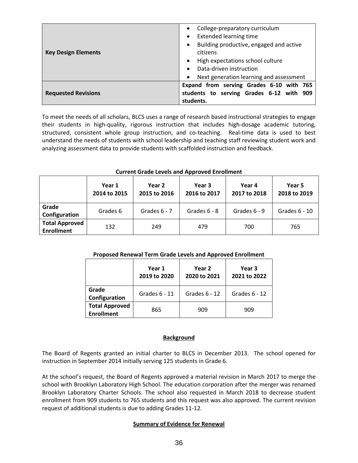|                            | College-preparatory curriculum                       |  |  |
|----------------------------|------------------------------------------------------|--|--|
|                            | <b>Extended learning time</b>                        |  |  |
|                            | Building productive, engaged and active<br>$\bullet$ |  |  |
| <b>Key Design Elements</b> | citizens                                             |  |  |
|                            | High expectations school culture                     |  |  |
|                            | Data-driven instruction                              |  |  |
|                            | Next generation learning and assessment              |  |  |
|                            | Expand from serving Grades 6-10 with 765             |  |  |
| <b>Requested Revisions</b> | students to serving Grades 6-12 with 909             |  |  |
|                            | students.                                            |  |  |

To meet the needs of all scholars, BLCS uses a range of research based instructional strategies to engage their students in high-quality, rigorous instruction that includes high-dosage academic tutoring, structured, consistent whole group instruction, and co-teaching. Real-time data is used to best understand the needs of students with school leadership and teaching staff reviewing student work and analyzing assessment data to provide students with scaffolded instruction and feedback.

|                                            | Year 1<br>2014 to 2015 | Year 2<br>2015 to 2016 | Year 3<br>2016 to 2017 | Year 4<br>2017 to 2018 | Year 5<br>2018 to 2019 |
|--------------------------------------------|------------------------|------------------------|------------------------|------------------------|------------------------|
| Grade<br>Configuration                     | Grades 6               | Grades $6 - 7$         | Grades $6 - 8$         | Grades $6 - 9$         | Grades $6 - 10$        |
| <b>Total Approved</b><br><b>Enrollment</b> | 132                    | 249                    | 479                    | 700                    | 765                    |

#### **Current Grade Levels and Approved Enrollment**

#### **Proposed Renewal Term Grade Levels and Approved Enrollment**

|                                            | Year 1<br>2019 to 2020 | Year <sub>2</sub><br>2020 to 2021 | Year 3<br>2021 to 2022 |
|--------------------------------------------|------------------------|-----------------------------------|------------------------|
| Grade<br>Configuration                     | Grades 6 - 11          | Grades $6 - 12$                   | Grades 6 - 12          |
| <b>Total Approved</b><br><b>Enrollment</b> | 865                    | 909                               | 909                    |

#### **Background**

The Board of Regents granted an initial charter to BLCS in December 2013. The school opened for instruction in September 2014 initially serving 125 students in Grade 6.

At the school's request, the Board of Regents approved a material revision in March 2017 to merge the school with Brooklyn Laboratory High School. The education corporation after the merger was renamed Brooklyn Laboratory Charter Schools. The school also requested in March 2018 to decrease student enrollment from 909 students to 765 students and this request was also approved. The current revision request of additional students is due to adding Grades 11-12.

#### **Summary of Evidence for Renewal**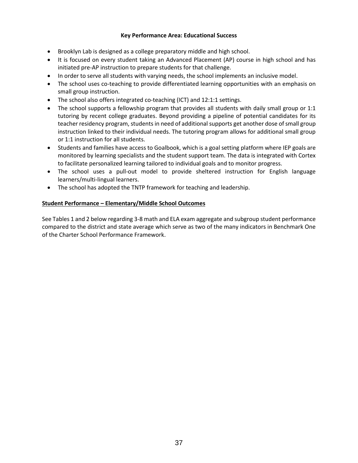## **Key Performance Area: Educational Success**

- Brooklyn Lab is designed as a college preparatory middle and high school.
- It is focused on every student taking an Advanced Placement (AP) course in high school and has initiated pre-AP instruction to prepare students for that challenge.
- In order to serve all students with varying needs, the school implements an inclusive model.
- The school uses co-teaching to provide differentiated learning opportunities with an emphasis on small group instruction.
- The school also offers integrated co-teaching (ICT) and 12:1:1 settings.
- The school supports a fellowship program that provides all students with daily small group or 1:1 tutoring by recent college graduates. Beyond providing a pipeline of potential candidates for its teacher residency program, students in need of additional supports get another dose of small group instruction linked to their individual needs. The tutoring program allows for additional small group or 1:1 instruction for all students.
- Students and families have access to Goalbook, which is a goal setting platform where IEP goals are monitored by learning specialists and the student support team. The data is integrated with Cortex to facilitate personalized learning tailored to individual goals and to monitor progress.
- The school uses a pull-out model to provide sheltered instruction for English language learners/multi-lingual learners.
- The school has adopted the TNTP framework for teaching and leadership.

# **Student Performance – Elementary/Middle School Outcomes**

See Tables 1 and 2 below regarding 3-8 math and ELA exam aggregate and subgroup student performance compared to the district and state average which serve as two of the many indicators in Benchmark One of the Charter School Performance Framework.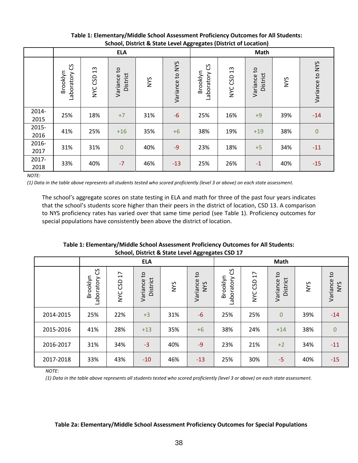|               |                              | --- <i>-</i> ----<br><b>ELA</b> |                                        |            |                    | --------<br><b>Math</b>     |               |                         |            |                 |
|---------------|------------------------------|---------------------------------|----------------------------------------|------------|--------------------|-----------------------------|---------------|-------------------------|------------|-----------------|
|               | ပြ<br>Brooklyn<br>Laboratory | $\frac{3}{2}$<br>NYC CSD        | $\mathsf{c}_1$<br>District<br>Variance | <b>NYS</b> | to NYS<br>Variance | უ<br>Brooklyn<br>Laboratory | 13<br>NYC CSD | Variance to<br>District | <b>NYS</b> | Variance to NYS |
| 2014-<br>2015 | 25%                          | 18%                             | $+7$                                   | 31%        | $-6$               | 25%                         | 16%           | $+9$                    | 39%        | $-14$           |
| 2015-<br>2016 | 41%                          | 25%                             | $+16$                                  | 35%        | $+6$               | 38%                         | 19%           | $+19$                   | 38%        | $\mathbf{0}$    |
| 2016-<br>2017 | 31%                          | 31%                             | $\overline{0}$                         | 40%        | $-9$               | 23%                         | 18%           | $+5$                    | 34%        | $-11$           |
| 2017-<br>2018 | 33%                          | 40%                             | $-7$                                   | 46%        | $-13$              | 25%                         | 26%           | $-1$                    | 40%        | $-15$           |

# **Table 1: Elementary/Middle School Assessment Proficiency Outcomes for All Students: School, District & State Level Aggregates (District of Location)**

*NOTE:*

*(1) Data in the table above represents all students tested who scored proficiently (level 3 or above) on each state assessment.*

The school's aggregate scores on state testing in ELA and math for three of the past four years indicates that the school's students score higher than their peers in the district of location, CSD 13. A comparison to NYS proficiency rates has varied over that same time period (see Table 1). Proficiency outcomes for special populations have consistently been above the district of location.

**Table 1: Elementary/Middle School Assessment Proficiency Outcomes for All Students: School, District & State Level Aggregates CSD 17**

|           | <b>ELA</b>                   |            |                           |     |                                        |                             | Math                       |                                      |     |                                        |
|-----------|------------------------------|------------|---------------------------|-----|----------------------------------------|-----------------------------|----------------------------|--------------------------------------|-----|----------------------------------------|
|           | ပိ<br>Brooklyn<br>Laboratory | NYC CSD 17 | đ<br>District<br>Variance | NYS | $\mathsf{c}$<br>Variance<br><b>NYS</b> | უ<br>Brooklyn<br>Laboratory | $\overline{17}$<br>NYC CSD | $\mathsf{c}$<br>District<br>Variance | NYS | $\mathsf{G}$<br>Variance<br><b>NYS</b> |
| 2014-2015 | 25%                          | 22%        | $+3$                      | 31% | $-6$                                   | 25%                         | 25%                        | $\overline{0}$                       | 39% | $-14$                                  |
| 2015-2016 | 41%                          | 28%        | $+13$                     | 35% | $+6$                                   | 38%                         | 24%                        | $+14$                                | 38% | $\mathbf{0}$                           |
| 2016-2017 | 31%                          | 34%        | $-3$                      | 40% | $-9$                                   | 23%                         | 21%                        | $+2$                                 | 34% | $-11$                                  |
| 2017-2018 | 33%                          | 43%        | $-10$                     | 46% | $-13$                                  | 25%                         | 30%                        | $-5$                                 | 40% | $-15$                                  |

*NOTE:*

*(1) Data in the table above represents all students tested who scored proficiently (level 3 or above) on each state assessment.*

#### **Table 2a: Elementary/Middle School Assessment Proficiency Outcomes for Special Populations**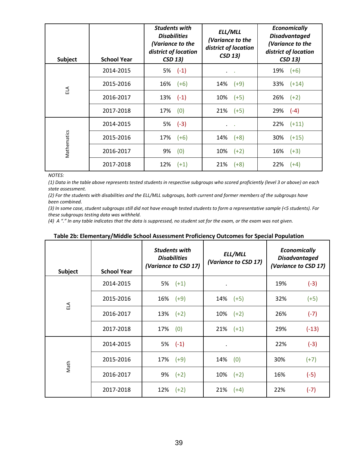| <b>Subject</b> | <b>School Year</b> | <b>Students with</b><br><b>Disabilities</b><br>(Variance to the<br>district of location<br><b>CSD 13)</b> | ELL/MLL<br>(Variance to the<br>district of location<br><b>CSD 13)</b> | <b>Economically</b><br><b>Disadvantaged</b><br>(Variance to the<br>district of location<br><b>CSD 13)</b> |
|----------------|--------------------|-----------------------------------------------------------------------------------------------------------|-----------------------------------------------------------------------|-----------------------------------------------------------------------------------------------------------|
|                | 2014-2015          | $5\%$ $(-1)$                                                                                              | $\sim 100$<br>$\bullet$                                               | 19%<br>$(+6)$                                                                                             |
|                | 2015-2016          | 16%<br>$(+6)$                                                                                             | 14%<br>$(+9)$                                                         | $33\%$ $(+14)$                                                                                            |
| ELA            | 2016-2017          | $13\%$ $(-1)$                                                                                             | $(+5)$<br>10%                                                         | $26\%$ $(+2)$                                                                                             |
|                | 2017-2018          | (0)<br>17%                                                                                                | $21\%$ (+5)                                                           | $29\%$ (-4)                                                                                               |
|                | 2014-2015          | $5\%$ (-3)                                                                                                | $\cdot$<br>$\sim$ 100 $\pm$                                           | $22\%$ $(+11)$                                                                                            |
|                | 2015-2016          | 17%<br>$(+6)$                                                                                             | 14%<br>$(+8)$                                                         | 30%<br>$(+15)$                                                                                            |
| Mathematics    | 2016-2017          | (0)<br>9%                                                                                                 | 10%<br>$(+2)$                                                         | $16\%$ (+3)                                                                                               |
|                | 2017-2018          | 12%<br>$(+1)$                                                                                             | 21%<br>$(+8)$                                                         | 22%<br>$(+4)$                                                                                             |

*NOTES:*

*(1) Data in the table above represents tested students in respective subgroups who scored proficiently (level 3 or above) on each state assessment.*

(2) For the students with disabilities and the ELL/MLL subgroups, both current and former members of the subgroups have *been combined.*

*(3) In some case, student subgroups still did not have enough tested students to form a representative sample (<5 students). For these subgroups testing data was withheld.*

*(4) A "." In any table indicates that the data is suppressed, no student sat for the exam, or the exam was not given.*

| Subject | <b>School Year</b> | <b>Students with</b><br><b>Disabilities</b><br>(Variance to CSD 17) | ELL/MLL<br>(Variance to CSD 17) | <b>Economically</b><br><b>Disadvantaged</b><br>(Variance to CSD 17) |  |
|---------|--------------------|---------------------------------------------------------------------|---------------------------------|---------------------------------------------------------------------|--|
|         | 2014-2015          | 5%<br>$(+1)$                                                        | $\bullet$                       | 19%<br>$(-3)$                                                       |  |
| ELA     | 2015-2016          | 16%<br>$(+9)$                                                       | 14%<br>$(+5)$                   | 32%<br>$(+5)$                                                       |  |
|         | 2016-2017          | 13%<br>$(+2)$                                                       | 10%<br>$(+2)$                   | 26%<br>$(-7)$                                                       |  |
|         | 2017-2018          | 17%<br>(0)                                                          | 21%<br>$(+1)$                   | 29%<br>$(-13)$                                                      |  |
|         | 2014-2015          | $5\%$ $(-1)$                                                        |                                 | 22%<br>$(-3)$                                                       |  |
| Math    | 2015-2016          | 17%<br>$(+9)$                                                       | (0)<br>14%                      | 30%<br>$(+7)$                                                       |  |
|         | 2016-2017          | 9%<br>$(+2)$                                                        | $(+2)$<br>10%                   | 16%<br>$(-5)$                                                       |  |
|         | 2017-2018          | 12%<br>$(+2)$                                                       | 21%<br>$(+4)$                   | 22%<br>$(-7)$                                                       |  |

| Table 2b: Elementary/Middle School Assessment Proficiency Outcomes for Special Population |  |  |
|-------------------------------------------------------------------------------------------|--|--|
|-------------------------------------------------------------------------------------------|--|--|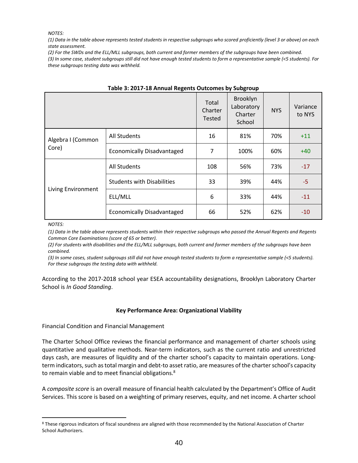*NOTES:*

*(1) Data in the table above represents tested students in respective subgroups who scored proficiently (level 3 or above) on each state assessment.*

(2) For the SWDs and the ELL/MLL subgroups, both current and former members of the subgroups have been combined.

*(3) In some case, student subgroups still did not have enough tested students to form a representative sample (<5 students). For these subgroups testing data was withheld.*

|                    |                                   | Total<br>Charter<br><b>Tested</b> | Brooklyn<br>Laboratory<br>Charter<br>School | <b>NYS</b> | Variance<br>to NYS |
|--------------------|-----------------------------------|-----------------------------------|---------------------------------------------|------------|--------------------|
| Algebra I (Common  | <b>All Students</b>               | 16                                | 81%                                         | 70%        | $+11$              |
| Core)              | <b>Economically Disadvantaged</b> | 7                                 | 100%                                        | 60%        | $+40$              |
|                    | <b>All Students</b>               | 108                               | 56%                                         | 73%        | $-17$              |
|                    | <b>Students with Disabilities</b> | 33                                | 39%                                         | 44%        | $-5$               |
| Living Environment | ELL/MLL                           | 6                                 | 33%                                         | 44%        | $-11$              |
|                    | <b>Economically Disadvantaged</b> | 66                                | 52%                                         | 62%        | $-10$              |

|  |  | Table 3: 2017-18 Annual Regents Outcomes by Subgroup |  |
|--|--|------------------------------------------------------|--|
|  |  |                                                      |  |

#### *NOTES:*

 $\overline{a}$ 

*(1) Data in the table above represents students within their respective subgroups who passed the Annual Regents and Regents Common Core Examinations (score of 65 or better).*

*(2) For students with disabilities and the ELL/MLL subgroups, both current and former members of the subgroups have been combined.*

*(3) In some cases, student subgroups still did not have enough tested students to form a representative sample (<5 students). For these subgroups the testing data with withheld.* 

According to the 2017-2018 school year ESEA accountability designations, Brooklyn Laboratory Charter School is *In Good Standing*.

## **Key Performance Area: Organizational Viability**

Financial Condition and Financial Management

The Charter School Office reviews the financial performance and management of charter schools using quantitative and qualitative methods. Near‐term indicators, such as the current ratio and unrestricted days cash, are measures of liquidity and of the charter school's capacity to maintain operations. Long‐ term indicators, such as total margin and debt‐to asset ratio, are measures of the charter school's capacity to remain viable and to meet financial obligations.<sup>8</sup>

A *composite score* is an overall measure of financial health calculated by the Department's Office of Audit Services. This score is based on a weighting of primary reserves, equity, and net income. A charter school

<sup>&</sup>lt;sup>8</sup> These rigorous indicators of fiscal soundness are aligned with those recommended by the National Association of Charter School Authorizers.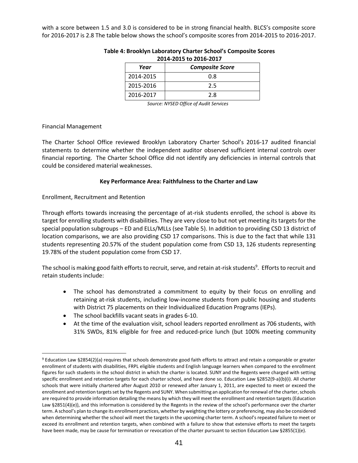with a score between 1.5 and 3.0 is considered to be in strong financial health. BLCS's composite score for 2016-2017 is 2.8 The table below shows the school's composite scores from 2014-2015 to 2016-2017.

| <b>Composite Score</b><br>Year |     |  |  |  |  |
|--------------------------------|-----|--|--|--|--|
| 2014-2015                      | 0.8 |  |  |  |  |
| 2015-2016                      | 2.5 |  |  |  |  |
| 2016-2017                      | 2.8 |  |  |  |  |

## **Table 4: Brooklyn Laboratory Charter School's Composite Scores 2014-2015 to 2016-2017**

*Source: NYSED Office of Audit Services*

## Financial Management

 $\overline{a}$ 

The Charter School Office reviewed Brooklyn Laboratory Charter School's 2016-17 audited financial statements to determine whether the independent auditor observed sufficient internal controls over financial reporting. The Charter School Office did not identify any deficiencies in internal controls that could be considered material weaknesses.

## **Key Performance Area: Faithfulness to the Charter and Law**

Enrollment, Recruitment and Retention

Through efforts towards increasing the percentage of at-risk students enrolled, the school is above its target for enrolling students with disabilities. They are very close to but not yet meeting its targets for the special population subgroups – ED and ELLs/MLLs (see Table 5). In addition to providing CSD 13 district of location comparisons, we are also providing CSD 17 comparisons. This is due to the fact that while 131 students representing 20.57% of the student population come from CSD 13, 126 students representing 19.78% of the student population come from CSD 17.

The school is making good faith efforts to recruit, serve, and retain at-risk students<sup>9</sup>. Efforts to recruit and retain students include:

- The school has demonstrated a commitment to equity by their focus on enrolling and retaining at-risk students, including low-income students from public housing and students with District 75 placements on their Individualized Education Programs (IEPs).
- The school backfills vacant seats in grades 6-10.
- At the time of the evaluation visit, school leaders reported enrollment as 706 students, with 31% SWDs, 81% eligible for free and reduced-price lunch (but 100% meeting community

<sup>9</sup> Education Law §2854(2)(a) requires that schools demonstrate good faith efforts to attract and retain a comparable or greater enrollment of students with disabilities, FRPL eligible students and English language learners when compared to the enrollment figures for such students in the school district in which the charter is located. SUNY and the Regents were charged with setting specific enrollment and retention targets for each charter school, and have done so. Education Law §2852(9-a)(b)(i). All charter schools that were initially chartered after August 2010 or renewed after January 1, 2011, are expected to meet or exceed the enrollment and retention targets set by the Regents and SUNY. When submitting an application for renewal of the charter, schools are required to provide information detailing the means by which they will meet the enrollment and retention targets (Education Law §2851(4)(e)), and this information is considered by the Regents in the review of the school's performance over the charter term. A school's plan to change its enrollment practices, whether by weighting the lottery or preferencing, may also be considered when determining whether the school will meet the targets in the upcoming charter term. A school's repeated failure to meet or exceed its enrollment and retention targets, when combined with a failure to show that extensive efforts to meet the targets have been made, may be cause for termination or revocation of the charter pursuant to section Education Law §2855(1)(e).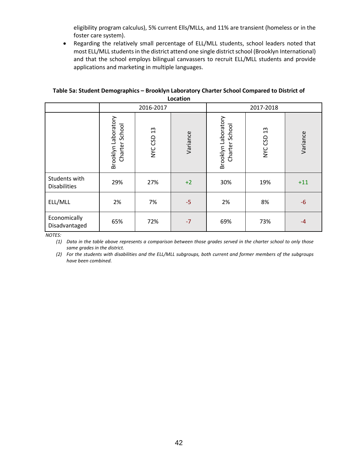eligibility program calculus), 5% current Ells/MLLs, and 11% are transient (homeless or in the foster care system).

• Regarding the relatively small percentage of ELL/MLL students, school leaders noted that most ELL/MLL students in the district attend one single district school (Brooklyn International) and that the school employs bilingual canvassers to recruit ELL/MLL students and provide applications and marketing in multiple languages.

## **Table 5a: Student Demographics – Brooklyn Laboratory Charter School Compared to District of Location**

|                                      |                                          | 2016-2017                |          |                                          | 2017-2018     |          |
|--------------------------------------|------------------------------------------|--------------------------|----------|------------------------------------------|---------------|----------|
|                                      | Brooklyn Laboratory<br>School<br>Charter | $\frac{3}{2}$<br>NYC CSD | Variance | Brooklyn Laboratory<br>School<br>Charter | 13<br>NYC CSD | Variance |
| Students with<br><b>Disabilities</b> | 29%                                      | 27%                      | $+2$     | 30%                                      | 19%           | $+11$    |
| ELL/MLL                              | 2%                                       | 7%                       | $-5$     | 2%                                       | 8%            | $-6$     |
| Economically<br>Disadvantaged        | 65%                                      | 72%                      | $-7$     | 69%                                      | 73%           | $-4$     |

*NOTES:*

*(1) Data in the table above represents a comparison between those grades served in the charter school to only those same grades in the district.*

*(2) For the students with disabilities and the ELL/MLL subgroups, both current and former members of the subgroups have been combined.*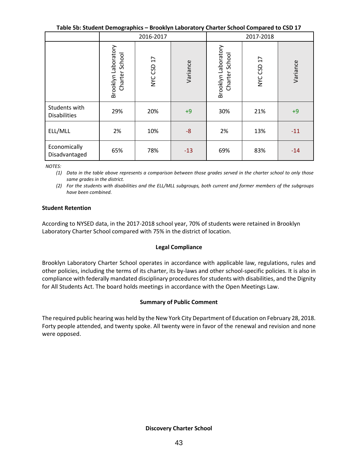**Table 5b: Student Demographics – Brooklyn Laboratory Charter School Compared to CSD 17**

|                                      | 2016-2017                             |            |          | 2017-2018                                |            |          |
|--------------------------------------|---------------------------------------|------------|----------|------------------------------------------|------------|----------|
|                                      | Brooklyn Laboratory<br>Charter School | NYC CSD 17 | Variance | Brooklyn Laboratory<br>School<br>Charter | NYC CSD 17 | Variance |
| Students with<br><b>Disabilities</b> | 29%                                   | 20%        | $+9$     | 30%                                      | 21%        | $+9$     |
| ELL/MLL                              | 2%                                    | 10%        | $-8$     | 2%                                       | 13%        | $-11$    |
| Economically<br>Disadvantaged        | 65%                                   | 78%        | $-13$    | 69%                                      | 83%        | $-14$    |

*NOTES:* 

*(1) Data in the table above represents a comparison between those grades served in the charter school to only those same grades in the district.*

*(2) For the students with disabilities and the ELL/MLL subgroups, both current and former members of the subgroups have been combined.*

#### **Student Retention**

According to NYSED data, in the 2017-2018 school year, 70% of students were retained in Brooklyn Laboratory Charter School compared with 75% in the district of location.

## **Legal Compliance**

Brooklyn Laboratory Charter School operates in accordance with applicable law, regulations, rules and other policies, including the terms of its charter, its by-laws and other school-specific policies. It is also in compliance with federally mandated disciplinary procedures for students with disabilities, and the Dignity for All Students Act. The board holds meetings in accordance with the Open Meetings Law.

## **Summary of Public Comment**

The required public hearing was held by the New York City Department of Education on February 28, 2018. Forty people attended, and twenty spoke. All twenty were in favor of the renewal and revision and none were opposed.

## **Discovery Charter School**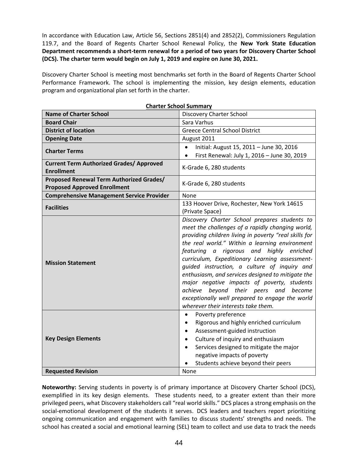In accordance with Education Law, Article 56, Sections 2851(4) and 2852(2), Commissioners Regulation 119.7, and the Board of Regents Charter School Renewal Policy, the **New York State Education Department recommends a short-term renewal for a period of two years for Discovery Charter School (DCS). The charter term would begin on July 1, 2019 and expire on June 30, 2021.** 

Discovery Charter School is meeting most benchmarks set forth in the Board of Regents Charter School Performance Framework. The school is implementing the mission, key design elements, education program and organizational plan set forth in the charter.

| <b>Name of Charter School</b>                                                   | vv. Juliului<br><b>Discovery Charter School</b>                                                                                                                                                                                                                                                                                                                                                                                                                                                                                                                                                   |
|---------------------------------------------------------------------------------|---------------------------------------------------------------------------------------------------------------------------------------------------------------------------------------------------------------------------------------------------------------------------------------------------------------------------------------------------------------------------------------------------------------------------------------------------------------------------------------------------------------------------------------------------------------------------------------------------|
| <b>Board Chair</b>                                                              | Sara Varhus                                                                                                                                                                                                                                                                                                                                                                                                                                                                                                                                                                                       |
| <b>District of location</b>                                                     | <b>Greece Central School District</b>                                                                                                                                                                                                                                                                                                                                                                                                                                                                                                                                                             |
| <b>Opening Date</b>                                                             | August 2011                                                                                                                                                                                                                                                                                                                                                                                                                                                                                                                                                                                       |
|                                                                                 | Initial: August 15, 2011 - June 30, 2016                                                                                                                                                                                                                                                                                                                                                                                                                                                                                                                                                          |
| <b>Charter Terms</b>                                                            | First Renewal: July 1, 2016 - June 30, 2019<br>$\bullet$                                                                                                                                                                                                                                                                                                                                                                                                                                                                                                                                          |
| <b>Current Term Authorized Grades/ Approved</b><br><b>Enrollment</b>            | K-Grade 6, 280 students                                                                                                                                                                                                                                                                                                                                                                                                                                                                                                                                                                           |
| Proposed Renewal Term Authorized Grades/<br><b>Proposed Approved Enrollment</b> | K-Grade 6, 280 students                                                                                                                                                                                                                                                                                                                                                                                                                                                                                                                                                                           |
| <b>Comprehensive Management Service Provider</b>                                | None                                                                                                                                                                                                                                                                                                                                                                                                                                                                                                                                                                                              |
| <b>Facilities</b>                                                               | 133 Hoover Drive, Rochester, New York 14615<br>(Private Space)                                                                                                                                                                                                                                                                                                                                                                                                                                                                                                                                    |
| <b>Mission Statement</b>                                                        | Discovery Charter School prepares students to<br>meet the challenges of a rapidly changing world,<br>providing children living in poverty "real skills for<br>the real world." Within a learning environment<br>featuring a rigorous and highly enriched<br>curriculum, Expeditionary Learning assessment-<br>quided instruction, a culture of inquiry and<br>enthusiasm, and services designed to mitigate the<br>major negative impacts of poverty, students<br>achieve beyond their peers and become<br>exceptionally well prepared to engage the world<br>wherever their interests take them. |
| <b>Key Design Elements</b>                                                      | Poverty preference<br>$\bullet$<br>Rigorous and highly enriched curriculum<br>$\bullet$<br>Assessment-guided instruction<br>$\bullet$<br>Culture of inquiry and enthusiasm<br>$\bullet$<br>Services designed to mitigate the major<br>$\bullet$<br>negative impacts of poverty<br>Students achieve beyond their peers                                                                                                                                                                                                                                                                             |
| <b>Requested Revision</b>                                                       | None                                                                                                                                                                                                                                                                                                                                                                                                                                                                                                                                                                                              |

**Charter School Summary**

**Noteworthy:** Serving students in poverty is of primary importance at Discovery Charter School (DCS), exemplified in its key design elements. These students need, to a greater extent than their more privileged peers, what Discovery stakeholders call "real world skills." DCS places a strong emphasis on the social-emotional development of the students it serves. DCS leaders and teachers report prioritizing ongoing communication and engagement with families to discuss students' strengths and needs. The school has created a social and emotional learning (SEL) team to collect and use data to track the needs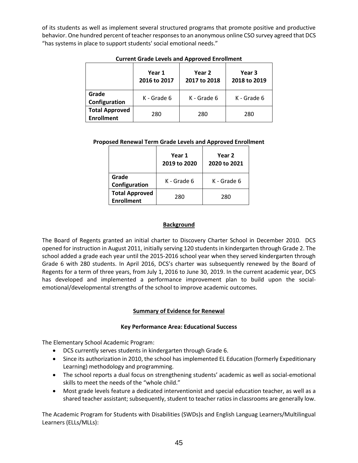of its students as well as implement several structured programs that promote positive and productive behavior. One hundred percent of teacher responses to an anonymous online CSO survey agreed that DCS "has systems in place to support students' social emotional needs."

|                                            | Year 1<br>2016 to 2017 | Year 2<br>2017 to 2018 | Year 3<br>2018 to 2019 |
|--------------------------------------------|------------------------|------------------------|------------------------|
| Grade<br>Configuration                     | K - Grade 6            | K - Grade 6            | K - Grade 6            |
| <b>Total Approved</b><br><b>Enrollment</b> | 280                    | 280                    | 280                    |

## **Current Grade Levels and Approved Enrollment**

## **Proposed Renewal Term Grade Levels and Approved Enrollment**

|                                            | Year 1<br>2019 to 2020 | Year 2<br>2020 to 2021 |
|--------------------------------------------|------------------------|------------------------|
| Grade<br>Configuration                     | K - Grade 6            | K - Grade 6            |
| <b>Total Approved</b><br><b>Enrollment</b> | 280                    | 280                    |

## **Background**

The Board of Regents granted an initial charter to Discovery Charter School in December 2010. DCS opened for instruction in August 2011, initially serving 120 students in kindergarten through Grade 2. The school added a grade each year until the 2015-2016 school year when they served kindergarten through Grade 6 with 280 students. In April 2016, DCS's charter was subsequently renewed by the Board of Regents for a term of three years, from July 1, 2016 to June 30, 2019. In the current academic year, DCS has developed and implemented a performance improvement plan to build upon the socialemotional/developmental strengths of the school to improve academic outcomes.

## **Summary of Evidence for Renewal**

## **Key Performance Area: Educational Success**

The Elementary School Academic Program:

- DCS currently serves students in kindergarten through Grade 6.
- Since its authorization in 2010, the school has implemented EL Education (formerly Expeditionary Learning) methodology and programming.
- The school reports a dual focus on strengthening students' academic as well as social-emotional skills to meet the needs of the "whole child."
- Most grade levels feature a dedicated interventionist and special education teacher, as well as a shared teacher assistant; subsequently, student to teacher ratios in classrooms are generally low.

The Academic Program for Students with Disabilities (SWDs)s and English Languag Learners/Multilingual Learners (ELLs/MLLs):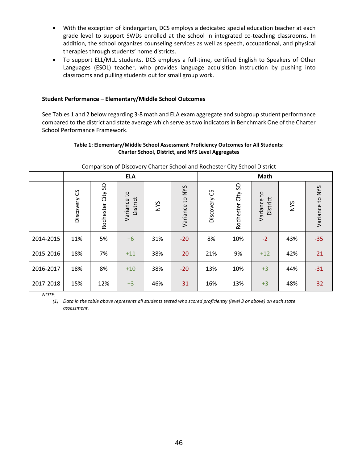- With the exception of kindergarten, DCS employs a dedicated special education teacher at each grade level to support SWDs enrolled at the school in integrated co-teaching classrooms. In addition, the school organizes counseling services as well as speech, occupational, and physical therapies through students' home districts.
- To support ELL/MLL students, DCS employs a full-time, certified English to Speakers of Other Languages (ESOL) teacher, who provides language acquisition instruction by pushing into classrooms and pulling students out for small group work.

## **Student Performance – Elementary/Middle School Outcomes**

See Tables 1 and 2 below regarding 3-8 math and ELA exam aggregate and subgroup student performance compared to the district and state average which serve as two indicators in Benchmark One of the Charter School Performance Framework.

#### **Table 1: Elementary/Middle School Assessment Proficiency Outcomes for All Students: Charter School, District, and NYS Level Aggregates**

| companion or Biocovery andreer school and nochester any school. |              |                   |                                        |     |                 |                |                      |                                      |            |                 |
|-----------------------------------------------------------------|--------------|-------------------|----------------------------------------|-----|-----------------|----------------|----------------------|--------------------------------------|------------|-----------------|
|                                                                 | <b>ELA</b>   |                   |                                        |     | Math            |                |                      |                                      |            |                 |
|                                                                 | Discovery CS | Rochester City SD | $\mathsf{C}^1$<br>District<br>Variance | NYS | Variance to NYS | უ<br>Discovery | City SD<br>Rochester | $\mathsf{C}$<br>District<br>Variance | <b>NYS</b> | Variance to NYS |
| 2014-2015                                                       | 11%          | 5%                | $+6$                                   | 31% | $-20$           | 8%             | 10%                  | $-2$                                 | 43%        | $-35$           |
| 2015-2016                                                       | 18%          | 7%                | $+11$                                  | 38% | $-20$           | 21%            | 9%                   | $+12$                                | 42%        | $-21$           |
| 2016-2017                                                       | 18%          | 8%                | $+10$                                  | 38% | $-20$           | 13%            | 10%                  | $+3$                                 | 44%        | $-31$           |
| 2017-2018                                                       | 15%          | 12%               | $+3$                                   | 46% | $-31$           | 16%            | 13%                  | $+3$                                 | 48%        | $-32$           |

#### Comparison of Discovery Charter School and Rochester City School District

*NOTE:* 

*(1) Data in the table above represents all students tested who scored proficiently (level 3 or above) on each state assessment.*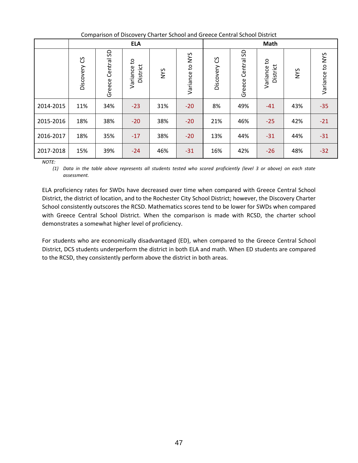| Comparison of Discovery Charter School and Greece Central School District |
|---------------------------------------------------------------------------|
|---------------------------------------------------------------------------|

|           | <b>ELA</b>   |                   |                         |            |                 | Math            |                         |                         |            |                    |
|-----------|--------------|-------------------|-------------------------|------------|-----------------|-----------------|-------------------------|-------------------------|------------|--------------------|
|           | Discovery CS | Greece Central SD | Variance to<br>District | <b>NYS</b> | Variance to NYS | ပိ<br>Discovery | SD<br>Central<br>Greece | Variance to<br>District | <b>NYS</b> | to NYS<br>Variance |
| 2014-2015 | 11%          | 34%               | $-23$                   | 31%        | $-20$           | 8%              | 49%                     | $-41$                   | 43%        | $-35$              |
| 2015-2016 | 18%          | 38%               | $-20$                   | 38%        | $-20$           | 21%             | 46%                     | $-25$                   | 42%        | $-21$              |
| 2016-2017 | 18%          | 35%               | $-17$                   | 38%        | $-20$           | 13%             | 44%                     | $-31$                   | 44%        | $-31$              |
| 2017-2018 | 15%          | 39%               | $-24$                   | 46%        | $-31$           | 16%             | 42%                     | $-26$                   | 48%        | $-32$              |

*NOTE:* 

*(1) Data in the table above represents all students tested who scored proficiently (level 3 or above) on each state assessment.*

ELA proficiency rates for SWDs have decreased over time when compared with Greece Central School District, the district of location, and to the Rochester City School District; however, the Discovery Charter School consistently outscores the RCSD. Mathematics scores tend to be lower for SWDs when compared with Greece Central School District. When the comparison is made with RCSD, the charter school demonstrates a somewhat higher level of proficiency.

For students who are economically disadvantaged (ED), when compared to the Greece Central School District, DCS students underperform the district in both ELA and math. When ED students are compared to the RCSD, they consistently perform above the district in both areas.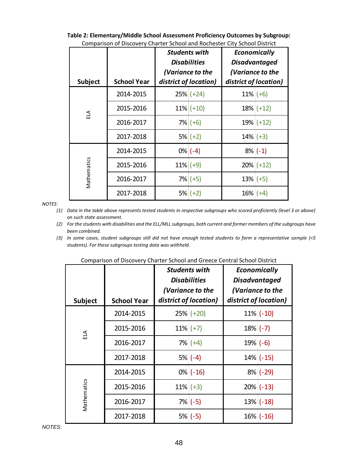| <b>Subject</b> | <b>School Year</b> | <b>Students with</b><br><b>Disabilities</b><br>(Variance to the<br>district of location) |              | Economically<br><b>Disadvantaged</b><br>(Variance to the<br>district of location) |              |
|----------------|--------------------|------------------------------------------------------------------------------------------|--------------|-----------------------------------------------------------------------------------|--------------|
|                | 2014-2015          |                                                                                          | $25\%$ (+24) | $11\%$ (+6)                                                                       |              |
| E1             | 2015-2016          |                                                                                          | $11\%$ (+10) |                                                                                   | $18\%$ (+12) |
|                | 2016-2017          |                                                                                          | $7\%$ (+6)   |                                                                                   | $19%$ (+12)  |
|                | 2017-2018          |                                                                                          | $5\%$ (+2)   | $14\%$ (+3)                                                                       |              |
|                | 2014-2015          |                                                                                          | $0\%$ (-4)   |                                                                                   | $8\%$ (-1)   |
|                | 2015-2016          | $11\%$ (+9)                                                                              |              |                                                                                   | $20\%$ (+12) |
| Mathematics    | 2016-2017          |                                                                                          | $7\%$ (+5)   | $13\%$ (+5)                                                                       |              |
|                | 2017-2018          |                                                                                          | $5\%$ (+2)   | $16\%$ (+4)                                                                       |              |

**Table 2: Elementary/Middle School Assessment Proficiency Outcomes by Subgroup:** Comparison of Discovery Charter School and Rochester City School District

#### *NOTES*:

*(1) Data in the table above represents tested students in respective subgroups who scored proficiently (level 3 or above) on such state assessment.*

*(2) For the students with disabilities and the ELL/MLL subgroups, both current and former members of the subgroups have been combined.*

*<sup>(3)</sup> In some cases, student subgroups still did not have enough tested students to form a representative sample (<5 students). For these subgroups testing data was withheld.*

| <b>Subject</b> | <b>School Year</b> | <b>Students with</b><br><b>Disabilities</b><br>(Variance to the<br>district of location) | Economically<br><b>Disadvantaged</b><br>(Variance to the<br>district of location) |
|----------------|--------------------|------------------------------------------------------------------------------------------|-----------------------------------------------------------------------------------|
|                | 2014-2015          | $25\%$ (+20)                                                                             | $11\%$ (-10)                                                                      |
| ELA            | 2015-2016          | $11\%$ (+7)                                                                              | $18\%$ (-7)                                                                       |
|                | 2016-2017          | $7\%$ (+4)                                                                               | $19\%$ (-6)                                                                       |
|                | 2017-2018          | $5\%$ (-4)                                                                               | $14\%$ (-15)                                                                      |
|                | 2014-2015          | $0\%$ (-16)                                                                              | $8\%$ (-29)                                                                       |
|                | 2015-2016          | $11\%$ (+3)                                                                              | $20\%$ (-13)                                                                      |
| Mathematics    | 2016-2017          | $7\%$ (-5)                                                                               | $13\%$ (-18)                                                                      |
|                | 2017-2018          | $5\%$ (-5)                                                                               | $16\%$ (-16)                                                                      |

Comparison of Discovery Charter School and Greece Central School District

*NOTES*: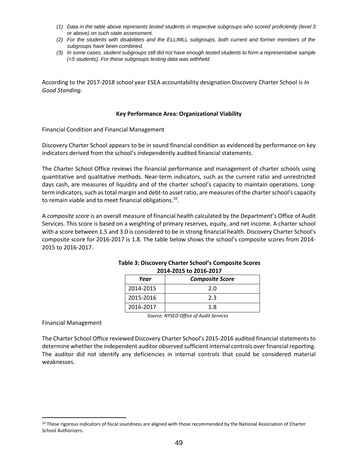- *(1) Data in the table above represents tested students in respective subgroups who scored proficiently (level 3 or above) on such state assessment.*
- *(2) For the students with disabilities and the ELL/MLL subgroups, both current and former members of the subgroups have been combined.*
- *(3) In some cases, student subgroups still did not have enough tested students to form a representative sample (<5 students). For these subgroups testing data was withheld.*

According to the 2017-2018 school year ESEA accountability designation Discovery Charter School is *In Good Standing.*

#### **Key Performance Area: Organizational Viability**

Financial Condition and Financial Management

Discovery Charter School appears to be in sound financial condition as evidenced by performance on key indicators derived from the school's independently audited financial statements.

The Charter School Office reviews the financial performance and management of charter schools using quantitative and qualitative methods. Near‐term indicators, such as the current ratio and unrestricted days cash, are measures of liquidity and of the charter school's capacity to maintain operations. Long‐ term indicators, such as total margin and debt‐to asset ratio, are measures of the charter school's capacity to remain viable and to meet financial obligations. $^{10}$ .

A *composite score* is an overall measure of financial health calculated by the Department's Office of Audit Services. This score is based on a weighting of primary reserves, equity, and net income. A charter school with a score between 1.5 and 3.0 is considered to be in strong financial health. Discovery Charter School's composite score for 2016-2017 is 1.8. The table below shows the school's composite scores from 2014- 2015 to 2016-2017.

| 2014-2013 to 2010-2017 |                        |  |  |  |  |  |
|------------------------|------------------------|--|--|--|--|--|
| Year                   | <b>Composite Score</b> |  |  |  |  |  |
| 2014-2015              | 2.0                    |  |  |  |  |  |
| 2015-2016              | つく                     |  |  |  |  |  |
| 2016-2017              | 1.8                    |  |  |  |  |  |

## **Table 3: Discovery Charter School's Composite Scores 2014-2015 to 2016-2017**

*Source: NYSED Office of Audit Services*

Financial Management

 $\overline{a}$ 

The Charter School Office reviewed Discovery Charter School's 2015-2016 audited financial statements to determine whether the independent auditor observed sufficient internal controls over financial reporting. The auditor did not identify any deficiencies in internal controls that could be considered material weaknesses.

<sup>&</sup>lt;sup>10</sup> These rigorous indicators of fiscal soundness are aligned with those recommended by the National Association of Charter School Authorizers.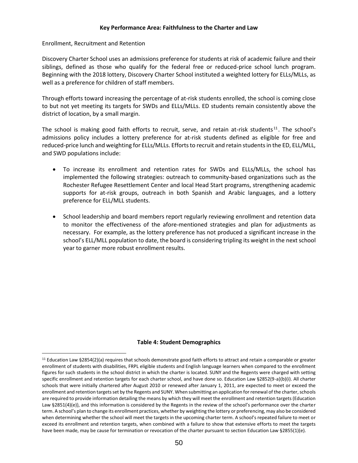## **Key Performance Area: Faithfulness to the Charter and Law**

Enrollment, Recruitment and Retention

 $\overline{a}$ 

Discovery Charter School uses an admissions preference for students at risk of academic failure and their siblings, defined as those who qualify for the federal free or reduced-price school lunch program. Beginning with the 2018 lottery, Discovery Charter School instituted a weighted lottery for ELLs/MLLs, as well as a preference for children of staff members.

Through efforts toward increasing the percentage of at-risk students enrolled, the school is coming close to but not yet meeting its targets for SWDs and ELLs/MLLs. ED students remain consistently above the district of location, by a small margin.

The school is making good faith efforts to recruit, serve, and retain at-risk students<sup>11</sup>. The school's admissions policy includes a lottery preference for at-risk students defined as eligible for free and reduced-price lunch and weighting for ELLs/MLLs. Efforts to recruit and retain students in the ED, ELL/MLL, and SWD populations include:

- To increase its enrollment and retention rates for SWDs and ELLs/MLLs, the school has implemented the following strategies: outreach to community-based organizations such as the Rochester Refugee Resettlement Center and local Head Start programs, strengthening academic supports for at-risk groups, outreach in both Spanish and Arabic languages, and a lottery preference for ELL/MLL students.
- School leadership and board members report regularly reviewing enrollment and retention data to monitor the effectiveness of the afore-mentioned strategies and plan for adjustments as necessary. For example, as the lottery preference has not produced a significant increase in the school's ELL/MLL population to date, the board is considering tripling its weight in the next school year to garner more robust enrollment results.

## **Table 4: Student Demographics**

<sup>11</sup> Education Law §2854(2)(a) requires that schools demonstrate good faith efforts to attract and retain a comparable or greater enrollment of students with disabilities, FRPL eligible students and English language learners when compared to the enrollment figures for such students in the school district in which the charter is located. SUNY and the Regents were charged with setting specific enrollment and retention targets for each charter school, and have done so. Education Law §2852(9-a)(b)(i). All charter schools that were initially chartered after August 2010 or renewed after January 1, 2011, are expected to meet or exceed the enrollment and retention targets set by the Regents and SUNY. When submitting an application for renewal of the charter, schools are required to provide information detailing the means by which they will meet the enrollment and retention targets (Education Law §2851(4)(e)), and this information is considered by the Regents in the review of the school's performance over the charter term. A school's plan to change its enrollment practices, whether by weighting the lottery or preferencing, may also be considered when determining whether the school will meet the targets in the upcoming charter term. A school's repeated failure to meet or exceed its enrollment and retention targets, when combined with a failure to show that extensive efforts to meet the targets have been made, may be cause for termination or revocation of the charter pursuant to section Education Law §2855(1)(e).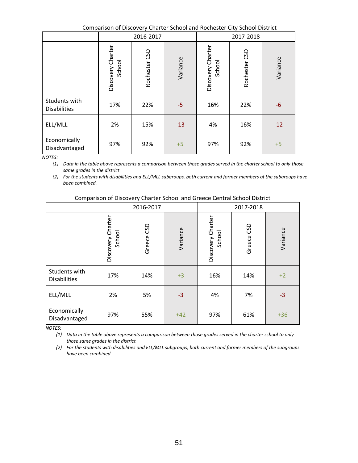Comparison of Discovery Charter School and Rochester City School District

|                                      |                             | 2016-2017     |          |                             | 2017-2018     |          |
|--------------------------------------|-----------------------------|---------------|----------|-----------------------------|---------------|----------|
|                                      | Discovery Charter<br>School | Rochester CSD | Variance | Discovery Charter<br>School | Rochester CSD | Variance |
| Students with<br><b>Disabilities</b> | 17%                         | 22%           | $-5$     | 16%                         | 22%           | -6       |
| ELL/MLL                              | 2%                          | 15%           | $-13$    | 4%                          | 16%           | $-12$    |
| Economically<br>Disadvantaged        | 97%                         | 92%           | $+5$     | 97%                         | 92%           | $+5$     |

*NOTES:*

*(1) Data in the table above represents a comparison between those grades served in the charter school to only those same grades in the district*

*(2) For the students with disabilities and ELL/MLL subgroups, both current and former members of the subgroups have been combined.*

|                                      |                             | 2016-2017  |          | 2017-2018                   |            |          |  |
|--------------------------------------|-----------------------------|------------|----------|-----------------------------|------------|----------|--|
|                                      | Discovery Charter<br>School | Greece CSD | Variance | Discovery Charter<br>School | Greece CSD | Variance |  |
| Students with<br><b>Disabilities</b> | 17%                         | 14%        | $+3$     | 16%                         | 14%        | $+2$     |  |
| ELL/MLL                              | 2%                          | 5%         | $-3$     | 4%                          | 7%         | $-3$     |  |
| Economically<br>Disadvantaged        | 97%                         | 55%        | $+42$    | 97%                         | 61%        | $+36$    |  |

*NOTES:*

*(1) Data in the table above represents a comparison between those grades served in the charter school to only those same grades in the district*

*(2) For the students with disabilities and ELL/MLL subgroups, both current and former members of the subgroups have been combined.*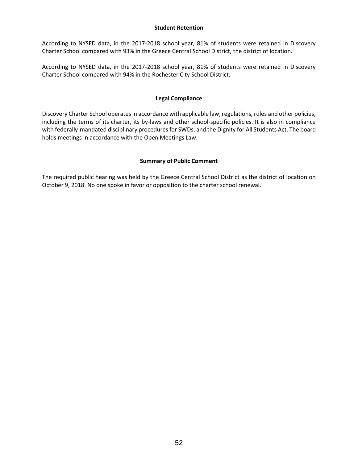#### **Student Retention**

According to NYSED data, in the 2017-2018 school year, 81% of students were retained in Discovery Charter School compared with 93% in the Greece Central School District, the district of location.

According to NYSED data, in the 2017-2018 school year, 81% of students were retained in Discovery Charter School compared with 94% in the Rochester City School District.

## **Legal Compliance**

Discovery Charter School operates in accordance with applicable law, regulations, rules and other policies, including the terms of its charter, its by-laws and other school-specific policies. It is also in compliance with federally-mandated disciplinary procedures for SWDs, and the Dignity for All Students Act. The board holds meetings in accordance with the Open Meetings Law.

## **Summary of Public Comment**

The required public hearing was held by the Greece Central School District as the district of location on October 9, 2018. No one spoke in favor or opposition to the charter school renewal.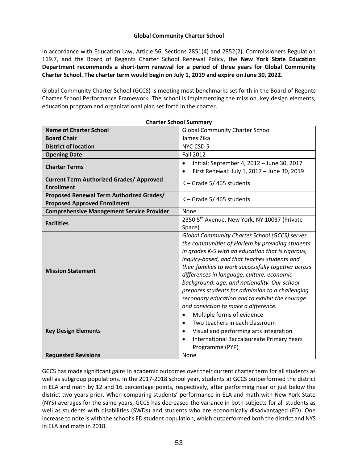## **Global Community Charter School**

In accordance with Education Law, Article 56, Sections 2851(4) and 2852(2), Commissioners Regulation 119.7, and the Board of Regents Charter School Renewal Policy, the **New York State Education Department recommends a short-term renewal for a period of three years for Global Community Charter School. The charter term would begin on July 1, 2019 and expire on June 30, 2022.**

Global Community Charter School (GCCS) is meeting most benchmarks set forth in the Board of Regents Charter School Performance Framework. The school is implementing the mission, key design elements, education program and organizational plan set forth in the charter.

| <b>Charter School Summary</b>                                                   |                                                                                                                                                                                                                                                                                                                                                                                                                                                                                                                 |  |  |  |
|---------------------------------------------------------------------------------|-----------------------------------------------------------------------------------------------------------------------------------------------------------------------------------------------------------------------------------------------------------------------------------------------------------------------------------------------------------------------------------------------------------------------------------------------------------------------------------------------------------------|--|--|--|
| <b>Name of Charter School</b>                                                   | <b>Global Community Charter School</b>                                                                                                                                                                                                                                                                                                                                                                                                                                                                          |  |  |  |
| <b>Board Chair</b>                                                              | James Zika                                                                                                                                                                                                                                                                                                                                                                                                                                                                                                      |  |  |  |
| <b>District of location</b>                                                     | NYC CSD 5                                                                                                                                                                                                                                                                                                                                                                                                                                                                                                       |  |  |  |
| <b>Opening Date</b>                                                             | <b>Fall 2012</b>                                                                                                                                                                                                                                                                                                                                                                                                                                                                                                |  |  |  |
| <b>Charter Terms</b>                                                            | Initial: September 4, 2012 - June 30, 2017<br>$\bullet$                                                                                                                                                                                                                                                                                                                                                                                                                                                         |  |  |  |
|                                                                                 | First Renewal: July 1, 2017 - June 30, 2019                                                                                                                                                                                                                                                                                                                                                                                                                                                                     |  |  |  |
| <b>Current Term Authorized Grades/ Approved</b><br><b>Enrollment</b>            | $K -$ Grade 5/465 students                                                                                                                                                                                                                                                                                                                                                                                                                                                                                      |  |  |  |
| Proposed Renewal Term Authorized Grades/<br><b>Proposed Approved Enrollment</b> | $K -$ Grade 5/465 students                                                                                                                                                                                                                                                                                                                                                                                                                                                                                      |  |  |  |
| <b>Comprehensive Management Service Provider</b>                                | None                                                                                                                                                                                                                                                                                                                                                                                                                                                                                                            |  |  |  |
| <b>Facilities</b>                                                               | 2350 5th Avenue, New York, NY 10037 (Private                                                                                                                                                                                                                                                                                                                                                                                                                                                                    |  |  |  |
|                                                                                 | Space)                                                                                                                                                                                                                                                                                                                                                                                                                                                                                                          |  |  |  |
| <b>Mission Statement</b>                                                        | <b>Global Community Charter School (GCCS) serves</b><br>the communities of Harlem by providing students<br>in grades K-5 with an education that is rigorous,<br>inquiry-based, and that teaches students and<br>their families to work successfully together across<br>differences in language, culture, economic<br>background, age, and nationality. Our school<br>prepares students for admission to a challenging<br>secondary education and to exhibit the courage<br>and conviction to make a difference. |  |  |  |
| <b>Key Design Elements</b>                                                      | Multiple forms of evidence<br>$\bullet$<br>Two teachers in each classroom<br>Visual and performing arts integration<br>$\bullet$<br>International Baccalaureate Primary Years<br>$\bullet$<br>Programme (PYP)                                                                                                                                                                                                                                                                                                   |  |  |  |
| <b>Requested Revisions</b>                                                      | None                                                                                                                                                                                                                                                                                                                                                                                                                                                                                                            |  |  |  |

GCCS has made significant gains in academic outcomes over their current charter term for all students as well as subgroup populations. In the 2017-2018 school year, students at GCCS outperformed the district in ELA and math by 12 and 16 percentage points, respectively, after performing near or just below the district two years prior. When comparing students' performance in ELA and math with New York State (NYS) averages for the same years, GCCS has decreased the variance in both subjects for all students as well as students with disabilities (SWDs) and students who are economically disadvantaged (ED). One increase to note is with the school's ED student population, which outperformed both the district and NYS in ELA and math in 2018.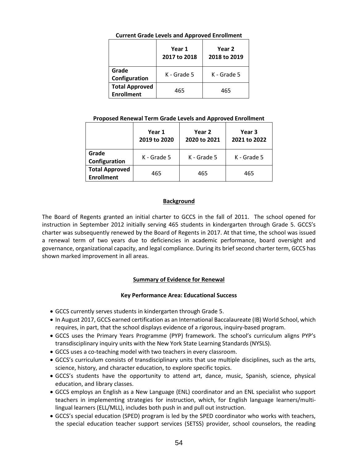## **Current Grade Levels and Approved Enrollment**

|                                            | Year 1<br>2017 to 2018 | Year 2<br>2018 to 2019 |
|--------------------------------------------|------------------------|------------------------|
| Grade<br>Configuration                     | K - Grade 5            | K - Grade 5            |
| <b>Total Approved</b><br><b>Enrollment</b> | 465                    | 465                    |

## **Proposed Renewal Term Grade Levels and Approved Enrollment**

|                                            | Year 1<br>2019 to 2020 | Year 2<br>2020 to 2021 | Year 3<br>2021 to 2022 |  |
|--------------------------------------------|------------------------|------------------------|------------------------|--|
| Grade<br>Configuration                     | K - Grade 5            | K - Grade 5            | K - Grade 5            |  |
| <b>Total Approved</b><br><b>Enrollment</b> | 465                    | 465                    | 465                    |  |

## **Background**

The Board of Regents granted an initial charter to GCCS in the fall of 2011. The school opened for instruction in September 2012 initially serving 465 students in kindergarten through Grade 5. GCCS's charter was subsequently renewed by the Board of Regents in 2017. At that time, the school was issued a renewal term of two years due to deficiencies in academic performance, board oversight and governance, organizational capacity, and legal compliance. During its brief second charter term, GCCS has shown marked improvement in all areas.

## **Summary of Evidence for Renewal**

## **Key Performance Area: Educational Success**

- GCCS currently serves students in kindergarten through Grade 5.
- In August 2017, GCCS earned certification as an International Baccalaureate (IB) World School, which requires, in part, that the school displays evidence of a rigorous, inquiry-based program.
- GCCS uses the Primary Years Programme (PYP) framework. The school's curriculum aligns PYP's transdisciplinary inquiry units with the New York State Learning Standards (NYSLS).
- GCCS uses a co-teaching model with two teachers in every classroom.
- GCCS's curriculum consists of transdisciplinary units that use multiple disciplines, such as the arts, science, history, and character education, to explore specific topics.
- GCCS's students have the opportunity to attend art, dance, music, Spanish, science, physical education, and library classes.
- GCCS employs an English as a New Language (ENL) coordinator and an ENL specialist who support teachers in implementing strategies for instruction, which, for English language learners/multilingual learners (ELL/MLL), includes both push in and pull out instruction.
- GCCS's special education (SPED) program is led by the SPED coordinator who works with teachers, the special education teacher support services (SETSS) provider, school counselors, the reading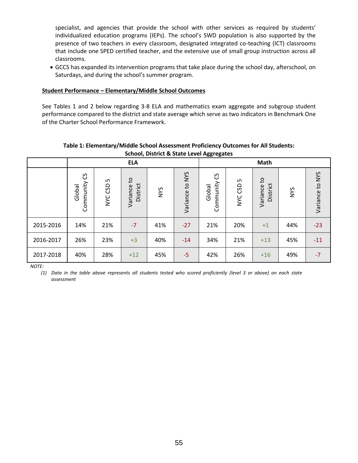specialist, and agencies that provide the school with other services as required by students' individualized education programs (IEPs). The school's SWD population is also supported by the presence of two teachers in every classroom, designated integrated co-teaching (ICT) classrooms that include one SPED certified teacher, and the extensive use of small group instruction across all classrooms.

• GCCS has expanded its intervention programs that take place during the school day, afterschool, on Saturdays, and during the school's summer program.

#### **Student Performance – Elementary/Middle School Outcomes**

See Tables 1 and 2 below regarding 3-8 ELA and mathematics exam aggregate and subgroup student performance compared to the district and state average which serve as two indicators in Benchmark One of the Charter School Performance Framework.

## **Table 1: Elementary/Middle School Assessment Proficiency Outcomes for All Students: School, District & State Level Aggregates**

|           | <b>ELA</b>               |              |                                      |            |                                          | <b>Math</b>                     |               |                            |            |                 |
|-----------|--------------------------|--------------|--------------------------------------|------------|------------------------------------------|---------------------------------|---------------|----------------------------|------------|-----------------|
|           | უ<br>Community<br>Global | S<br>NYC CSD | $\mathsf{c}$<br>District<br>Variance | <b>SAN</b> | <b>NYS</b><br>$\overline{c}$<br>Variance | <u>ვ</u><br>Community<br>Global | LO<br>NYC CSD | °4<br>District<br>Variance | <b>NYS</b> | Variance to NYS |
| 2015-2016 | 14%                      | 21%          | $-7$                                 | 41%        | $-27$                                    | 21%                             | 20%           | $+1$                       | 44%        | $-23$           |
| 2016-2017 | 26%                      | 23%          | $+3$                                 | 40%        | $-14$                                    | 34%                             | 21%           | $+13$                      | 45%        | $-11$           |
| 2017-2018 | 40%                      | 28%          | $+12$                                | 45%        | $-5$                                     | 42%                             | 26%           | $+16$                      | 49%        | $-7$            |

*NOTE:*

*(1) Data in the table above represents all students tested who scored proficiently (level 3 or above) on each state assessment*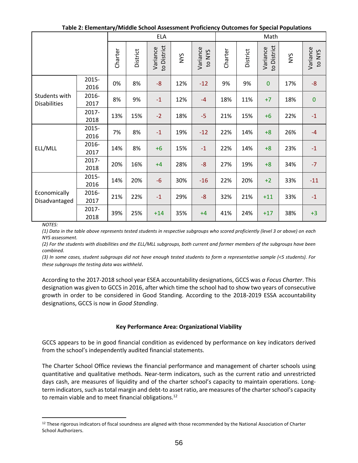| Table 2: Elementary/Middle School Assessment Proficiency Outcomes for Special Populations |  |
|-------------------------------------------------------------------------------------------|--|
|                                                                                           |  |

|                                      |               | <b>ELA</b> |          |                         |            | Math                                   |         |          |                         |            |                                        |
|--------------------------------------|---------------|------------|----------|-------------------------|------------|----------------------------------------|---------|----------|-------------------------|------------|----------------------------------------|
|                                      |               | Charter    | District | to District<br>Variance | <b>NVS</b> | Variance<br><b>NYS</b><br>$\mathbf{c}$ | Charter | District | to District<br>Variance | <b>SAN</b> | Variance<br><b>NYS</b><br>$\mathbf{c}$ |
|                                      | 2015-<br>2016 | 0%         | 8%       | $-8$                    | 12%        | $-12$                                  | 9%      | 9%       | $\bf{0}$                | 17%        | $-8-$                                  |
| Students with<br><b>Disabilities</b> | 2016-<br>2017 | 8%         | 9%       | $-1$                    | 12%        | $-4$                                   | 18%     | 11%      | $+7$                    | 18%        | $\pmb{0}$                              |
|                                      | 2017-<br>2018 | 13%        | 15%      | $-2$                    | 18%        | $-5$                                   | 21%     | 15%      | $+6$                    | 22%        | $-1$                                   |
|                                      | 2015-<br>2016 | 7%         | 8%       | $-1$                    | 19%        | $-12$                                  | 22%     | 14%      | $+8$                    | 26%        | $-4$                                   |
| ELL/MLL                              | 2016-<br>2017 | 14%        | 8%       | $+6$                    | 15%        | $-1$                                   | 22%     | 14%      | $+8$                    | 23%        | $-1$                                   |
|                                      | 2017-<br>2018 | 20%        | 16%      | $+4$                    | 28%        | $-8$                                   | 27%     | 19%      | $+8$                    | 34%        | $-7$                                   |
| Economically<br>Disadvantaged        | 2015-<br>2016 | 14%        | 20%      | $-6$                    | 30%        | $-16$                                  | 22%     | 20%      | $+2$                    | 33%        | $-11$                                  |
|                                      | 2016-<br>2017 | 21%        | 22%      | $-1$                    | 29%        | $-8$                                   | 32%     | 21%      | $+11$                   | 33%        | $-1$                                   |
|                                      | 2017-<br>2018 | 39%        | 25%      | $+14$                   | 35%        | $+4$                                   | 41%     | 24%      | $+17$                   | 38%        | $+3$                                   |

*NOTES:*

 $\overline{a}$ 

*(1) Data in the table above represents tested students in respective subgroups who scored proficiently (level 3 or above) on each NYS assessment.*

*(2) For the students with disabilities and the ELL/MLL subgroups, both current and former members of the subgroups have been combined.*

*(3) In some cases, student subgroups did not have enough tested students to form a representative sample (<5 students). For these subgroups the testing data was withheld*.

According to the 2017-2018 school year ESEA accountability designations, GCCS was *a Focus Charter*. This designation was given to GCCS in 2016, after which time the school had to show two years of consecutive growth in order to be considered in Good Standing. According to the 2018-2019 ESSA accountability designations, GCCS is now in *Good Standing*.

## **Key Performance Area: Organizational Viability**

GCCS appears to be in good financial condition as evidenced by performance on key indicators derived from the school's independently audited financial statements.

The Charter School Office reviews the financial performance and management of charter schools using quantitative and qualitative methods. Near‐term indicators, such as the current ratio and unrestricted days cash, are measures of liquidity and of the charter school's capacity to maintain operations. Long‐ term indicators, such as total margin and debt‐to asset ratio, are measures of the charter school's capacity to remain viable and to meet financial obligations.<sup>12</sup>

<sup>&</sup>lt;sup>12</sup> These rigorous indicators of fiscal soundness are aligned with those recommended by the National Association of Charter School Authorizers.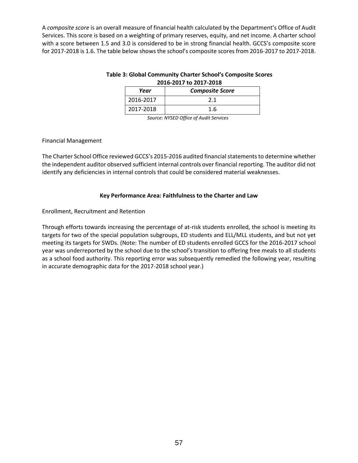A *composite score* is an overall measure of financial health calculated by the Department's Office of Audit Services. This score is based on a weighting of primary reserves, equity, and net income. A charter school with a score between 1.5 and 3.0 is considered to be in strong financial health. GCCS's composite score for 2017-2018 is 1.6. The table below shows the school's composite scores from 2016-2017 to 2017-2018.

| Table 3: Global Community Charter School's Composite Scores |  |
|-------------------------------------------------------------|--|
| 2016-2017 to 2017-2018                                      |  |

| Year      | <b>Composite Score</b> |
|-----------|------------------------|
| 2016-2017 |                        |
| 2017-2018 | 1.6                    |

*Source: NYSED Office of Audit Services*

## Financial Management

The Charter School Office reviewed GCCS's 2015-2016 audited financial statements to determine whether the independent auditor observed sufficient internal controls over financial reporting. The auditor did not identify any deficiencies in internal controls that could be considered material weaknesses.

# **Key Performance Area: Faithfulness to the Charter and Law**

Enrollment, Recruitment and Retention

Through efforts towards increasing the percentage of at-risk students enrolled, the school is meeting its targets for two of the special population subgroups, ED students and ELL/MLL students, and but not yet meeting its targets for SWDs. (Note: The number of ED students enrolled GCCS for the 2016-2017 school year was underreported by the school due to the school's transition to offering free meals to all students as a school food authority. This reporting error was subsequently remedied the following year, resulting in accurate demographic data for the 2017-2018 school year.)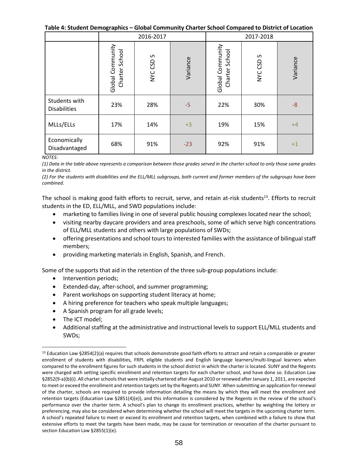**Table 4: Student Demographics – Global Community Charter School Compared to District of Location**

|                                      |                                    | 2016-2017    |          | 2017-2018                             |              |          |  |
|--------------------------------------|------------------------------------|--------------|----------|---------------------------------------|--------------|----------|--|
|                                      | Global Community<br>Charter School | S<br>NYC CSD | Variance | Global Community<br>School<br>Charter | S<br>NYC CSD | Variance |  |
| Students with<br><b>Disabilities</b> | 23%                                | 28%          | $-5$     | 22%                                   | 30%          | $-8$     |  |
| MLLs/ELLs                            | 17%                                | 14%          | $+3$     | 19%                                   | 15%          | $+4$     |  |
| Economically<br>Disadvantaged        | 68%                                | 91%          | $-23$    | 92%                                   | 91%          | $+1$     |  |

#### *NOTES:*

*(1) Data in the table above represents a comparison between those grades served in the charter school to only those same grades in the district.*

*(2) For the students with disabilities and the ELL/MLL subgroups, both current and former members of the subgroups have been combined.*

The school is making good faith efforts to recruit, serve, and retain at-risk students<sup>13</sup>. Efforts to recruit students in the ED, ELL/MLL, and SWD populations include:

- marketing to families living in one of several public housing complexes located near the school;
- visiting nearby daycare providers and area preschools, some of which serve high concentrations of ELL/MLL students and others with large populations of SWDs;
- offering presentations and school tours to interested families with the assistance of bilingual staff members;
- providing marketing materials in English, Spanish, and French.

Some of the supports that aid in the retention of the three sub-group populations include:

- Intervention periods;
- Extended-day, after-school, and summer programming;
- Parent workshops on supporting student literacy at home;
- A hiring preference for teachers who speak multiple languages;
- A Spanish program for all grade levels;
- The ICT model:

 $\overline{a}$ 

• Additional staffing at the administrative and instructional levels to support ELL/MLL students and SWDs;

<sup>&</sup>lt;sup>13</sup> Education Law §2854(2)(a) requires that schools demonstrate good faith efforts to attract and retain a comparable or greater enrollment of students with disabilities, FRPL eligible students and English language learners/multi-lingual learners when compared to the enrollment figures for such students in the school district in which the charter is located. SUNY and the Regents were charged with setting specific enrollment and retention targets for each charter school, and have done so. Education Law §2852(9-a)(b)(i). All charter schools that were initially chartered after August 2010 or renewed after January 1, 2011, are expected to meet or exceed the enrollment and retention targets set by the Regents and SUNY. When submitting an application for renewal of the charter, schools are required to provide information detailing the means by which they will meet the enrollment and retention targets (Education Law §2851(4)(e)), and this information is considered by the Regents in the review of the school's performance over the charter term. A school's plan to change its enrollment practices, whether by weighting the lottery or preferencing, may also be considered when determining whether the school will meet the targets in the upcoming charter term. A school's repeated failure to meet or exceed its enrollment and retention targets, when combined with a failure to show that extensive efforts to meet the targets have been made, may be cause for termination or revocation of the charter pursuant to section Education Law §2855(1)(e).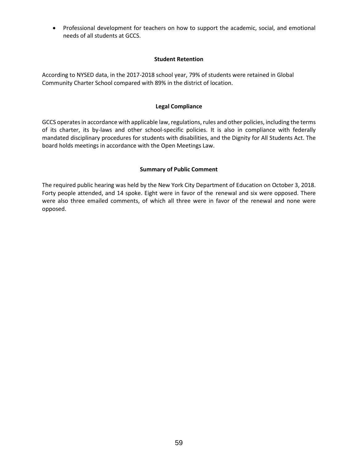• Professional development for teachers on how to support the academic, social, and emotional needs of all students at GCCS.

## **Student Retention**

According to NYSED data, in the 2017-2018 school year, 79% of students were retained in Global Community Charter School compared with 89% in the district of location.

## **Legal Compliance**

GCCS operates in accordance with applicable law, regulations, rules and other policies, including the terms of its charter, its by-laws and other school-specific policies. It is also in compliance with federally mandated disciplinary procedures for students with disabilities, and the Dignity for All Students Act. The board holds meetings in accordance with the Open Meetings Law.

## **Summary of Public Comment**

The required public hearing was held by the New York City Department of Education on October 3, 2018. Forty people attended, and 14 spoke. Eight were in favor of the renewal and six were opposed. There were also three emailed comments, of which all three were in favor of the renewal and none were opposed.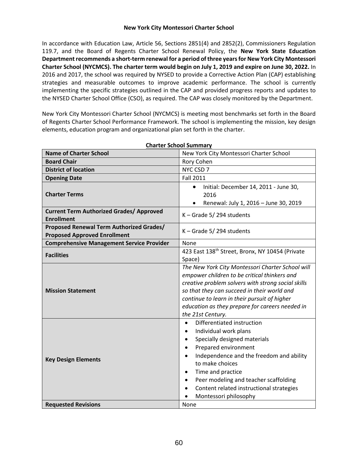## **New York City Montessori Charter School**

In accordance with Education Law, Article 56, Sections 2851(4) and 2852(2), Commissioners Regulation 119.7, and the Board of Regents Charter School Renewal Policy, the **New York State Education Department recommends a short-term renewal for a period of three yearsfor New York City Montessori Charter School (NYCMCS). The charter term would begin on July 1, 2019 and expire on June 30, 2022.** In 2016 and 2017, the school was required by NYSED to provide a Corrective Action Plan (CAP) establishing strategies and measurable outcomes to improve academic performance. The school is currently implementing the specific strategies outlined in the CAP and provided progress reports and updates to the NYSED Charter School Office (CSO), as required. The CAP was closely monitored by the Department.

New York City Montessori Charter School (NYCMCS) is meeting most benchmarks set forth in the Board of Regents Charter School Performance Framework. The school is implementing the mission, key design elements, education program and organizational plan set forth in the charter.

| <b>Charter School Summary</b>                                                   |                                                                                                                                                                                                                                                                                                                                                                        |  |  |  |  |
|---------------------------------------------------------------------------------|------------------------------------------------------------------------------------------------------------------------------------------------------------------------------------------------------------------------------------------------------------------------------------------------------------------------------------------------------------------------|--|--|--|--|
| <b>Name of Charter School</b>                                                   | New York City Montessori Charter School                                                                                                                                                                                                                                                                                                                                |  |  |  |  |
| <b>Board Chair</b>                                                              | Rory Cohen                                                                                                                                                                                                                                                                                                                                                             |  |  |  |  |
| <b>District of location</b>                                                     | NYC CSD 7                                                                                                                                                                                                                                                                                                                                                              |  |  |  |  |
| <b>Opening Date</b>                                                             | <b>Fall 2011</b>                                                                                                                                                                                                                                                                                                                                                       |  |  |  |  |
| <b>Charter Terms</b>                                                            | Initial: December 14, 2011 - June 30,<br>$\bullet$<br>2016<br>Renewal: July 1, 2016 - June 30, 2019                                                                                                                                                                                                                                                                    |  |  |  |  |
| <b>Current Term Authorized Grades/ Approved</b><br><b>Enrollment</b>            | K - Grade 5/294 students                                                                                                                                                                                                                                                                                                                                               |  |  |  |  |
| Proposed Renewal Term Authorized Grades/<br><b>Proposed Approved Enrollment</b> | $K -$ Grade 5/294 students                                                                                                                                                                                                                                                                                                                                             |  |  |  |  |
| <b>Comprehensive Management Service Provider</b>                                | None                                                                                                                                                                                                                                                                                                                                                                   |  |  |  |  |
| <b>Facilities</b>                                                               | 423 East 138th Street, Bronx, NY 10454 (Private<br>Space)                                                                                                                                                                                                                                                                                                              |  |  |  |  |
| <b>Mission Statement</b>                                                        | The New York City Montessori Charter School will<br>empower children to be critical thinkers and<br>creative problem solvers with strong social skills<br>so that they can succeed in their world and<br>continue to learn in their pursuit of higher<br>education as they prepare for careers needed in<br>the 21st Century.                                          |  |  |  |  |
| <b>Key Design Elements</b>                                                      | Differentiated instruction<br>$\bullet$<br>Individual work plans<br>Specially designed materials<br>Prepared environment<br>$\bullet$<br>Independence and the freedom and ability<br>$\bullet$<br>to make choices<br>Time and practice<br>٠<br>Peer modeling and teacher scaffolding<br>$\bullet$<br>Content related instructional strategies<br>Montessori philosophy |  |  |  |  |
| <b>Requested Revisions</b>                                                      | None                                                                                                                                                                                                                                                                                                                                                                   |  |  |  |  |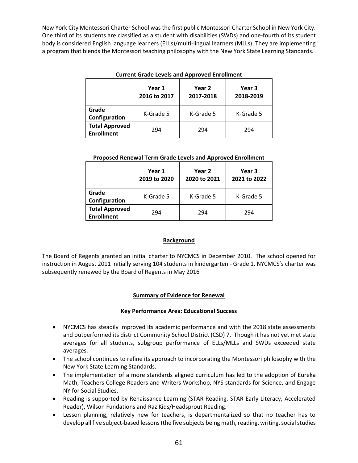New York City Montessori Charter School was the first public Montessori Charter School in New York City. One third of its students are classified as a student with disabilities (SWDs) and one-fourth of its student body is considered English language learners (ELLs)/multi-lingual learners (MLLs). They are implementing a program that blends the Montessori teaching philosophy with the New York State Learning Standards.

|                                            | Year 1<br>2016 to 2017 | Year 2<br>2017-2018 | Year 3<br>2018-2019 |  |
|--------------------------------------------|------------------------|---------------------|---------------------|--|
| Grade<br>Configuration                     | K-Grade 5              | K-Grade 5           | K-Grade 5           |  |
| <b>Total Approved</b><br><b>Enrollment</b> | 294                    | 294                 | 294                 |  |

## **Current Grade Levels and Approved Enrollment**

#### **Proposed Renewal Term Grade Levels and Approved Enrollment**

|                                            | Year 1<br>2019 to 2020 | Year 2<br>2020 to 2021 | Year 3<br>2021 to 2022 |  |  |
|--------------------------------------------|------------------------|------------------------|------------------------|--|--|
| Grade<br>Configuration                     | K-Grade 5              | K-Grade 5              | K-Grade 5              |  |  |
| <b>Total Approved</b><br><b>Enrollment</b> | 294                    | 294                    | 294                    |  |  |

## **Background**

The Board of Regents granted an initial charter to NYCMCS in December 2010. The school opened for instruction in August 2011 initially serving 104 students in kindergarten - Grade 1. NYCMCS's charter was subsequently renewed by the Board of Regents in May 2016

## **Summary of Evidence for Renewal**

## **Key Performance Area: Educational Success**

- NYCMCS has steadily improved its academic performance and with the 2018 state assessments and outperformed its district Community School District (CSD) 7. Though it has not yet met state averages for all students, subgroup performance of ELLs/MLLs and SWDs exceeded state averages.
- The school continues to refine its approach to incorporating the Montessori philosophy with the New York State Learning Standards.
- The implementation of a more standards aligned curriculum has led to the adoption of Eureka Math, Teachers College Readers and Writers Workshop, NYS standards for Science, and Engage NY for Social Studies.
- Reading is supported by Renaissance Learning (STAR Reading, STAR Early Literacy, Accelerated Reader), Wilson Fundations and Raz Kids/Headsprout Reading.
- Lesson planning, relatively new for teachers, is departmentalized so that no teacher has to develop all five subject-based lessons (the five subjects being math, reading, writing, social studies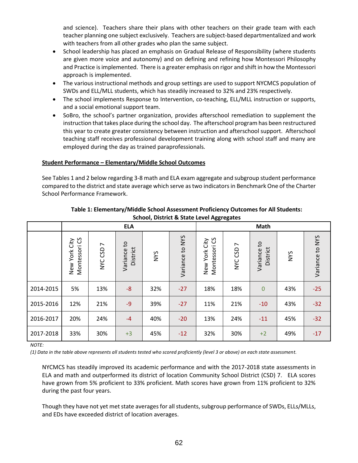and science). Teachers share their plans with other teachers on their grade team with each teacher planning one subject exclusively. Teachers are subject-based departmentalized and work with teachers from all other grades who plan the same subject.

- School leadership has placed an emphasis on Gradual Release of Responsibility (where students are given more voice and autonomy) and on defining and refining how Montessori Philosophy and Practice is implemented. There is a greater emphasis on rigor and shift in how the Montessori approach is implemented.
- The various instructional methods and group settings are used to support NYCMCS population of SWDs and ELL/MLL students, which has steadily increased to 32% and 23% respectively.
- The school implements Response to Intervention, co-teaching, ELL/MLL instruction or supports, and a social emotional support team.
- SoBro, the school's partner organization, provides afterschool remediation to supplement the instruction that takes place during the school day. The afterschool program has been restructured this year to create greater consistency between instruction and afterschool support. Afterschool teaching staff receives professional development training along with school staff and many are employed during the day as trained paraprofessionals.

# **Student Performance – Elementary/Middle School Outcomes**

See Tables 1 and 2 below regarding 3-8 math and ELA exam aggregate and subgroup student performance compared to the district and state average which serve as two indicators in Benchmark One of the Charter School Performance Framework.

|           | <b>ELA</b>                           |                           |                         |            |                 | Math                              |                                     |                         |            |                 |
|-----------|--------------------------------------|---------------------------|-------------------------|------------|-----------------|-----------------------------------|-------------------------------------|-------------------------|------------|-----------------|
|           | CS<br>City<br>Montessori<br>New York | $\overline{ }$<br>NYC CSD | Variance to<br>District | <b>NYS</b> | Variance to NYS | Montessori CS<br>City<br>New York | $\overline{ }$<br>CSD<br><b>NAC</b> | Variance to<br>District | <b>NYS</b> | Variance to NYS |
| 2014-2015 | 5%                                   | 13%                       | $-8$                    | 32%        | $-27$           | 18%                               | 18%                                 | $\mathbf 0$             | 43%        | $-25$           |
| 2015-2016 | 12%                                  | 21%                       | $-9$                    | 39%        | $-27$           | 11%                               | 21%                                 | $-10$                   | 43%        | $-32$           |
| 2016-2017 | 20%                                  | 24%                       | $-4$                    | 40%        | $-20$           | 13%                               | 24%                                 | $-11$                   | 45%        | $-32$           |
| 2017-2018 | 33%                                  | 30%                       | $+3$                    | 45%        | $-12$           | 32%                               | 30%                                 | $+2$                    | 49%        | $-17$           |

**Table 1: Elementary/Middle School Assessment Proficiency Outcomes for All Students: School, District & State Level Aggregates**

*NOTE:*

*(1) Data in the table above represents all students tested who scored proficiently (level 3 or above) on each state assessment.*

NYCMCS has steadily improved its academic performance and with the 2017-2018 state assessments in ELA and math and outperformed its district of location Community School District (CSD) 7. ELA scores have grown from 5% proficient to 33% proficient. Math scores have grown from 11% proficient to 32% during the past four years.

Though they have not yet met state averages for all students, subgroup performance of SWDs, ELLs/MLLs, and EDs have exceeded district of location averages.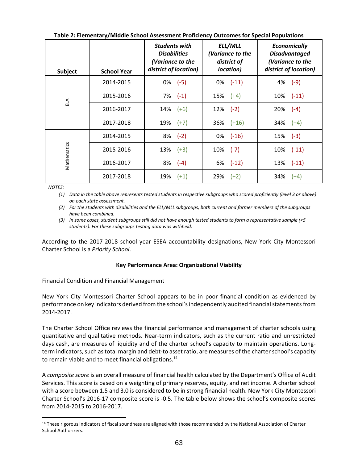| <b>Subject</b> | <b>School Year</b> | <b>Students with</b><br><b>Disabilities</b><br>(Variance to the<br>district of location) | ELL/MLL<br>(Variance to the<br>district of<br>location) | <b>Economically</b><br><b>Disadvantaged</b><br>(Variance to the<br>district of location) |  |
|----------------|--------------------|------------------------------------------------------------------------------------------|---------------------------------------------------------|------------------------------------------------------------------------------------------|--|
|                | 2014-2015          | $0\%$ (-5)                                                                               | $0\%$ $(-11)$                                           | $4\%$ (-9)                                                                               |  |
| ELA            | 2015-2016          | $7\%$ $(-1)$                                                                             | $15\%$ $(+4)$                                           | $10\%$ $(-11)$                                                                           |  |
|                | 2016-2017          | $14\%$ (+6)                                                                              | $12\%$ (-2)                                             | $20\%$ (-4)                                                                              |  |
|                | 2017-2018          | $19\%$ (+7)                                                                              | $36\%$ $(+16)$                                          | $34\%$ $(+4)$                                                                            |  |
|                | 2014-2015          | $8\%$ (-2)                                                                               | $0\%$ (-16)                                             | $15\%$ (-3)                                                                              |  |
|                | 2015-2016          | $13\%$ $(+3)$                                                                            | $10\%$ (-7)                                             | $10\%$ $(-11)$                                                                           |  |
| Mathematics    | 2016-2017          | $8\%$ (-4)                                                                               | $6\%$ $(-12)$                                           | $13\%$ $(-11)$                                                                           |  |
|                | 2017-2018          | $19\%$ $(+1)$                                                                            | $29\%$ (+2)                                             | 34%<br>$(+4)$                                                                            |  |

**Table 2: Elementary/Middle School Assessment Proficiency Outcomes for Special Populations**

*NOTES:*

 $\overline{a}$ 

*(1) Data in the table above represents tested students in respective subgroups who scored proficiently (level 3 or above) on each state assessment.*

*(2) For the students with disabilities and the ELL/MLL subgroups, both current and former members of the subgroups have been combined.*

*(3) In some cases, student subgroups still did not have enough tested students to form a representative sample (<5 students). For these subgroups testing data was withheld.*

According to the 2017-2018 school year ESEA accountability designations, New York City Montessori Charter School is a *Priority School*.

# **Key Performance Area: Organizational Viability**

Financial Condition and Financial Management

New York City Montessori Charter School appears to be in poor financial condition as evidenced by performance on key indicators derived from the school's independently audited financial statementsfrom 2014-2017.

The Charter School Office reviews the financial performance and management of charter schools using quantitative and qualitative methods. Near‐term indicators, such as the current ratio and unrestricted days cash, are measures of liquidity and of the charter school's capacity to maintain operations. Long‐ term indicators, such as total margin and debt‐to asset ratio, are measures of the charter school's capacity to remain viable and to meet financial obligations.<sup>14</sup>

A *composite score* is an overall measure of financial health calculated by the Department's Office of Audit Services. This score is based on a weighting of primary reserves, equity, and net income. A charter school with a score between 1.5 and 3.0 is considered to be in strong financial health. New York City Montessori Charter School's 2016-17 composite score is -0.5. The table below shows the school's composite scores from 2014-2015 to 2016-2017.

<sup>&</sup>lt;sup>14</sup> These rigorous indicators of fiscal soundness are aligned with those recommended by the National Association of Charter School Authorizers.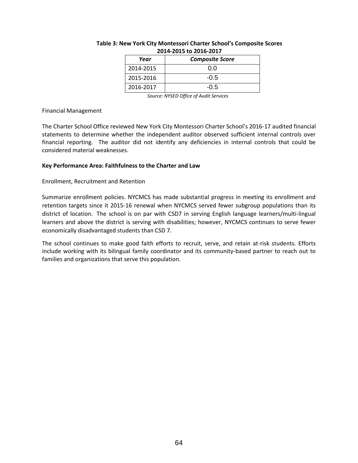| Year      | <b>Composite Score</b> |  |  |  |  |
|-----------|------------------------|--|--|--|--|
| 2014-2015 | 0.O                    |  |  |  |  |
| 2015-2016 | $-0.5$                 |  |  |  |  |
| 2016-2017 | $-0.5$                 |  |  |  |  |

#### **Table 3: New York City Montessori Charter School's Composite Scores 2014-2015 to 2016-2017**

*Source: NYSED Office of Audit Services*

#### Financial Management

The Charter School Office reviewed New York City Montessori Charter School's 2016-17 audited financial statements to determine whether the independent auditor observed sufficient internal controls over financial reporting. The auditor did not identify any deficiencies in internal controls that could be considered material weaknesses.

## **Key Performance Area: Faithfulness to the Charter and Law**

## Enrollment, Recruitment and Retention

Summarize enrollment policies. NYCMCS has made substantial progress in meeting its enrollment and retention targets since it 2015-16 renewal when NYCMCS served fewer subgroup populations than its district of location. The school is on par with CSD7 in serving English language learners/multi-lingual learners and above the district is serving with disabilities; however, NYCMCS continues to serve fewer economically disadvantaged students than CSD 7.

The school continues to make good faith efforts to recruit, serve, and retain at-risk students. Efforts include working with its bilingual family coordinator and its community-based partner to reach out to families and organizations that serve this population.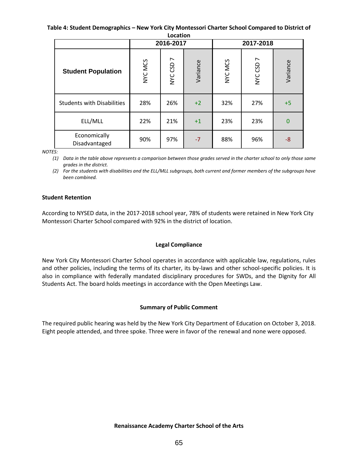#### **Table 4: Student Demographics – New York City Montessori Charter School Compared to District of Location**

|                                   |         | 2016-2017                 |          |         | 2017-2018                 |          |
|-----------------------------------|---------|---------------------------|----------|---------|---------------------------|----------|
| <b>Student Population</b>         | NYC MCS | $\overline{ }$<br>NYC CSD | Variance | NYC MCS | $\overline{ }$<br>NYC CSD | Variance |
| <b>Students with Disabilities</b> | 28%     | 26%                       | $+2$     | 32%     | 27%                       | $+5$     |
| ELL/MLL                           | 22%     | 21%                       | $+1$     | 23%     | 23%                       | $\bf{0}$ |
| Economically<br>Disadvantaged     | 90%     | 97%                       | $-7$     | 88%     | 96%                       | -8       |

*NOTES:*

*(1) Data in the table above represents a comparison between those grades served in the charter school to only those same grades in the district.*

*(2) For the students with disabilities and the ELL/MLL subgroups, both current and former members of the subgroups have been combined.*

## **Student Retention**

According to NYSED data, in the 2017-2018 school year, 78% of students were retained in New York City Montessori Charter School compared with 92% in the district of location.

# **Legal Compliance**

New York City Montessori Charter School operates in accordance with applicable law, regulations, rules and other policies, including the terms of its charter, its by-laws and other school-specific policies. It is also in compliance with federally mandated disciplinary procedures for SWDs, and the Dignity for All Students Act. The board holds meetings in accordance with the Open Meetings Law.

# **Summary of Public Comment**

The required public hearing was held by the New York City Department of Education on October 3, 2018. Eight people attended, and three spoke. Three were in favor of the renewal and none were opposed.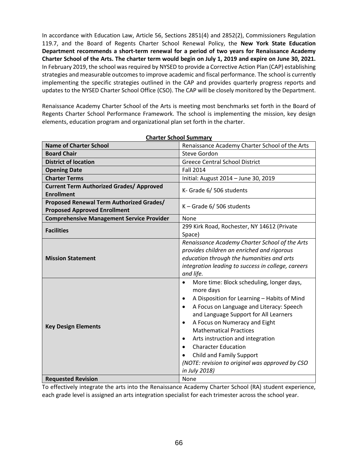In accordance with Education Law, Article 56, Sections 2851(4) and 2852(2), Commissioners Regulation 119.7, and the Board of Regents Charter School Renewal Policy, the **New York State Education Department recommends a short-term renewal for a period of two years for Renaissance Academy Charter School of the Arts. The charter term would begin on July 1, 2019 and expire on June 30, 2021.** In February 2019, the school was required by NYSED to provide a Corrective Action Plan (CAP) establishing strategies and measurable outcomes to improve academic and fiscal performance. The school is currently implementing the specific strategies outlined in the CAP and provides quarterly progress reports and updates to the NYSED Charter School Office (CSO). The CAP will be closely monitored by the Department.

Renaissance Academy Charter School of the Arts is meeting most benchmarks set forth in the Board of Regents Charter School Performance Framework. The school is implementing the mission, key design elements, education program and organizational plan set forth in the charter.

| <u>.a. .c. oc.oo. saa.</u>                                                      |                                                                                                                                                                                                                                                                                                                                                                                                                                                                                                                           |  |  |  |  |
|---------------------------------------------------------------------------------|---------------------------------------------------------------------------------------------------------------------------------------------------------------------------------------------------------------------------------------------------------------------------------------------------------------------------------------------------------------------------------------------------------------------------------------------------------------------------------------------------------------------------|--|--|--|--|
| <b>Name of Charter School</b>                                                   | Renaissance Academy Charter School of the Arts                                                                                                                                                                                                                                                                                                                                                                                                                                                                            |  |  |  |  |
| <b>Board Chair</b>                                                              | Steve Gordon                                                                                                                                                                                                                                                                                                                                                                                                                                                                                                              |  |  |  |  |
| <b>District of location</b>                                                     | <b>Greece Central School District</b>                                                                                                                                                                                                                                                                                                                                                                                                                                                                                     |  |  |  |  |
| <b>Opening Date</b>                                                             | <b>Fall 2014</b>                                                                                                                                                                                                                                                                                                                                                                                                                                                                                                          |  |  |  |  |
| <b>Charter Terms</b>                                                            | Initial: August 2014 - June 30, 2019                                                                                                                                                                                                                                                                                                                                                                                                                                                                                      |  |  |  |  |
| <b>Current Term Authorized Grades/ Approved</b><br><b>Enrollment</b>            | K- Grade 6/506 students                                                                                                                                                                                                                                                                                                                                                                                                                                                                                                   |  |  |  |  |
| Proposed Renewal Term Authorized Grades/<br><b>Proposed Approved Enrollment</b> | K - Grade 6/506 students                                                                                                                                                                                                                                                                                                                                                                                                                                                                                                  |  |  |  |  |
| <b>Comprehensive Management Service Provider</b>                                | None                                                                                                                                                                                                                                                                                                                                                                                                                                                                                                                      |  |  |  |  |
| <b>Facilities</b>                                                               | 299 Kirk Road, Rochester, NY 14612 (Private<br>Space)                                                                                                                                                                                                                                                                                                                                                                                                                                                                     |  |  |  |  |
| <b>Mission Statement</b>                                                        | Renaissance Academy Charter School of the Arts<br>provides children an enriched and rigorous<br>education through the humanities and arts<br>integration leading to success in college, careers<br>and life.                                                                                                                                                                                                                                                                                                              |  |  |  |  |
| <b>Key Design Elements</b>                                                      | More time: Block scheduling, longer days,<br>$\bullet$<br>more days<br>A Disposition for Learning - Habits of Mind<br>$\bullet$<br>A Focus on Language and Literacy: Speech<br>$\bullet$<br>and Language Support for All Learners<br>A Focus on Numeracy and Eight<br>$\bullet$<br><b>Mathematical Practices</b><br>Arts instruction and integration<br>$\bullet$<br><b>Character Education</b><br>$\bullet$<br>Child and Family Support<br>$\bullet$<br>(NOTE: revision to original was approved by CSO<br>in July 2018) |  |  |  |  |
| <b>Requested Revision</b>                                                       | None                                                                                                                                                                                                                                                                                                                                                                                                                                                                                                                      |  |  |  |  |

**Charter School Summary**

To effectively integrate the arts into the Renaissance Academy Charter School (RA) student experience, each grade level is assigned an arts integration specialist for each trimester across the school year.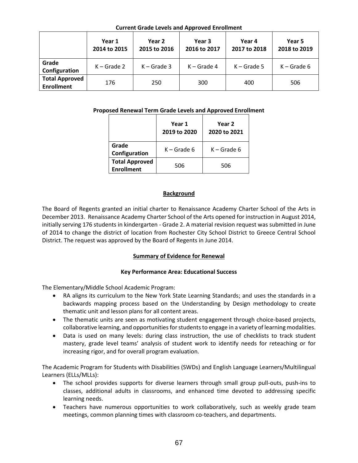| <u>carrent craac Ecters and Approved Enromment</u> |                        |                        |                        |                        |                        |  |  |
|----------------------------------------------------|------------------------|------------------------|------------------------|------------------------|------------------------|--|--|
|                                                    | Year 1<br>2014 to 2015 | Year 2<br>2015 to 2016 | Year 3<br>2016 to 2017 | Year 4<br>2017 to 2018 | Year 5<br>2018 to 2019 |  |  |
| Grade<br>Configuration                             | $K -$ Grade 2          | $K -$ Grade 3          | $K -$ Grade 4          | $K -$ Grade 5          | $K -$ Grade 6          |  |  |
| <b>Total Approved</b><br><b>Enrollment</b>         | 176                    | 250                    | 300                    | 400                    | 506                    |  |  |

# **Current Grade Levels and Approved Enrollment**

## **Proposed Renewal Term Grade Levels and Approved Enrollment**

|                                            | Year 1<br>2019 to 2020 | Year 2<br>2020 to 2021 |
|--------------------------------------------|------------------------|------------------------|
| Grade<br>Configuration                     | $K -$ Grade 6          | $K -$ Grade 6          |
| <b>Total Approved</b><br><b>Enrollment</b> | 506                    | 506                    |

## **Background**

The Board of Regents granted an initial charter to Renaissance Academy Charter School of the Arts in December 2013. Renaissance Academy Charter School of the Arts opened for instruction in August 2014, initially serving 176 students in kindergarten - Grade 2. A material revision request was submitted in June of 2014 to change the district of location from Rochester City School District to Greece Central School District. The request was approved by the Board of Regents in June 2014.

## **Summary of Evidence for Renewal**

## **Key Performance Area: Educational Success**

The Elementary/Middle School Academic Program:

- RA aligns its curriculum to the New York State Learning Standards; and uses the standards in a backwards mapping process based on the Understanding by Design methodology to create thematic unit and lesson plans for all content areas.
- The thematic units are seen as motivating student engagement through choice-based projects, collaborative learning, and opportunities for students to engage in a variety of learning modalities.
- Data is used on many levels: during class instruction, the use of checklists to track student mastery, grade level teams' analysis of student work to identify needs for reteaching or for increasing rigor, and for overall program evaluation.

The Academic Program for Students with Disabilities (SWDs) and English Language Learners/Multilingual Learners (ELLs/MLLs):

- The school provides supports for diverse learners through small group pull-outs, push-ins to classes, additional adults in classrooms, and enhanced time devoted to addressing specific learning needs.
- Teachers have numerous opportunities to work collaboratively, such as weekly grade team meetings, common planning times with classroom co-teachers, and departments.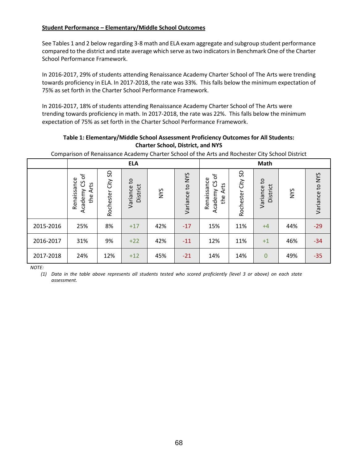# **Student Performance – Elementary/Middle School Outcomes**

See Tables 1 and 2 below regarding 3-8 math and ELA exam aggregate and subgroup student performance compared to the district and state average which serve as two indicators in Benchmark One of the Charter School Performance Framework.

In 2016-2017, 29% of students attending Renaissance Academy Charter School of The Arts were trending towards proficiency in ELA. In 2017-2018, the rate was 33%. This falls below the minimum expectation of 75% as set forth in the Charter School Performance Framework.

In 2016-2017, 18% of students attending Renaissance Academy Charter School of The Arts were trending towards proficiency in math. In 2017-2018, the rate was 22%. This falls below the minimum expectation of 75% as set forth in the Charter School Performance Framework.

## **Table 1: Elementary/Middle School Assessment Proficiency Outcomes for All Students: Charter School, District, and NYS**

Comparison of Renaissance Academy Charter School of the Arts and Rochester City School District

|           |                                                                      | <b>ELA</b>           |                            |            |                 |                                                |                         | <b>Math</b>                          |            |                 |
|-----------|----------------------------------------------------------------------|----------------------|----------------------------|------------|-----------------|------------------------------------------------|-------------------------|--------------------------------------|------------|-----------------|
|           | $\mathcal{P}$<br>Renaissance<br><u>ვ</u><br>ť<br>₹<br>Academy<br>the | SD<br>Rochester City | S,<br>District<br>Variance | <b>NYS</b> | Variance to NYS | CS of<br>Renaissance<br>Arts<br>Academy<br>the | SD<br>City<br>Rochester | $\mathsf{S}$<br>District<br>Variance | <b>SAN</b> | Variance to NYS |
| 2015-2016 | 25%                                                                  | 8%                   | $+17$                      | 42%        | $-17$           | 15%                                            | 11%                     | $+4$                                 | 44%        | $-29$           |
| 2016-2017 | 31%                                                                  | 9%                   | $+22$                      | 42%        | $-11$           | 12%                                            | 11%                     | $+1$                                 | 46%        | $-34$           |
| 2017-2018 | 24%                                                                  | 12%                  | $+12$                      | 45%        | $-21$           | 14%                                            | 14%                     | $\overline{0}$                       | 49%        | $-35$           |

*NOTE:*

*(1) Data in the table above represents all students tested who scored proficiently (level 3 or above) on each state assessment.*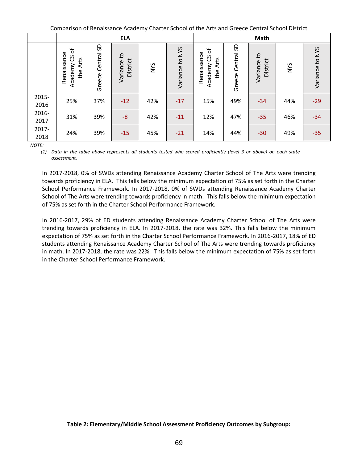Comparison of Renaissance Academy Charter School of the Arts and Greece Central School District

|               |                                                    |                         | <b>ELA</b>                 |            |                 |                                                |                         | Math                                   |            |                 |
|---------------|----------------------------------------------------|-------------------------|----------------------------|------------|-----------------|------------------------------------------------|-------------------------|----------------------------------------|------------|-----------------|
|               | Academy CS of<br>Renaissance<br><b>Arts</b><br>the | SD<br>Central<br>Greece | S,<br>District<br>Variance | <b>NYS</b> | Variance to NYS | CS of<br>Renaissance<br>Arts<br>Academy<br>the | SD<br>Central<br>Greece | S <sub>1</sub><br>District<br>Variance | <b>NVS</b> | Variance to NYS |
| 2015-<br>2016 | 25%                                                | 37%                     | $-12$                      | 42%        | $-17$           | 15%                                            | 49%                     | $-34$                                  | 44%        | $-29$           |
| 2016-<br>2017 | 31%                                                | 39%                     | $-8$                       | 42%        | $-11$           | 12%                                            | 47%                     | $-35$                                  | 46%        | $-34$           |
| 2017-<br>2018 | 24%                                                | 39%                     | $-15$                      | 45%        | $-21$           | 14%                                            | 44%                     | $-30$                                  | 49%        | $-35$           |

*NOTE:*

*(1) Data in the table above represents all students tested who scored proficiently (level 3 or above) on each state assessment.*

In 2017-2018, 0% of SWDs attending Renaissance Academy Charter School of The Arts were trending towards proficiency in ELA. This falls below the minimum expectation of 75% as set forth in the Charter School Performance Framework. In 2017-2018, 0% of SWDs attending Renaissance Academy Charter School of The Arts were trending towards proficiency in math. This falls below the minimum expectation of 75% as set forth in the Charter School Performance Framework.

In 2016-2017, 29% of ED students attending Renaissance Academy Charter School of The Arts were trending towards proficiency in ELA. In 2017-2018, the rate was 32%. This falls below the minimum expectation of 75% as set forth in the Charter School Performance Framework. In 2016-2017, 18% of ED students attending Renaissance Academy Charter School of The Arts were trending towards proficiency in math. In 2017-2018, the rate was 22%. This falls below the minimum expectation of 75% as set forth in the Charter School Performance Framework.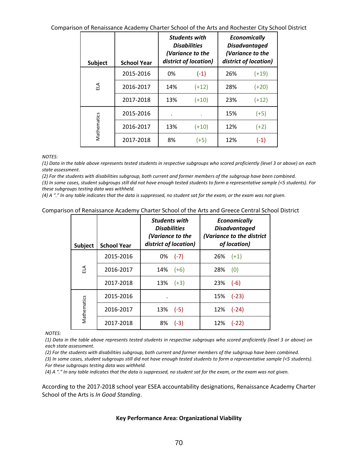Comparison of Renaissance Academy Charter School of the Arts and Rochester City School District

| <b>Subject</b> | <b>School Year</b> |     | <b>Students with</b><br><b>Disabilities</b><br>(Variance to the<br>district of location) |     | <b>Economically</b><br><b>Disadvantaged</b><br>(Variance to the<br>district of location) |
|----------------|--------------------|-----|------------------------------------------------------------------------------------------|-----|------------------------------------------------------------------------------------------|
|                | 2015-2016          | 0%  | $(-1)$                                                                                   | 26% | $(+19)$                                                                                  |
| 뒷              | 2016-2017          | 14% | $(+12)$                                                                                  | 28% | $(+20)$                                                                                  |
|                | 2017-2018          | 13% | $(+10)$                                                                                  | 23% | $(+12)$                                                                                  |
|                | 2015-2016          | ٠   | ٠                                                                                        | 15% | $(+5)$                                                                                   |
| Mathematics    | 2016-2017          | 13% | $(+10)$                                                                                  | 12% | $(+2)$                                                                                   |
|                | 2017-2018          | 8%  | $(+5)$                                                                                   | 12% | $(-1)$                                                                                   |

*NOTES:*

*(1) Data in the table above represents tested students in respective subgroups who scored proficiently (level 3 or above) on each state assessment.*

(2) For the students with disabilities subgroup, both current and former members of the subgroup have been combined.

*(3) In some cases, student subgroups still did not have enough tested students to form a representative sample (<5 students). For these subgroups testing data was withheld.*

*(4) A "." In any table indicates that the data is suppressed, no student sat for the exam, or the exam was not given.*

#### Comparison of Renaissance Academy Charter School of the Arts and Greece Central School District

| <b>Subject</b> | <b>School Year</b> | <b>Students with</b><br><b>Disabilities</b><br>(Variance to the<br>district of location) | <b>Economically</b><br><b>Disadvantaged</b><br>(Variance to the district<br>of location) |
|----------------|--------------------|------------------------------------------------------------------------------------------|------------------------------------------------------------------------------------------|
|                | 2015-2016          | 0%<br>$(-7)$                                                                             | 26%<br>$(+1)$                                                                            |
| ELA            | 2016-2017          | 14%<br>$(+6)$                                                                            | 28%<br>(0)                                                                               |
|                | 2017-2018          | 13%<br>$(+3)$                                                                            | 23%<br>$(-6)$                                                                            |
|                | 2015-2016          |                                                                                          | $(-23)$<br>15%                                                                           |
| Mathematics    | 2016-2017          | $(-5)$<br>13%                                                                            | $(-24)$<br>12%                                                                           |
|                | 2017-2018          | 8%<br>$(-3)$                                                                             | 12%<br>$(-22)$                                                                           |

*NOTES:*

*(1) Data in the table above represents tested students in respective subgroups who scored proficiently (level 3 or above) on each state assessment.*

(2) For the students with disabilities subgroup, both current and former members of the subgroup have been combined.

*(3) In some cases, student subgroups still did not have enough tested students to form a representative sample (<5 students). For these subgroups testing data was withheld.*

*(4) A "." In any table indicates that the data is suppressed, no student sat for the exam, or the exam was not given.*

According to the 2017-2018 school year ESEA accountability designations, Renaissance Academy Charter School of the Arts is *In Good Standing*.

#### **Key Performance Area: Organizational Viability**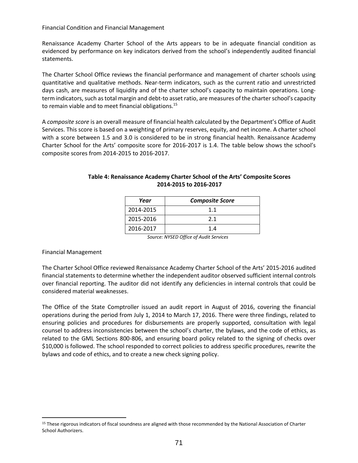Financial Condition and Financial Management

Renaissance Academy Charter School of the Arts appears to be in adequate financial condition as evidenced by performance on key indicators derived from the school's independently audited financial statements.

The Charter School Office reviews the financial performance and management of charter schools using quantitative and qualitative methods. Near‐term indicators, such as the current ratio and unrestricted days cash, are measures of liquidity and of the charter school's capacity to maintain operations. Long‐ term indicators, such as total margin and debt‐to asset ratio, are measures of the charter school's capacity to remain viable and to meet financial obligations.<sup>15</sup>

A *composite score* is an overall measure of financial health calculated by the Department's Office of Audit Services. This score is based on a weighting of primary reserves, equity, and net income. A charter school with a score between 1.5 and 3.0 is considered to be in strong financial health. Renaissance Academy Charter School for the Arts' composite score for 2016-2017 is 1.4. The table below shows the school's composite scores from 2014-2015 to 2016-2017.

| Year      | <b>Composite Score</b> |
|-----------|------------------------|
| 2014-2015 | 11                     |
| 2015-2016 | 21                     |
| 2016-2017 | 14                     |

## **Table 4: Renaissance Academy Charter School of the Arts' Composite Scores 2014-2015 to 2016-2017**

*Source: NYSED Office of Audit Services*

## Financial Management

 $\overline{a}$ 

The Charter School Office reviewed Renaissance Academy Charter School of the Arts' 2015-2016 audited financial statements to determine whether the independent auditor observed sufficient internal controls over financial reporting. The auditor did not identify any deficiencies in internal controls that could be considered material weaknesses.

The Office of the State Comptroller issued an audit report in August of 2016, covering the financial operations during the period from July 1, 2014 to March 17, 2016. There were three findings, related to ensuring policies and procedures for disbursements are properly supported, consultation with legal counsel to address inconsistencies between the school's charter, the bylaws, and the code of ethics, as related to the GML Sections 800-806, and ensuring board policy related to the signing of checks over \$10,000 is followed. The school responded to correct policies to address specific procedures, rewrite the bylaws and code of ethics, and to create a new check signing policy.

<sup>15</sup> These rigorous indicators of fiscal soundness are aligned with those recommended by the National Association of Charter School Authorizers.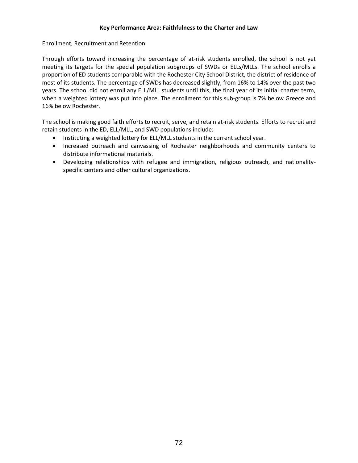## **Key Performance Area: Faithfulness to the Charter and Law**

Enrollment, Recruitment and Retention

Through efforts toward increasing the percentage of at-risk students enrolled, the school is not yet meeting its targets for the special population subgroups of SWDs or ELLs/MLLs. The school enrolls a proportion of ED students comparable with the Rochester City School District, the district of residence of most of its students. The percentage of SWDs has decreased slightly, from 16% to 14% over the past two years. The school did not enroll any ELL/MLL students until this, the final year of its initial charter term, when a weighted lottery was put into place. The enrollment for this sub-group is 7% below Greece and 16% below Rochester.

The school is making good faith efforts to recruit, serve, and retain at-risk students. Efforts to recruit and retain students in the ED, ELL/MLL, and SWD populations include:

- Instituting a weighted lottery for ELL/MLL students in the current school year.
- Increased outreach and canvassing of Rochester neighborhoods and community centers to distribute informational materials.
- Developing relationships with refugee and immigration, religious outreach, and nationalityspecific centers and other cultural organizations.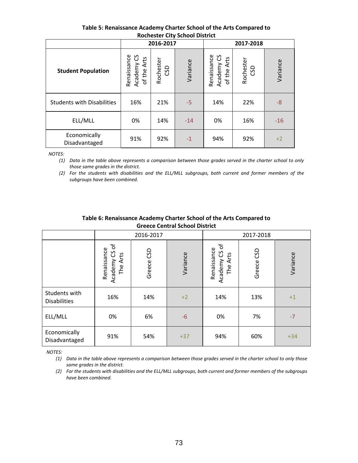| ROCHESTER CITY SCHOOL DISTRICT    |                                              |                  |          |                                                                 |     |          |  |  |
|-----------------------------------|----------------------------------------------|------------------|----------|-----------------------------------------------------------------|-----|----------|--|--|
|                                   |                                              | 2016-2017        |          | 2017-2018                                                       |     |          |  |  |
| <b>Student Population</b>         | Renaissance<br>Academy CS<br>Arts<br>of the. | Rochester<br>CSD | Variance | Academy CS<br>Renaissance<br>Arts<br>Rochester<br>CSD<br>of the |     | Variance |  |  |
| <b>Students with Disabilities</b> | 16%                                          | 21%              | $-5$     | 14%                                                             | 22% | -8       |  |  |
| ELL/MLL                           | 0%                                           | 14%              | $-14$    | 0%                                                              | 16% | $-16$    |  |  |
| Economically<br>Disadvantaged     | 91%                                          | 92%              | $-1$     | 94%                                                             | 92% | $+2$     |  |  |

# **Table 5: Renaissance Academy Charter School of the Arts Compared to Rochester City School District**

*NOTES:* 

*(1) Data in the table above represents a comparison between those grades served in the charter school to only those same grades in the district.*

*(2) For the students with disabilities and the ELL/MLL subgroups, both current and former members of the subgroups have been combined.*

|                                      | orcece central senoor bistrict<br>2016-2017  |            |          |                                                   |            |          |  |
|--------------------------------------|----------------------------------------------|------------|----------|---------------------------------------------------|------------|----------|--|
|                                      |                                              |            |          | 2017-2018                                         |            |          |  |
|                                      | đ<br>Renaissance<br>უ<br>The Arts<br>Academy | Greece CSD | Variance | ৳<br>Renaissance<br>უ<br>ე<br>The Arts<br>Academy | Greece CSD | Variance |  |
| Students with<br><b>Disabilities</b> | 16%                                          | 14%        | $+2$     | 14%                                               | 13%        | $+1$     |  |
| ELL/MLL                              | 0%                                           | 6%         | $-6$     | 0%                                                | 7%         | $-7$     |  |
| Economically<br>Disadvantaged        | 91%                                          | 54%        | $+37$    | 94%                                               | 60%        | $+34$    |  |

#### **Table 6: Renaissance Academy Charter School of the Arts Compared to Greece Central School District**

*NOTES:* 

*(1) Data in the table above represents a comparison between those grades served in the charter school to only those same grades in the district.*

*(2) For the students with disabilities and the ELL/MLL subgroups, both current and former members of the subgroups have been combined.*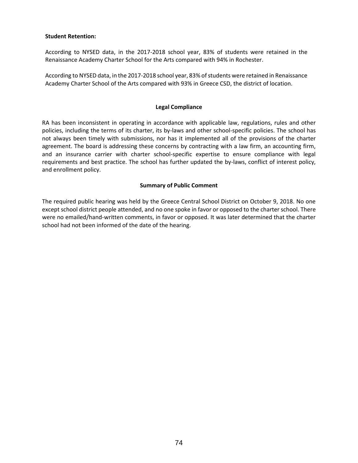#### **Student Retention:**

According to NYSED data, in the 2017-2018 school year, 83% of students were retained in the Renaissance Academy Charter School for the Arts compared with 94% in Rochester.

According to NYSED data, in the 2017-2018 school year, 83% of students were retained in Renaissance Academy Charter School of the Arts compared with 93% in Greece CSD, the district of location.

#### **Legal Compliance**

RA has been inconsistent in operating in accordance with applicable law, regulations, rules and other policies, including the terms of its charter, its by-laws and other school-specific policies. The school has not always been timely with submissions, nor has it implemented all of the provisions of the charter agreement. The board is addressing these concerns by contracting with a law firm, an accounting firm, and an insurance carrier with charter school-specific expertise to ensure compliance with legal requirements and best practice. The school has further updated the by-laws, conflict of interest policy, and enrollment policy.

#### **Summary of Public Comment**

The required public hearing was held by the Greece Central School District on October 9, 2018. No one except school district people attended, and no one spoke in favor or opposed to the charter school. There were no emailed/hand-written comments, in favor or opposed. It was later determined that the charter school had not been informed of the date of the hearing.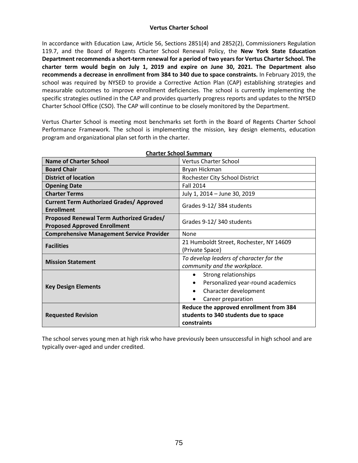In accordance with Education Law, Article 56, Sections 2851(4) and 2852(2), Commissioners Regulation 119.7, and the Board of Regents Charter School Renewal Policy, the **New York State Education Department recommends a short-term renewal for a period of two years for Vertus Charter School. The charter term would begin on July 1, 2019 and expire on June 30, 2021. The Department also recommends a decrease in enrollment from 384 to 340 due to space constraints.** In February 2019, the school was required by NYSED to provide a Corrective Action Plan (CAP) establishing strategies and measurable outcomes to improve enrollment deficiencies. The school is currently implementing the specific strategies outlined in the CAP and provides quarterly progress reports and updates to the NYSED Charter School Office (CSO). The CAP will continue to be closely monitored by the Department.

Vertus Charter School is meeting most benchmarks set forth in the Board of Regents Charter School Performance Framework. The school is implementing the mission, key design elements, education program and organizational plan set forth in the charter.

| <b>Name of Charter School</b>                                                   | <b>Vertus Charter School</b>                   |  |  |  |
|---------------------------------------------------------------------------------|------------------------------------------------|--|--|--|
| <b>Board Chair</b>                                                              | Bryan Hickman                                  |  |  |  |
| <b>District of location</b>                                                     | Rochester City School District                 |  |  |  |
| <b>Opening Date</b>                                                             | <b>Fall 2014</b>                               |  |  |  |
| <b>Charter Terms</b>                                                            | July 1, 2014 - June 30, 2019                   |  |  |  |
| <b>Current Term Authorized Grades/ Approved</b><br><b>Enrollment</b>            | Grades 9-12/384 students                       |  |  |  |
| Proposed Renewal Term Authorized Grades/<br><b>Proposed Approved Enrollment</b> | Grades 9-12/340 students                       |  |  |  |
| <b>Comprehensive Management Service Provider</b>                                | None                                           |  |  |  |
| <b>Facilities</b>                                                               | 21 Humboldt Street, Rochester, NY 14609        |  |  |  |
|                                                                                 | (Private Space)                                |  |  |  |
| <b>Mission Statement</b>                                                        | To develop leaders of character for the        |  |  |  |
|                                                                                 | community and the workplace.                   |  |  |  |
|                                                                                 | Strong relationships<br>$\bullet$              |  |  |  |
| <b>Key Design Elements</b>                                                      | Personalized year-round academics<br>$\bullet$ |  |  |  |
|                                                                                 | Character development<br>$\bullet$             |  |  |  |
|                                                                                 | Career preparation                             |  |  |  |
|                                                                                 | Reduce the approved enrollment from 384        |  |  |  |
| <b>Requested Revision</b>                                                       | students to 340 students due to space          |  |  |  |
|                                                                                 | constraints                                    |  |  |  |

**Charter School Summary**

The school serves young men at high risk who have previously been unsuccessful in high school and are typically over-aged and under credited.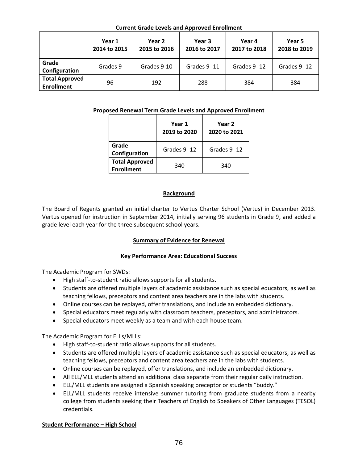## **Current Grade Levels and Approved Enrollment**

|                                            | Year 1<br>2014 to 2015 | Year 2<br>2015 to 2016 | Year 3<br>2016 to 2017 | Year 4<br>2017 to 2018 | Year 5<br>2018 to 2019 |
|--------------------------------------------|------------------------|------------------------|------------------------|------------------------|------------------------|
| Grade<br>Configuration                     | Grades 9               | Grades 9-10            | Grades 9 -11           | Grades 9-12            | Grades 9-12            |
| <b>Total Approved</b><br><b>Enrollment</b> | 96                     | 192                    | 288                    | 384                    | 384                    |

# **Proposed Renewal Term Grade Levels and Approved Enrollment**

|                                            | Year 1<br>2019 to 2020 | Year 2<br>2020 to 2021 |  |  |
|--------------------------------------------|------------------------|------------------------|--|--|
| Grade<br>Configuration                     | Grades 9-12            | Grades 9-12            |  |  |
| <b>Total Approved</b><br><b>Enrollment</b> | 340                    | 340                    |  |  |

## **Background**

The Board of Regents granted an initial charter to Vertus Charter School (Vertus) in December 2013. Vertus opened for instruction in September 2014, initially serving 96 students in Grade 9, and added a grade level each year for the three subsequent school years.

# **Summary of Evidence for Renewal**

# **Key Performance Area: Educational Success**

The Academic Program for SWDs:

- High staff-to-student ratio allows supports for all students.
- Students are offered multiple layers of academic assistance such as special educators, as well as teaching fellows, preceptors and content area teachers are in the labs with students.
- Online courses can be replayed, offer translations, and include an embedded dictionary.
- Special educators meet regularly with classroom teachers, preceptors, and administrators.
- Special educators meet weekly as a team and with each house team.

The Academic Program for ELLs/MLLs:

- High staff-to-student ratio allows supports for all students.
- Students are offered multiple layers of academic assistance such as special educators, as well as teaching fellows, preceptors and content area teachers are in the labs with students.
- Online courses can be replayed, offer translations, and include an embedded dictionary.
- All ELL/MLL students attend an additional class separate from their regular daily instruction.
- ELL/MLL students are assigned a Spanish speaking preceptor or students "buddy."
- ELL/MLL students receive intensive summer tutoring from graduate students from a nearby college from students seeking their Teachers of English to Speakers of Other Languages (TESOL) credentials.

### **Student Performance – High School**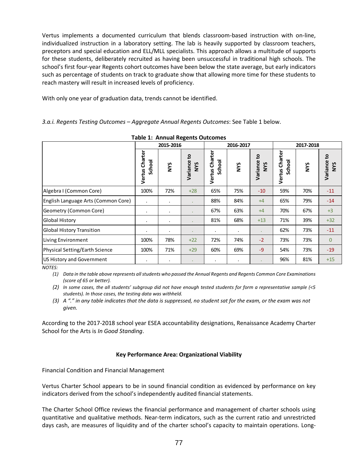Vertus implements a documented curriculum that blends classroom-based instruction with on-line, individualized instruction in a laboratory setting. The lab is heavily supported by classroom teachers, preceptors and special education and ELL/MLL specialists. This approach allows a multitude of supports for these students, deliberately recruited as having been unsuccessful in traditional high schools. The school's first four-year Regents cohort outcomes have been below the state average, but early indicators such as percentage of students on track to graduate show that allowing more time for these students to reach mastery will result in increased levels of proficiency.

With only one year of graduation data, trends cannot be identified.

*3.a.i. Regents Testing Outcomes – Aggregate Annual Regents Outcomes*: See Table 1 below.

|                                                                                                                                                                                                                                                                                                                                                                                                                                                                     |                                                | 2015-2016      | Table 1. Allitudi Negerits Outcollies<br>2016-2017 |                          |            | 2017-2018          |                          |            |                    |
|---------------------------------------------------------------------------------------------------------------------------------------------------------------------------------------------------------------------------------------------------------------------------------------------------------------------------------------------------------------------------------------------------------------------------------------------------------------------|------------------------------------------------|----------------|----------------------------------------------------|--------------------------|------------|--------------------|--------------------------|------------|--------------------|
|                                                                                                                                                                                                                                                                                                                                                                                                                                                                     | Vertus Charter<br>School                       | <b>SAN</b>     | Variance to<br>NYS                                 | Vertus Charter<br>School | <b>SAN</b> | Variance to<br>NYS | Vertus Charter<br>School | <b>SAN</b> | Variance to<br>NYS |
| Algebra I (Common Core)                                                                                                                                                                                                                                                                                                                                                                                                                                             | 100%                                           | 72%            | $+28$                                              | 65%                      | 75%        | $-10$              | 59%                      | 70%        | $-11$              |
| English Language Arts (Common Core)                                                                                                                                                                                                                                                                                                                                                                                                                                 | $\cdot$                                        | $\blacksquare$ | $\bullet$                                          | 88%                      | 84%        | $+4$               | 65%                      | 79%        | $-14$              |
| Geometry (Common Core)                                                                                                                                                                                                                                                                                                                                                                                                                                              | $\cdot$                                        | $\blacksquare$ | ×                                                  | 67%                      | 63%        | $+4$               | 70%                      | 67%        | $+3$               |
| <b>Global History</b>                                                                                                                                                                                                                                                                                                                                                                                                                                               | $\bullet$                                      | $\bullet$      | $\bullet$                                          | 81%                      | 68%        | $+13$              | 71%                      | 39%        | $+32$              |
| <b>Global History Transition</b>                                                                                                                                                                                                                                                                                                                                                                                                                                    | $\cdot$                                        | $\bullet$      | $\bullet$                                          |                          |            |                    | 62%                      | 73%        | -11                |
| Living Environment                                                                                                                                                                                                                                                                                                                                                                                                                                                  | 100%                                           | 78%            | $+22$                                              | 72%                      | 74%        | $-2$               | 73%                      | 73%        | $\mathbf 0$        |
| Physical Setting/Earth Science                                                                                                                                                                                                                                                                                                                                                                                                                                      | 100%                                           | 71%            | $+29$                                              | 60%                      | 69%        | $-9$               | 54%                      | 73%        | $-19$              |
| US History and Government                                                                                                                                                                                                                                                                                                                                                                                                                                           | $\bullet$                                      | $\blacksquare$ | $\epsilon$                                         | $\ddot{\phantom{a}}$     | $\bullet$  |                    | 96%                      | 81%        | $+15$              |
| (2) In some cases, the all students' subgroup did not have enough tested students for form a representative sample (<5<br>students). In those cases, the testing data was withheld.<br>(3) A "." in any table indicates that the data is suppressed, no student sat for the exam, or the exam was not<br>given.<br>According to the 2017-2018 school year ESEA accountability designations, Renaissance Academy Charter<br>School for the Arts is In Good Standing. |                                                |                |                                                    |                          |            |                    |                          |            |                    |
|                                                                                                                                                                                                                                                                                                                                                                                                                                                                     | Key Performance Area: Organizational Viability |                |                                                    |                          |            |                    |                          |            |                    |
| <b>Financial Condition and Financial Management</b>                                                                                                                                                                                                                                                                                                                                                                                                                 |                                                |                |                                                    |                          |            |                    |                          |            |                    |
| Vertus Charter School appears to be in sound financial condition as evidenced by performance on key<br>indicators derived from the school's independently audited financial statements.                                                                                                                                                                                                                                                                             |                                                |                |                                                    |                          |            |                    |                          |            |                    |
| The Charter School Office reviews the financial performance and management of charter schools using<br>quantitative and qualitative methods. Near-term indicators, such as the current ratio and unrestricted<br>days cash, are measures of liquidity and of the charter school's capacity to maintain operations. Long-                                                                                                                                            |                                                |                |                                                    |                          |            |                    |                          |            |                    |

**Table 1: Annual Regents Outcomes** 

### **Key Performance Area: Organizational Viability**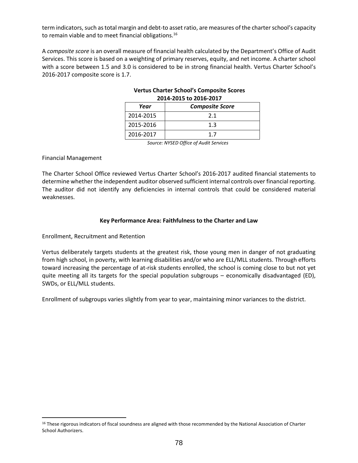term indicators, such as total margin and debt‐to asset ratio, are measures of the charter school's capacity to remain viable and to meet financial obligations.<sup>16</sup>

A *composite score* is an overall measure of financial health calculated by the Department's Office of Audit Services. This score is based on a weighting of primary reserves, equity, and net income. A charter school with a score between 1.5 and 3.0 is considered to be in strong financial health. Vertus Charter School's 2016-2017 composite score is 1.7.

| Year      | 2014-2013 to 2010-2017<br><b>Composite Score</b> |
|-----------|--------------------------------------------------|
| 2014-2015 | 2.1                                              |
| 2015-2016 | 1.3                                              |
| 2016-2017 |                                                  |

# **Vertus Charter School's Composite Scores 2014-2015 to 2016-2017**

*Source: NYSED Office of Audit Services*

### Financial Management

 $\overline{a}$ 

The Charter School Office reviewed Vertus Charter School's 2016-2017 audited financial statements to determine whether the independent auditor observed sufficient internal controls over financial reporting. The auditor did not identify any deficiencies in internal controls that could be considered material weaknesses.

### **Key Performance Area: Faithfulness to the Charter and Law**

### Enrollment, Recruitment and Retention

Vertus deliberately targets students at the greatest risk, those young men in danger of not graduating from high school, in poverty, with learning disabilities and/or who are ELL/MLL students. Through efforts toward increasing the percentage of at-risk students enrolled, the school is coming close to but not yet quite meeting all its targets for the special population subgroups – economically disadvantaged (ED), SWDs, or ELL/MLL students.

Enrollment of subgroups varies slightly from year to year, maintaining minor variances to the district.

<sup>&</sup>lt;sup>16</sup> These rigorous indicators of fiscal soundness are aligned with those recommended by the National Association of Charter School Authorizers.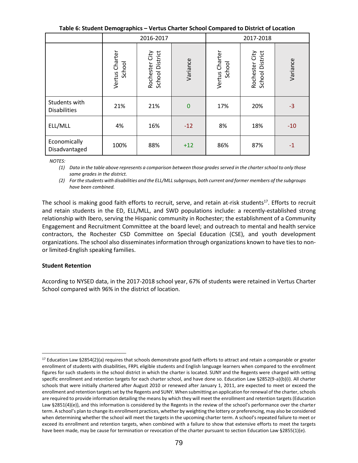**Table 6: Student Demographics – Vertus Charter School Compared to District of Location**

|                                      | 2016-2017                |                                   |              | 2017-2018                |                                   |          |  |
|--------------------------------------|--------------------------|-----------------------------------|--------------|--------------------------|-----------------------------------|----------|--|
|                                      | Vertus Charter<br>School | School District<br>Rochester City | Variance     | Vertus Charter<br>School | Rochester City<br>School District | Variance |  |
| Students with<br><b>Disabilities</b> | 21%                      | 21%                               | $\mathbf{0}$ | 17%                      | 20%                               | $-3$     |  |
| ELL/MLL                              | 4%                       | 16%                               | $-12$        | 8%                       | 18%                               | $-10$    |  |
| Economically<br>Disadvantaged        | 100%                     | 88%                               | $+12$        | 86%                      | 87%                               | $-1$     |  |

*NOTES:* 

*(1) Data in the table above represents a comparison between those grades served in the charter school to only those same grades in the district.*

*(2) For the students with disabilities and the ELL/MLL subgroups, both current and former members of the subgroups have been combined.*

The school is making good faith efforts to recruit, serve, and retain at-risk students<sup>17</sup>. Efforts to recruit and retain students in the ED, ELL/MLL, and SWD populations include: a recently-established strong relationship with Ibero, serving the Hispanic community in Rochester; the establishment of a Community Engagement and Recruitment Committee at the board level; and outreach to mental and health service contractors, the Rochester CSD Committee on Special Education (CSE), and youth development organizations. The school also disseminates information through organizations known to have ties to nonor limited-English speaking families.

### **Student Retention**

 $\overline{a}$ 

According to NYSED data, in the 2017-2018 school year, 67% of students were retained in Vertus Charter School compared with 96% in the district of location.

<sup>17</sup> Education Law §2854(2)(a) requires that schools demonstrate good faith efforts to attract and retain a comparable or greater enrollment of students with disabilities, FRPL eligible students and English language learners when compared to the enrollment figures for such students in the school district in which the charter is located. SUNY and the Regents were charged with setting specific enrollment and retention targets for each charter school, and have done so. Education Law §2852(9-a)(b)(i). All charter schools that were initially chartered after August 2010 or renewed after January 1, 2011, are expected to meet or exceed the enrollment and retention targets set by the Regents and SUNY. When submitting an application for renewal of the charter, schools are required to provide information detailing the means by which they will meet the enrollment and retention targets (Education Law §2851(4)(e)), and this information is considered by the Regents in the review of the school's performance over the charter term. A school's plan to change its enrollment practices, whether by weighting the lottery or preferencing, may also be considered when determining whether the school will meet the targets in the upcoming charter term. A school's repeated failure to meet or exceed its enrollment and retention targets, when combined with a failure to show that extensive efforts to meet the targets have been made, may be cause for termination or revocation of the charter pursuant to section Education Law §2855(1)(e).